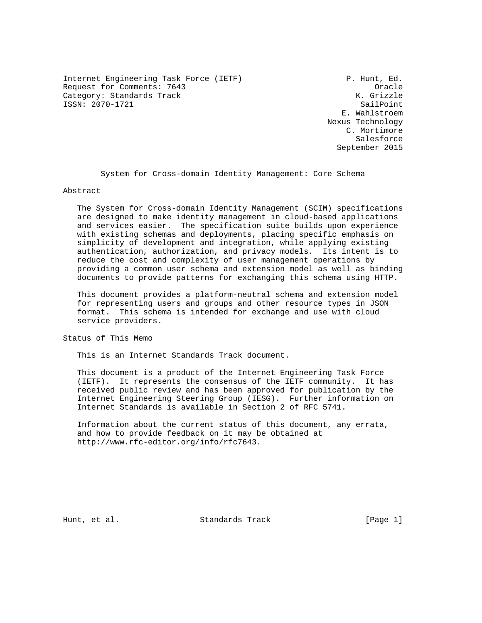Internet Engineering Task Force (IETF) P. Hunt, Ed. Request for Comments: 7643 Oracle Category: Standards Track ISSN: 2070-1721 SailPoint

 E. Wahlstroem Nexus Technology C. Mortimore Salesforce September 2015

System for Cross-domain Identity Management: Core Schema

Abstract

 The System for Cross-domain Identity Management (SCIM) specifications are designed to make identity management in cloud-based applications and services easier. The specification suite builds upon experience with existing schemas and deployments, placing specific emphasis on simplicity of development and integration, while applying existing authentication, authorization, and privacy models. Its intent is to reduce the cost and complexity of user management operations by providing a common user schema and extension model as well as binding documents to provide patterns for exchanging this schema using HTTP.

 This document provides a platform-neutral schema and extension model for representing users and groups and other resource types in JSON format. This schema is intended for exchange and use with cloud service providers.

Status of This Memo

This is an Internet Standards Track document.

 This document is a product of the Internet Engineering Task Force (IETF). It represents the consensus of the IETF community. It has received public review and has been approved for publication by the Internet Engineering Steering Group (IESG). Further information on Internet Standards is available in Section 2 of RFC 5741.

 Information about the current status of this document, any errata, and how to provide feedback on it may be obtained at http://www.rfc-editor.org/info/rfc7643.

Hunt, et al. Standards Track [Page 1]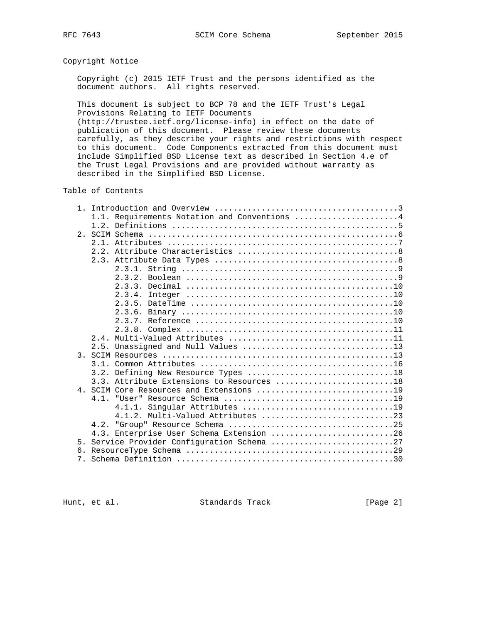# Copyright Notice

 Copyright (c) 2015 IETF Trust and the persons identified as the document authors. All rights reserved.

 This document is subject to BCP 78 and the IETF Trust's Legal Provisions Relating to IETF Documents

 (http://trustee.ietf.org/license-info) in effect on the date of publication of this document. Please review these documents carefully, as they describe your rights and restrictions with respect to this document. Code Components extracted from this document must include Simplified BSD License text as described in Section 4.e of the Trust Legal Provisions and are provided without warranty as described in the Simplified BSD License.

Table of Contents

|                | 1.1. Requirements Notation and Conventions 4 |
|----------------|----------------------------------------------|
|                |                                              |
|                |                                              |
|                |                                              |
|                |                                              |
|                |                                              |
|                |                                              |
|                |                                              |
|                |                                              |
|                | 2.3.4.                                       |
|                |                                              |
|                |                                              |
|                |                                              |
|                |                                              |
|                |                                              |
|                |                                              |
| 3.             |                                              |
|                | 3.1.                                         |
|                | 3.2. Defining New Resource Types 18          |
|                | 3.3. Attribute Extensions to Resources 18    |
|                |                                              |
|                |                                              |
|                |                                              |
|                |                                              |
|                |                                              |
|                | 4.3. Enterprise User Schema Extension 26     |
| 5 <sub>1</sub> | Service Provider Configuration Schema 27     |
|                |                                              |
| 7 <sub>1</sub> |                                              |

Hunt, et al. Standards Track [Page 2]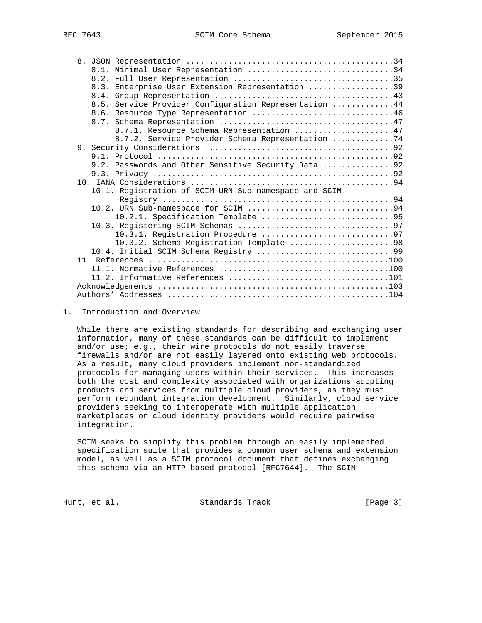|  | 8.1. Minimal User Representation 34                   |
|--|-------------------------------------------------------|
|  |                                                       |
|  | 8.3. Enterprise User Extension Representation 39      |
|  |                                                       |
|  | 8.5. Service Provider Configuration Representation 44 |
|  |                                                       |
|  |                                                       |
|  | 8.7.1. Resource Schema Representation 47              |
|  | 8.7.2. Service Provider Schema Representation 74      |
|  |                                                       |
|  |                                                       |
|  | 9.2. Passwords and Other Sensitive Security Data 92   |
|  |                                                       |
|  |                                                       |
|  | 10.1. Registration of SCIM URN Sub-namespace and SCIM |
|  |                                                       |
|  |                                                       |
|  |                                                       |
|  |                                                       |
|  |                                                       |
|  | 10.3.2. Schema Registration Template 98               |
|  |                                                       |
|  |                                                       |
|  |                                                       |
|  |                                                       |
|  |                                                       |
|  |                                                       |

1. Introduction and Overview

 While there are existing standards for describing and exchanging user information, many of these standards can be difficult to implement and/or use; e.g., their wire protocols do not easily traverse firewalls and/or are not easily layered onto existing web protocols. As a result, many cloud providers implement non-standardized protocols for managing users within their services. This increases both the cost and complexity associated with organizations adopting products and services from multiple cloud providers, as they must perform redundant integration development. Similarly, cloud service providers seeking to interoperate with multiple application marketplaces or cloud identity providers would require pairwise integration.

 SCIM seeks to simplify this problem through an easily implemented specification suite that provides a common user schema and extension model, as well as a SCIM protocol document that defines exchanging this schema via an HTTP-based protocol [RFC7644]. The SCIM

Hunt, et al. Standards Track [Page 3]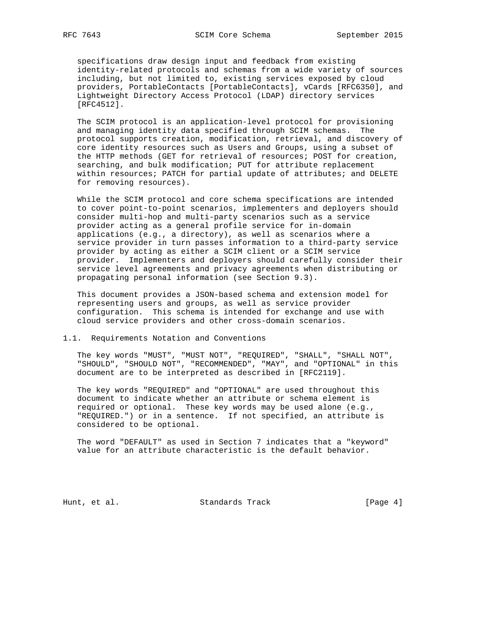specifications draw design input and feedback from existing identity-related protocols and schemas from a wide variety of sources including, but not limited to, existing services exposed by cloud providers, PortableContacts [PortableContacts], vCards [RFC6350], and Lightweight Directory Access Protocol (LDAP) directory services [RFC4512].

 The SCIM protocol is an application-level protocol for provisioning and managing identity data specified through SCIM schemas. The protocol supports creation, modification, retrieval, and discovery of core identity resources such as Users and Groups, using a subset of the HTTP methods (GET for retrieval of resources; POST for creation, searching, and bulk modification; PUT for attribute replacement within resources; PATCH for partial update of attributes; and DELETE for removing resources).

 While the SCIM protocol and core schema specifications are intended to cover point-to-point scenarios, implementers and deployers should consider multi-hop and multi-party scenarios such as a service provider acting as a general profile service for in-domain applications (e.g., a directory), as well as scenarios where a service provider in turn passes information to a third-party service provider by acting as either a SCIM client or a SCIM service provider. Implementers and deployers should carefully consider their service level agreements and privacy agreements when distributing or propagating personal information (see Section 9.3).

 This document provides a JSON-based schema and extension model for representing users and groups, as well as service provider configuration. This schema is intended for exchange and use with cloud service providers and other cross-domain scenarios.

#### 1.1. Requirements Notation and Conventions

 The key words "MUST", "MUST NOT", "REQUIRED", "SHALL", "SHALL NOT", "SHOULD", "SHOULD NOT", "RECOMMENDED", "MAY", and "OPTIONAL" in this document are to be interpreted as described in [RFC2119].

 The key words "REQUIRED" and "OPTIONAL" are used throughout this document to indicate whether an attribute or schema element is required or optional. These key words may be used alone (e.g., "REQUIRED.") or in a sentence. If not specified, an attribute is considered to be optional.

 The word "DEFAULT" as used in Section 7 indicates that a "keyword" value for an attribute characteristic is the default behavior.

Hunt, et al. Standards Track [Page 4]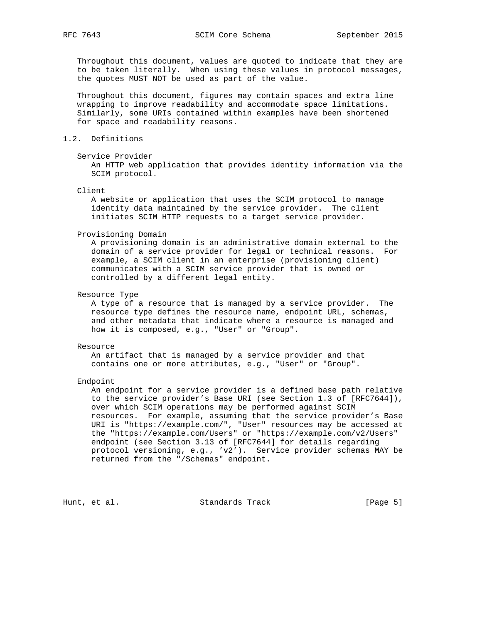Throughout this document, values are quoted to indicate that they are to be taken literally. When using these values in protocol messages, the quotes MUST NOT be used as part of the value.

 Throughout this document, figures may contain spaces and extra line wrapping to improve readability and accommodate space limitations. Similarly, some URIs contained within examples have been shortened for space and readability reasons.

# 1.2. Definitions

## Service Provider

 An HTTP web application that provides identity information via the SCIM protocol.

## Client

 A website or application that uses the SCIM protocol to manage identity data maintained by the service provider. The client initiates SCIM HTTP requests to a target service provider.

#### Provisioning Domain

 A provisioning domain is an administrative domain external to the domain of a service provider for legal or technical reasons. For example, a SCIM client in an enterprise (provisioning client) communicates with a SCIM service provider that is owned or controlled by a different legal entity.

## Resource Type

 A type of a resource that is managed by a service provider. The resource type defines the resource name, endpoint URL, schemas, and other metadata that indicate where a resource is managed and how it is composed, e.g., "User" or "Group".

#### Resource

 An artifact that is managed by a service provider and that contains one or more attributes, e.g., "User" or "Group".

#### Endpoint

 An endpoint for a service provider is a defined base path relative to the service provider's Base URI (see Section 1.3 of [RFC7644]), over which SCIM operations may be performed against SCIM resources. For example, assuming that the service provider's Base URI is "https://example.com/", "User" resources may be accessed at the "https://example.com/Users" or "https://example.com/v2/Users" endpoint (see Section 3.13 of [RFC7644] for details regarding protocol versioning, e.g., 'v2'). Service provider schemas MAY be returned from the "/Schemas" endpoint.

Hunt, et al. Standards Track [Page 5]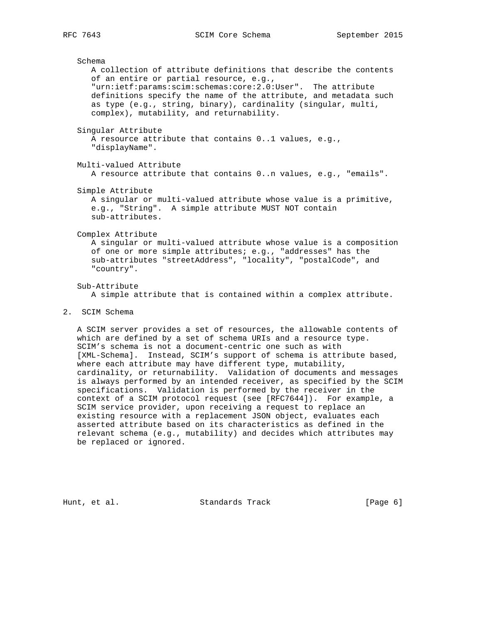Schema A collection of attribute definitions that describe the contents of an entire or partial resource, e.g., "urn:ietf:params:scim:schemas:core:2.0:User". The attribute definitions specify the name of the attribute, and metadata such as type (e.g., string, binary), cardinality (singular, multi, complex), mutability, and returnability. Singular Attribute A resource attribute that contains 0..1 values, e.g., "displayName". Multi-valued Attribute A resource attribute that contains 0..n values, e.g., "emails". Simple Attribute A singular or multi-valued attribute whose value is a primitive, e.g., "String". A simple attribute MUST NOT contain sub-attributes. Complex Attribute A singular or multi-valued attribute whose value is a composition of one or more simple attributes; e.g., "addresses" has the sub-attributes "streetAddress", "locality", "postalCode", and "country". Sub-Attribute A simple attribute that is contained within a complex attribute. 2. SCIM Schema

 A SCIM server provides a set of resources, the allowable contents of which are defined by a set of schema URIs and a resource type. SCIM's schema is not a document-centric one such as with [XML-Schema]. Instead, SCIM's support of schema is attribute based, where each attribute may have different type, mutability, cardinality, or returnability. Validation of documents and messages is always performed by an intended receiver, as specified by the SCIM specifications. Validation is performed by the receiver in the context of a SCIM protocol request (see [RFC7644]). For example, a SCIM service provider, upon receiving a request to replace an existing resource with a replacement JSON object, evaluates each asserted attribute based on its characteristics as defined in the relevant schema (e.g., mutability) and decides which attributes may be replaced or ignored.

Hunt, et al. Standards Track [Page 6]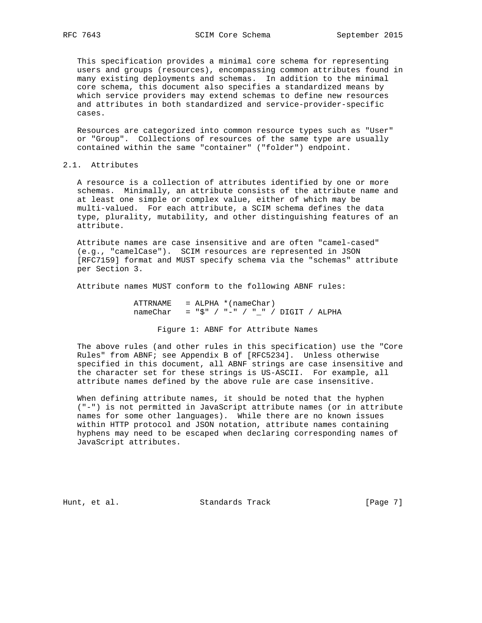This specification provides a minimal core schema for representing users and groups (resources), encompassing common attributes found in many existing deployments and schemas. In addition to the minimal core schema, this document also specifies a standardized means by which service providers may extend schemas to define new resources and attributes in both standardized and service-provider-specific cases.

 Resources are categorized into common resource types such as "User" or "Group". Collections of resources of the same type are usually contained within the same "container" ("folder") endpoint.

# 2.1. Attributes

 A resource is a collection of attributes identified by one or more schemas. Minimally, an attribute consists of the attribute name and at least one simple or complex value, either of which may be multi-valued. For each attribute, a SCIM schema defines the data type, plurality, mutability, and other distinguishing features of an attribute.

 Attribute names are case insensitive and are often "camel-cased" (e.g., "camelCase"). SCIM resources are represented in JSON [RFC7159] format and MUST specify schema via the "schemas" attribute per Section 3.

Attribute names MUST conform to the following ABNF rules:

 ATTRNAME = ALPHA \*(nameChar)  $nameChar = "\$" / "-" / "__" / DIGIT / ALPHA$ 

Figure 1: ABNF for Attribute Names

 The above rules (and other rules in this specification) use the "Core Rules" from ABNF; see Appendix B of [RFC5234]. Unless otherwise specified in this document, all ABNF strings are case insensitive and the character set for these strings is US-ASCII. For example, all attribute names defined by the above rule are case insensitive.

 When defining attribute names, it should be noted that the hyphen ("-") is not permitted in JavaScript attribute names (or in attribute names for some other languages). While there are no known issues within HTTP protocol and JSON notation, attribute names containing hyphens may need to be escaped when declaring corresponding names of JavaScript attributes.

Hunt, et al. Standards Track [Page 7]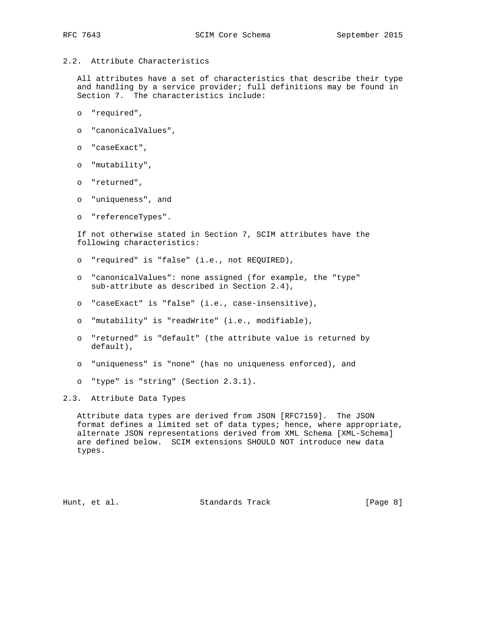2.2. Attribute Characteristics

 All attributes have a set of characteristics that describe their type and handling by a service provider; full definitions may be found in Section 7. The characteristics include:

- o "required",
- o "canonicalValues",
- o "caseExact",
- o "mutability",
- o "returned",
- o "uniqueness", and
- o "referenceTypes".

 If not otherwise stated in Section 7, SCIM attributes have the following characteristics:

- o "required" is "false" (i.e., not REQUIRED),
- o "canonicalValues": none assigned (for example, the "type" sub-attribute as described in Section 2.4),
- o "caseExact" is "false" (i.e., case-insensitive),
- o "mutability" is "readWrite" (i.e., modifiable),
- o "returned" is "default" (the attribute value is returned by default),
- o "uniqueness" is "none" (has no uniqueness enforced), and
- o "type" is "string" (Section 2.3.1).

2.3. Attribute Data Types

 Attribute data types are derived from JSON [RFC7159]. The JSON format defines a limited set of data types; hence, where appropriate, alternate JSON representations derived from XML Schema [XML-Schema] are defined below. SCIM extensions SHOULD NOT introduce new data types.

Hunt, et al. Standards Track [Page 8]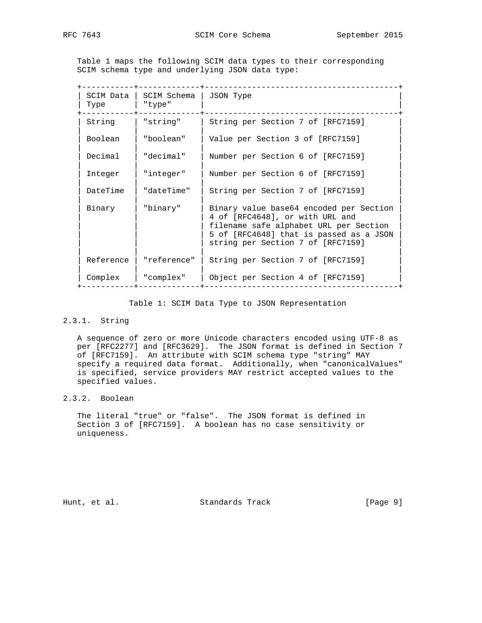Table 1 maps the following SCIM data types to their corresponding SCIM schema type and underlying JSON data type:

| SCIM Data<br>Type | SCIM Schema<br>"type" | JSON Type                                                                                                                                                                                            |
|-------------------|-----------------------|------------------------------------------------------------------------------------------------------------------------------------------------------------------------------------------------------|
| String            | "string"              | String per Section 7 of [RFC7159]                                                                                                                                                                    |
| Boolean           | "boolean"             | Value per Section 3 of [RFC7159]                                                                                                                                                                     |
| Decimal           | "decimal"             | Number per Section 6 of [RFC7159]                                                                                                                                                                    |
| Integer           | "integer"             | Number per Section 6 of [RFC7159]                                                                                                                                                                    |
| DateTime          | "dateTime"            | String per Section 7 of [RFC7159]                                                                                                                                                                    |
| Binary            | "binary"              | Binary value base64 encoded per Section<br>4 of [RFC4648], or with URL and<br>filename safe alphabet URL per Section<br>5 of [RFC4648] that is passed as a JSON<br>string per Section 7 of [RFC7159] |
| Reference         | "reference"           | String per Section 7 of [RFC7159]                                                                                                                                                                    |
| Complex           | "complex"             | Object per Section 4 of [RFC7159]                                                                                                                                                                    |

Table 1: SCIM Data Type to JSON Representation

# 2.3.1. String

 A sequence of zero or more Unicode characters encoded using UTF-8 as per [RFC2277] and [RFC3629]. The JSON format is defined in Section 7 of [RFC7159]. An attribute with SCIM schema type "string" MAY specify a required data format. Additionally, when "canonicalValues" is specified, service providers MAY restrict accepted values to the specified values.

# 2.3.2. Boolean

 The literal "true" or "false". The JSON format is defined in Section 3 of [RFC7159]. A boolean has no case sensitivity or uniqueness.

Hunt, et al. Standards Track [Page 9]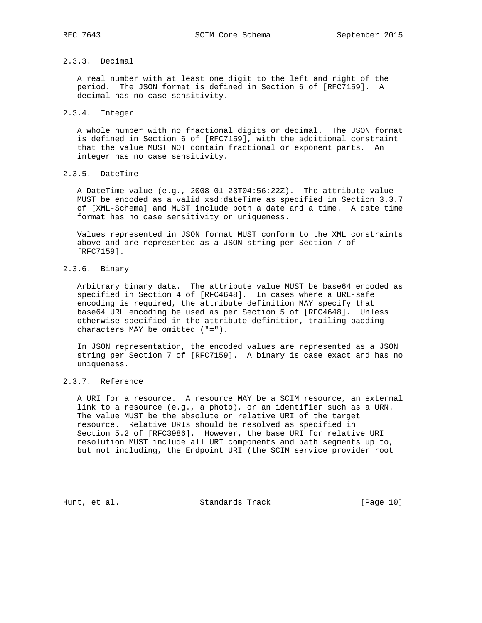# 2.3.3. Decimal

 A real number with at least one digit to the left and right of the period. The JSON format is defined in Section 6 of [RFC7159]. A decimal has no case sensitivity.

## 2.3.4. Integer

 A whole number with no fractional digits or decimal. The JSON format is defined in Section 6 of [RFC7159], with the additional constraint that the value MUST NOT contain fractional or exponent parts. An integer has no case sensitivity.

# 2.3.5. DateTime

 A DateTime value (e.g., 2008-01-23T04:56:22Z). The attribute value MUST be encoded as a valid xsd:dateTime as specified in Section 3.3.7 of [XML-Schema] and MUST include both a date and a time. A date time format has no case sensitivity or uniqueness.

 Values represented in JSON format MUST conform to the XML constraints above and are represented as a JSON string per Section 7 of [RFC7159].

# 2.3.6. Binary

 Arbitrary binary data. The attribute value MUST be base64 encoded as specified in Section 4 of [RFC4648]. In cases where a URL-safe encoding is required, the attribute definition MAY specify that base64 URL encoding be used as per Section 5 of [RFC4648]. Unless otherwise specified in the attribute definition, trailing padding characters MAY be omitted ("=").

 In JSON representation, the encoded values are represented as a JSON string per Section 7 of [RFC7159]. A binary is case exact and has no uniqueness.

# 2.3.7. Reference

 A URI for a resource. A resource MAY be a SCIM resource, an external link to a resource (e.g., a photo), or an identifier such as a URN. The value MUST be the absolute or relative URI of the target resource. Relative URIs should be resolved as specified in Section 5.2 of [RFC3986]. However, the base URI for relative URI resolution MUST include all URI components and path segments up to, but not including, the Endpoint URI (the SCIM service provider root

Hunt, et al. Standards Track [Page 10]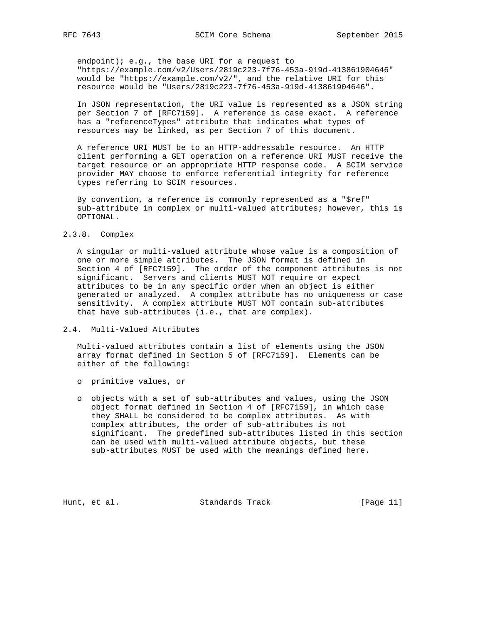endpoint); e.g., the base URI for a request to "https://example.com/v2/Users/2819c223-7f76-453a-919d-413861904646" would be "https://example.com/v2/", and the relative URI for this resource would be "Users/2819c223-7f76-453a-919d-413861904646".

 In JSON representation, the URI value is represented as a JSON string per Section 7 of [RFC7159]. A reference is case exact. A reference has a "referenceTypes" attribute that indicates what types of resources may be linked, as per Section 7 of this document.

 A reference URI MUST be to an HTTP-addressable resource. An HTTP client performing a GET operation on a reference URI MUST receive the target resource or an appropriate HTTP response code. A SCIM service provider MAY choose to enforce referential integrity for reference types referring to SCIM resources.

 By convention, a reference is commonly represented as a "\$ref" sub-attribute in complex or multi-valued attributes; however, this is OPTIONAL.

#### 2.3.8. Complex

 A singular or multi-valued attribute whose value is a composition of one or more simple attributes. The JSON format is defined in Section 4 of [RFC7159]. The order of the component attributes is not significant. Servers and clients MUST NOT require or expect attributes to be in any specific order when an object is either generated or analyzed. A complex attribute has no uniqueness or case sensitivity. A complex attribute MUST NOT contain sub-attributes that have sub-attributes (i.e., that are complex).

2.4. Multi-Valued Attributes

 Multi-valued attributes contain a list of elements using the JSON array format defined in Section 5 of [RFC7159]. Elements can be either of the following:

- o primitive values, or
- o objects with a set of sub-attributes and values, using the JSON object format defined in Section 4 of [RFC7159], in which case they SHALL be considered to be complex attributes. As with complex attributes, the order of sub-attributes is not significant. The predefined sub-attributes listed in this section can be used with multi-valued attribute objects, but these sub-attributes MUST be used with the meanings defined here.

Hunt, et al. Standards Track [Page 11]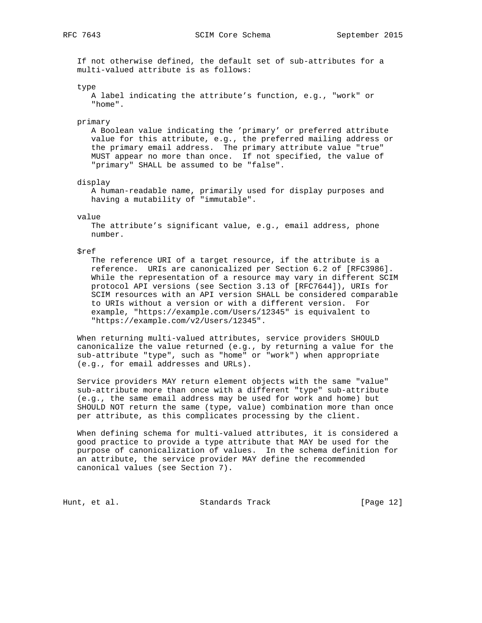If not otherwise defined, the default set of sub-attributes for a multi-valued attribute is as follows:

type

```
 A label indicating the attribute's function, e.g., "work" or
 "home".
```
primary

 A Boolean value indicating the 'primary' or preferred attribute value for this attribute, e.g., the preferred mailing address or the primary email address. The primary attribute value "true" MUST appear no more than once. If not specified, the value of "primary" SHALL be assumed to be "false".

display

 A human-readable name, primarily used for display purposes and having a mutability of "immutable".

value

 The attribute's significant value, e.g., email address, phone number.

\$ref

 The reference URI of a target resource, if the attribute is a reference. URIs are canonicalized per Section 6.2 of [RFC3986]. While the representation of a resource may vary in different SCIM protocol API versions (see Section 3.13 of [RFC7644]), URIs for SCIM resources with an API version SHALL be considered comparable to URIs without a version or with a different version. For example, "https://example.com/Users/12345" is equivalent to "https://example.com/v2/Users/12345".

 When returning multi-valued attributes, service providers SHOULD canonicalize the value returned (e.g., by returning a value for the sub-attribute "type", such as "home" or "work") when appropriate (e.g., for email addresses and URLs).

 Service providers MAY return element objects with the same "value" sub-attribute more than once with a different "type" sub-attribute (e.g., the same email address may be used for work and home) but SHOULD NOT return the same (type, value) combination more than once per attribute, as this complicates processing by the client.

 When defining schema for multi-valued attributes, it is considered a good practice to provide a type attribute that MAY be used for the purpose of canonicalization of values. In the schema definition for an attribute, the service provider MAY define the recommended canonical values (see Section 7).

Hunt, et al. Standards Track [Page 12]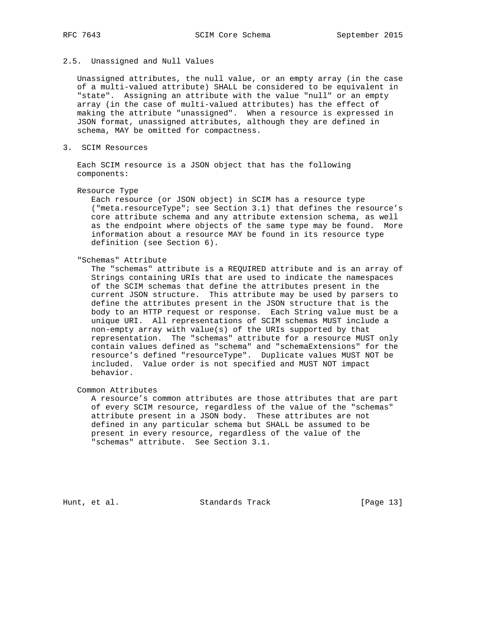## 2.5. Unassigned and Null Values

 Unassigned attributes, the null value, or an empty array (in the case of a multi-valued attribute) SHALL be considered to be equivalent in "state". Assigning an attribute with the value "null" or an empty array (in the case of multi-valued attributes) has the effect of making the attribute "unassigned". When a resource is expressed in JSON format, unassigned attributes, although they are defined in schema, MAY be omitted for compactness.

3. SCIM Resources

 Each SCIM resource is a JSON object that has the following components:

## Resource Type

 Each resource (or JSON object) in SCIM has a resource type ("meta.resourceType"; see Section 3.1) that defines the resource's core attribute schema and any attribute extension schema, as well as the endpoint where objects of the same type may be found. More information about a resource MAY be found in its resource type definition (see Section 6).

"Schemas" Attribute

 The "schemas" attribute is a REQUIRED attribute and is an array of Strings containing URIs that are used to indicate the namespaces of the SCIM schemas that define the attributes present in the current JSON structure. This attribute may be used by parsers to define the attributes present in the JSON structure that is the body to an HTTP request or response. Each String value must be a unique URI. All representations of SCIM schemas MUST include a non-empty array with value(s) of the URIs supported by that representation. The "schemas" attribute for a resource MUST only contain values defined as "schema" and "schemaExtensions" for the resource's defined "resourceType". Duplicate values MUST NOT be included. Value order is not specified and MUST NOT impact behavior.

Common Attributes

 A resource's common attributes are those attributes that are part of every SCIM resource, regardless of the value of the "schemas" attribute present in a JSON body. These attributes are not defined in any particular schema but SHALL be assumed to be present in every resource, regardless of the value of the "schemas" attribute. See Section 3.1.

Hunt, et al. Standards Track [Page 13]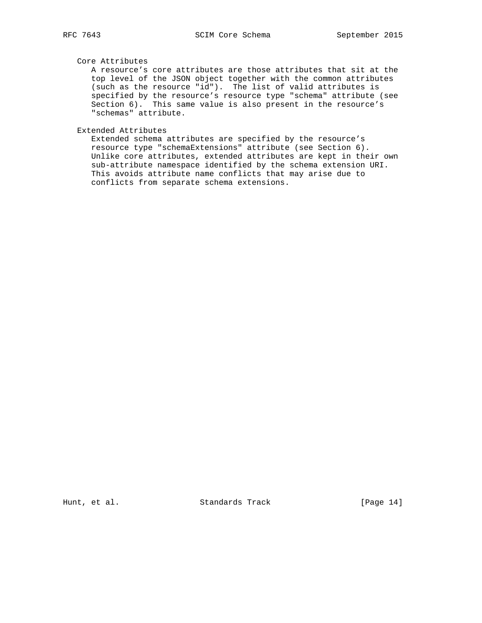## Core Attributes

 A resource's core attributes are those attributes that sit at the top level of the JSON object together with the common attributes (such as the resource "id"). The list of valid attributes is specified by the resource's resource type "schema" attribute (see Section 6). This same value is also present in the resource's "schemas" attribute.

Extended Attributes

 Extended schema attributes are specified by the resource's resource type "schemaExtensions" attribute (see Section 6). Unlike core attributes, extended attributes are kept in their own sub-attribute namespace identified by the schema extension URI. This avoids attribute name conflicts that may arise due to conflicts from separate schema extensions.

Hunt, et al. Standards Track [Page 14]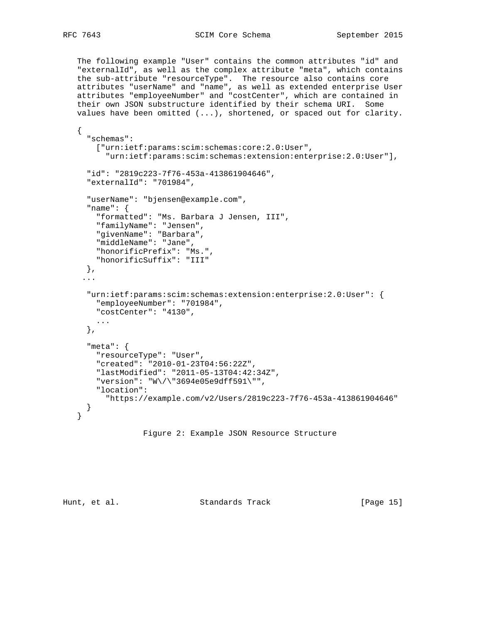The following example "User" contains the common attributes "id" and "externalId", as well as the complex attribute "meta", which contains the sub-attribute "resourceType". The resource also contains core attributes "userName" and "name", as well as extended enterprise User attributes "employeeNumber" and "costCenter", which are contained in their own JSON substructure identified by their schema URI. Some values have been omitted (...), shortened, or spaced out for clarity.

```
 {
   "schemas":
     ["urn:ietf:params:scim:schemas:core:2.0:User",
       "urn:ietf:params:scim:schemas:extension:enterprise:2.0:User"],
   "id": "2819c223-7f76-453a-413861904646",
   "externalId": "701984",
   "userName": "bjensen@example.com",
   "name": {
     "formatted": "Ms. Barbara J Jensen, III",
     "familyName": "Jensen",
     "givenName": "Barbara",
     "middleName": "Jane",
     "honorificPrefix": "Ms.",
     "honorificSuffix": "III"
   },
  ...
   "urn:ietf:params:scim:schemas:extension:enterprise:2.0:User": {
     "employeeNumber": "701984",
     "costCenter": "4130",
    ...
   },
   "meta": {
     "resourceType": "User",
     "created": "2010-01-23T04:56:22Z",
     "lastModified": "2011-05-13T04:42:34Z",
     "version": "W\/\"3694e05e9dff591\"",
     "location":
       "https://example.com/v2/Users/2819c223-7f76-453a-413861904646"
   }
 }
```

```
 Figure 2: Example JSON Resource Structure
```
Hunt, et al. Standards Track [Page 15]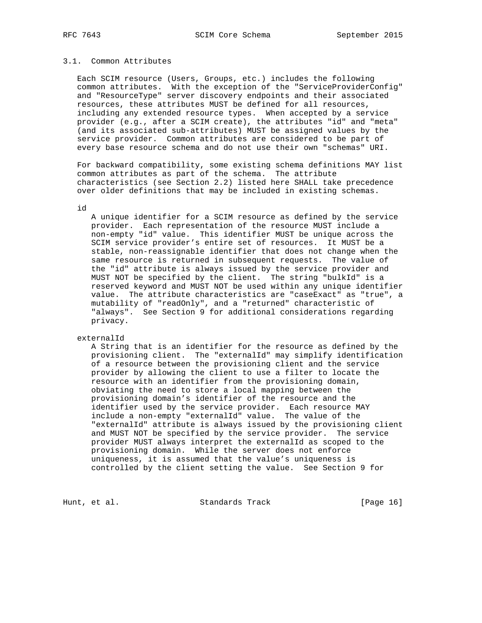## 3.1. Common Attributes

 Each SCIM resource (Users, Groups, etc.) includes the following common attributes. With the exception of the "ServiceProviderConfig" and "ResourceType" server discovery endpoints and their associated resources, these attributes MUST be defined for all resources, including any extended resource types. When accepted by a service provider (e.g., after a SCIM create), the attributes "id" and "meta" (and its associated sub-attributes) MUST be assigned values by the service provider. Common attributes are considered to be part of every base resource schema and do not use their own "schemas" URI.

 For backward compatibility, some existing schema definitions MAY list common attributes as part of the schema. The attribute characteristics (see Section 2.2) listed here SHALL take precedence over older definitions that may be included in existing schemas.

id

 A unique identifier for a SCIM resource as defined by the service provider. Each representation of the resource MUST include a non-empty "id" value. This identifier MUST be unique across the SCIM service provider's entire set of resources. It MUST be a stable, non-reassignable identifier that does not change when the same resource is returned in subsequent requests. The value of the "id" attribute is always issued by the service provider and MUST NOT be specified by the client. The string "bulkId" is a reserved keyword and MUST NOT be used within any unique identifier value. The attribute characteristics are "caseExact" as "true", a mutability of "readOnly", and a "returned" characteristic of "always". See Section 9 for additional considerations regarding privacy.

externalId

 A String that is an identifier for the resource as defined by the provisioning client. The "externalId" may simplify identification of a resource between the provisioning client and the service provider by allowing the client to use a filter to locate the resource with an identifier from the provisioning domain, obviating the need to store a local mapping between the provisioning domain's identifier of the resource and the identifier used by the service provider. Each resource MAY include a non-empty "externalId" value. The value of the "externalId" attribute is always issued by the provisioning client and MUST NOT be specified by the service provider. The service provider MUST always interpret the externalId as scoped to the provisioning domain. While the server does not enforce uniqueness, it is assumed that the value's uniqueness is controlled by the client setting the value. See Section 9 for

Hunt, et al. Standards Track [Page 16]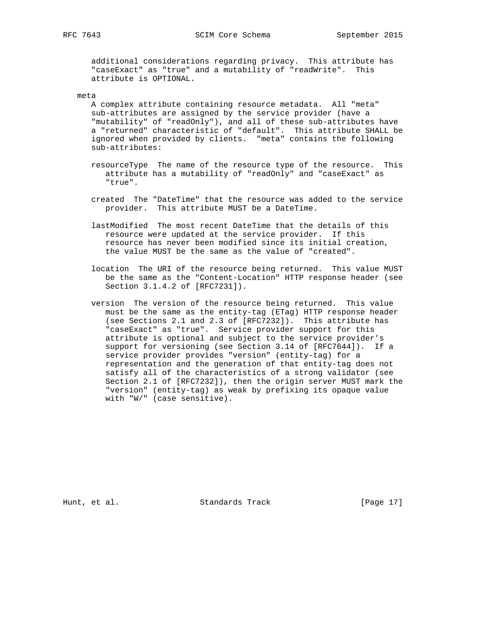additional considerations regarding privacy. This attribute has "caseExact" as "true" and a mutability of "readWrite". This attribute is OPTIONAL.

#### meta

 A complex attribute containing resource metadata. All "meta" sub-attributes are assigned by the service provider (have a "mutability" of "readOnly"), and all of these sub-attributes have a "returned" characteristic of "default". This attribute SHALL be ignored when provided by clients. "meta" contains the following sub-attributes:

- resourceType The name of the resource type of the resource. This attribute has a mutability of "readOnly" and "caseExact" as "true".
- created The "DateTime" that the resource was added to the service provider. This attribute MUST be a DateTime.
- lastModified The most recent DateTime that the details of this resource were updated at the service provider. If this resource has never been modified since its initial creation, the value MUST be the same as the value of "created".
- location The URI of the resource being returned. This value MUST be the same as the "Content-Location" HTTP response header (see Section 3.1.4.2 of [RFC7231]).
- version The version of the resource being returned. This value must be the same as the entity-tag (ETag) HTTP response header (see Sections 2.1 and 2.3 of [RFC7232]). This attribute has "caseExact" as "true". Service provider support for this attribute is optional and subject to the service provider's support for versioning (see Section 3.14 of [RFC7644]). If a service provider provides "version" (entity-tag) for a representation and the generation of that entity-tag does not satisfy all of the characteristics of a strong validator (see Section 2.1 of [RFC7232]), then the origin server MUST mark the "version" (entity-tag) as weak by prefixing its opaque value with "W/" (case sensitive).

Hunt, et al. Standards Track [Page 17]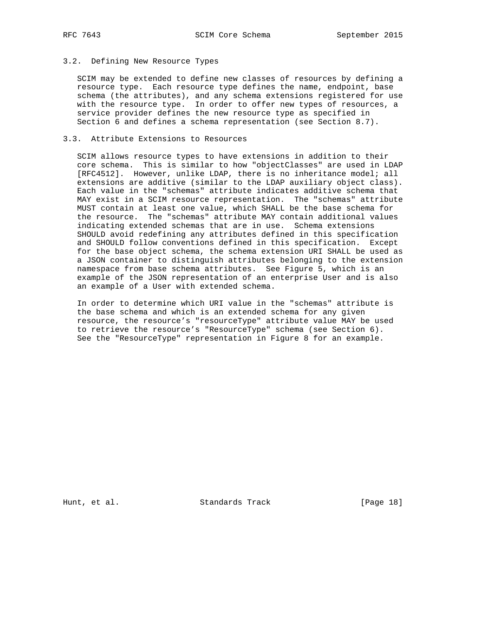# 3.2. Defining New Resource Types

 SCIM may be extended to define new classes of resources by defining a resource type. Each resource type defines the name, endpoint, base schema (the attributes), and any schema extensions registered for use with the resource type. In order to offer new types of resources, a service provider defines the new resource type as specified in Section 6 and defines a schema representation (see Section 8.7).

# 3.3. Attribute Extensions to Resources

 SCIM allows resource types to have extensions in addition to their core schema. This is similar to how "objectClasses" are used in LDAP [RFC4512]. However, unlike LDAP, there is no inheritance model; all extensions are additive (similar to the LDAP auxiliary object class). Each value in the "schemas" attribute indicates additive schema that MAY exist in a SCIM resource representation. The "schemas" attribute MUST contain at least one value, which SHALL be the base schema for the resource. The "schemas" attribute MAY contain additional values indicating extended schemas that are in use. Schema extensions SHOULD avoid redefining any attributes defined in this specification and SHOULD follow conventions defined in this specification. Except for the base object schema, the schema extension URI SHALL be used as a JSON container to distinguish attributes belonging to the extension namespace from base schema attributes. See Figure 5, which is an example of the JSON representation of an enterprise User and is also an example of a User with extended schema.

 In order to determine which URI value in the "schemas" attribute is the base schema and which is an extended schema for any given resource, the resource's "resourceType" attribute value MAY be used to retrieve the resource's "ResourceType" schema (see Section 6). See the "ResourceType" representation in Figure 8 for an example.

Hunt, et al. Standards Track [Page 18]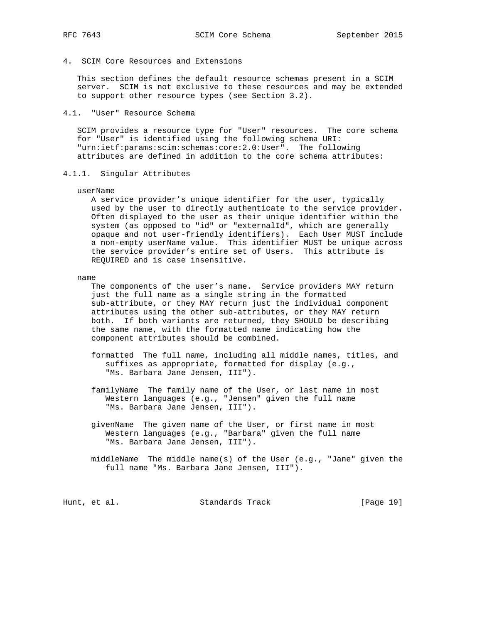4. SCIM Core Resources and Extensions

 This section defines the default resource schemas present in a SCIM server. SCIM is not exclusive to these resources and may be extended to support other resource types (see Section 3.2).

4.1. "User" Resource Schema

 SCIM provides a resource type for "User" resources. The core schema for "User" is identified using the following schema URI: "urn:ietf:params:scim:schemas:core:2.0:User". The following attributes are defined in addition to the core schema attributes:

#### 4.1.1. Singular Attributes

#### userName

 A service provider's unique identifier for the user, typically used by the user to directly authenticate to the service provider. Often displayed to the user as their unique identifier within the system (as opposed to "id" or "externalId", which are generally opaque and not user-friendly identifiers). Each User MUST include a non-empty userName value. This identifier MUST be unique across the service provider's entire set of Users. This attribute is REQUIRED and is case insensitive.

#### name

 The components of the user's name. Service providers MAY return just the full name as a single string in the formatted sub-attribute, or they MAY return just the individual component attributes using the other sub-attributes, or they MAY return both. If both variants are returned, they SHOULD be describing the same name, with the formatted name indicating how the component attributes should be combined.

- formatted The full name, including all middle names, titles, and suffixes as appropriate, formatted for display (e.g., "Ms. Barbara Jane Jensen, III").
- familyName The family name of the User, or last name in most Western languages (e.g., "Jensen" given the full name "Ms. Barbara Jane Jensen, III").
	- givenName The given name of the User, or first name in most Western languages (e.g., "Barbara" given the full name "Ms. Barbara Jane Jensen, III").
	- middleName The middle name(s) of the User (e.g., "Jane" given the full name "Ms. Barbara Jane Jensen, III").

Hunt, et al. Standards Track [Page 19]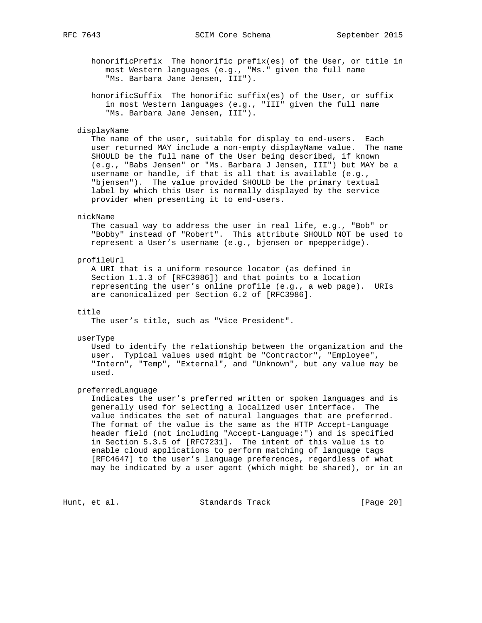honorificPrefix The honorific prefix(es) of the User, or title in most Western languages (e.g., "Ms." given the full name "Ms. Barbara Jane Jensen, III").

 honorificSuffix The honorific suffix(es) of the User, or suffix in most Western languages (e.g., "III" given the full name "Ms. Barbara Jane Jensen, III").

#### displayName

 The name of the user, suitable for display to end-users. Each user returned MAY include a non-empty displayName value. The name SHOULD be the full name of the User being described, if known (e.g., "Babs Jensen" or "Ms. Barbara J Jensen, III") but MAY be a username or handle, if that is all that is available (e.g., "bjensen"). The value provided SHOULD be the primary textual label by which this User is normally displayed by the service provider when presenting it to end-users.

#### nickName

 The casual way to address the user in real life, e.g., "Bob" or "Bobby" instead of "Robert". This attribute SHOULD NOT be used to represent a User's username (e.g., bjensen or mpepperidge).

## profileUrl

 A URI that is a uniform resource locator (as defined in Section 1.1.3 of [RFC3986]) and that points to a location representing the user's online profile (e.g., a web page). URIs are canonicalized per Section 6.2 of [RFC3986].

## title

The user's title, such as "Vice President".

#### userType

 Used to identify the relationship between the organization and the user. Typical values used might be "Contractor", "Employee", "Intern", "Temp", "External", and "Unknown", but any value may be used.

#### preferredLanguage

 Indicates the user's preferred written or spoken languages and is generally used for selecting a localized user interface. The value indicates the set of natural languages that are preferred. The format of the value is the same as the HTTP Accept-Language header field (not including "Accept-Language:") and is specified in Section 5.3.5 of [RFC7231]. The intent of this value is to enable cloud applications to perform matching of language tags [RFC4647] to the user's language preferences, regardless of what may be indicated by a user agent (which might be shared), or in an

Hunt, et al. Standards Track [Page 20]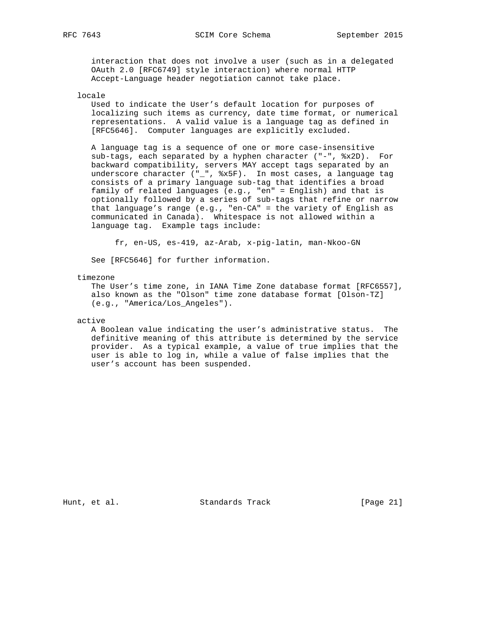interaction that does not involve a user (such as in a delegated OAuth 2.0 [RFC6749] style interaction) where normal HTTP Accept-Language header negotiation cannot take place.

## locale

 Used to indicate the User's default location for purposes of localizing such items as currency, date time format, or numerical representations. A valid value is a language tag as defined in [RFC5646]. Computer languages are explicitly excluded.

 A language tag is a sequence of one or more case-insensitive sub-tags, each separated by a hyphen character ("-", %x2D). For backward compatibility, servers MAY accept tags separated by an underscore character ("\_", %x5F). In most cases, a language tag consists of a primary language sub-tag that identifies a broad family of related languages (e.g., "en" = English) and that is optionally followed by a series of sub-tags that refine or narrow that language's range (e.g., "en-CA" = the variety of English as communicated in Canada). Whitespace is not allowed within a language tag. Example tags include:

fr, en-US, es-419, az-Arab, x-pig-latin, man-Nkoo-GN

See [RFC5646] for further information.

#### timezone

 The User's time zone, in IANA Time Zone database format [RFC6557], also known as the "Olson" time zone database format [Olson-TZ] (e.g., "America/Los\_Angeles").

active

 A Boolean value indicating the user's administrative status. The definitive meaning of this attribute is determined by the service provider. As a typical example, a value of true implies that the user is able to log in, while a value of false implies that the user's account has been suspended.

Hunt, et al. Standards Track [Page 21]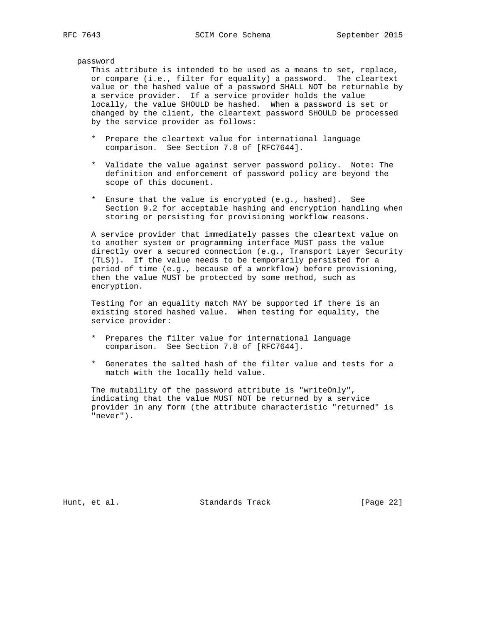password

 This attribute is intended to be used as a means to set, replace, or compare (i.e., filter for equality) a password. The cleartext value or the hashed value of a password SHALL NOT be returnable by a service provider. If a service provider holds the value locally, the value SHOULD be hashed. When a password is set or changed by the client, the cleartext password SHOULD be processed by the service provider as follows:

- \* Prepare the cleartext value for international language comparison. See Section 7.8 of [RFC7644].
- \* Validate the value against server password policy. Note: The definition and enforcement of password policy are beyond the scope of this document.
- \* Ensure that the value is encrypted (e.g., hashed). See Section 9.2 for acceptable hashing and encryption handling when storing or persisting for provisioning workflow reasons.

 A service provider that immediately passes the cleartext value on to another system or programming interface MUST pass the value directly over a secured connection (e.g., Transport Layer Security (TLS)). If the value needs to be temporarily persisted for a period of time (e.g., because of a workflow) before provisioning, then the value MUST be protected by some method, such as encryption.

 Testing for an equality match MAY be supported if there is an existing stored hashed value. When testing for equality, the service provider:

- \* Prepares the filter value for international language comparison. See Section 7.8 of [RFC7644].
- \* Generates the salted hash of the filter value and tests for a match with the locally held value.

 The mutability of the password attribute is "writeOnly", indicating that the value MUST NOT be returned by a service provider in any form (the attribute characteristic "returned" is "never").

Hunt, et al. Standards Track [Page 22]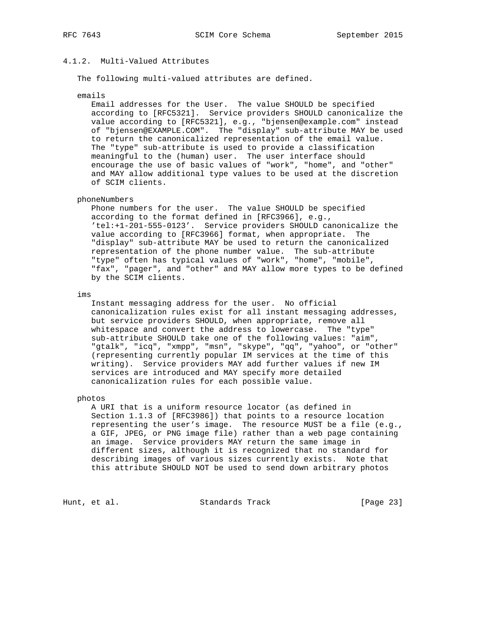# 4.1.2. Multi-Valued Attributes

The following multi-valued attributes are defined.

#### emails

 Email addresses for the User. The value SHOULD be specified according to [RFC5321]. Service providers SHOULD canonicalize the value according to [RFC5321], e.g., "bjensen@example.com" instead of "bjensen@EXAMPLE.COM". The "display" sub-attribute MAY be used to return the canonicalized representation of the email value. The "type" sub-attribute is used to provide a classification meaningful to the (human) user. The user interface should encourage the use of basic values of "work", "home", and "other" and MAY allow additional type values to be used at the discretion of SCIM clients.

# phoneNumbers

 Phone numbers for the user. The value SHOULD be specified according to the format defined in [RFC3966], e.g., 'tel:+1-201-555-0123'. Service providers SHOULD canonicalize the value according to [RFC3966] format, when appropriate. The "display" sub-attribute MAY be used to return the canonicalized representation of the phone number value. The sub-attribute "type" often has typical values of "work", "home", "mobile", "fax", "pager", and "other" and MAY allow more types to be defined by the SCIM clients.

ims

 Instant messaging address for the user. No official canonicalization rules exist for all instant messaging addresses, but service providers SHOULD, when appropriate, remove all whitespace and convert the address to lowercase. The "type" sub-attribute SHOULD take one of the following values: "aim", "gtalk", "icq", "xmpp", "msn", "skype", "qq", "yahoo", or "other" (representing currently popular IM services at the time of this writing). Service providers MAY add further values if new IM services are introduced and MAY specify more detailed canonicalization rules for each possible value.

#### photos

 A URI that is a uniform resource locator (as defined in Section 1.1.3 of [RFC3986]) that points to a resource location representing the user's image. The resource MUST be a file (e.g., a GIF, JPEG, or PNG image file) rather than a web page containing an image. Service providers MAY return the same image in different sizes, although it is recognized that no standard for describing images of various sizes currently exists. Note that this attribute SHOULD NOT be used to send down arbitrary photos

Hunt, et al. Standards Track [Page 23]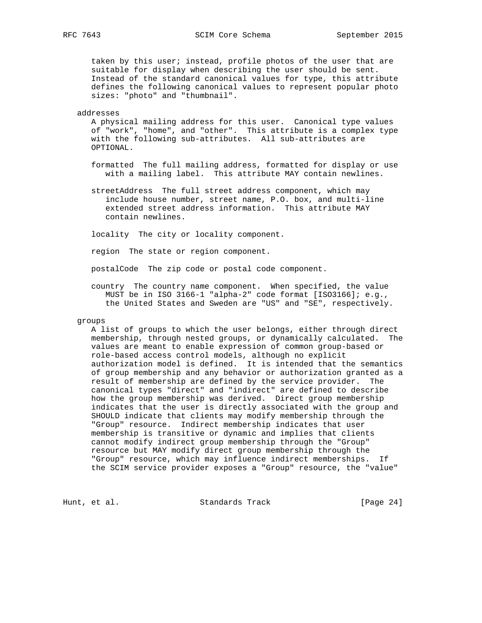taken by this user; instead, profile photos of the user that are suitable for display when describing the user should be sent. Instead of the standard canonical values for type, this attribute defines the following canonical values to represent popular photo sizes: "photo" and "thumbnail".

#### addresses

 A physical mailing address for this user. Canonical type values of "work", "home", and "other". This attribute is a complex type with the following sub-attributes. All sub-attributes are OPTIONAL.

- formatted The full mailing address, formatted for display or use with a mailing label. This attribute MAY contain newlines.
- streetAddress The full street address component, which may include house number, street name, P.O. box, and multi-line extended street address information. This attribute MAY contain newlines.

locality The city or locality component.

region The state or region component.

postalCode The zip code or postal code component.

 country The country name component. When specified, the value MUST be in ISO 3166-1 "alpha-2" code format [ISO3166]; e.g., the United States and Sweden are "US" and "SE", respectively.

#### groups

 A list of groups to which the user belongs, either through direct membership, through nested groups, or dynamically calculated. The values are meant to enable expression of common group-based or role-based access control models, although no explicit authorization model is defined. It is intended that the semantics of group membership and any behavior or authorization granted as a result of membership are defined by the service provider. The canonical types "direct" and "indirect" are defined to describe how the group membership was derived. Direct group membership indicates that the user is directly associated with the group and SHOULD indicate that clients may modify membership through the "Group" resource. Indirect membership indicates that user membership is transitive or dynamic and implies that clients cannot modify indirect group membership through the "Group" resource but MAY modify direct group membership through the "Group" resource, which may influence indirect memberships. If the SCIM service provider exposes a "Group" resource, the "value"

Hunt, et al. Standards Track [Page 24]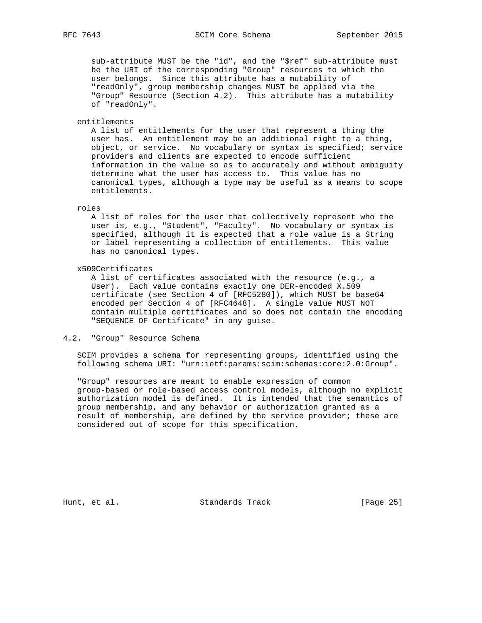sub-attribute MUST be the "id", and the "\$ref" sub-attribute must be the URI of the corresponding "Group" resources to which the user belongs. Since this attribute has a mutability of "readOnly", group membership changes MUST be applied via the "Group" Resource (Section 4.2). This attribute has a mutability of "readOnly".

entitlements

 A list of entitlements for the user that represent a thing the user has. An entitlement may be an additional right to a thing, object, or service. No vocabulary or syntax is specified; service providers and clients are expected to encode sufficient information in the value so as to accurately and without ambiguity determine what the user has access to. This value has no canonical types, although a type may be useful as a means to scope entitlements.

#### roles

 A list of roles for the user that collectively represent who the user is, e.g., "Student", "Faculty". No vocabulary or syntax is specified, although it is expected that a role value is a String or label representing a collection of entitlements. This value has no canonical types.

x509Certificates

 A list of certificates associated with the resource (e.g., a User). Each value contains exactly one DER-encoded X.509 certificate (see Section 4 of [RFC5280]), which MUST be base64 encoded per Section 4 of [RFC4648]. A single value MUST NOT contain multiple certificates and so does not contain the encoding "SEQUENCE OF Certificate" in any guise.

# 4.2. "Group" Resource Schema

 SCIM provides a schema for representing groups, identified using the following schema URI: "urn:ietf:params:scim:schemas:core:2.0:Group".

 "Group" resources are meant to enable expression of common group-based or role-based access control models, although no explicit authorization model is defined. It is intended that the semantics of group membership, and any behavior or authorization granted as a result of membership, are defined by the service provider; these are considered out of scope for this specification.

Hunt, et al. Standards Track [Page 25]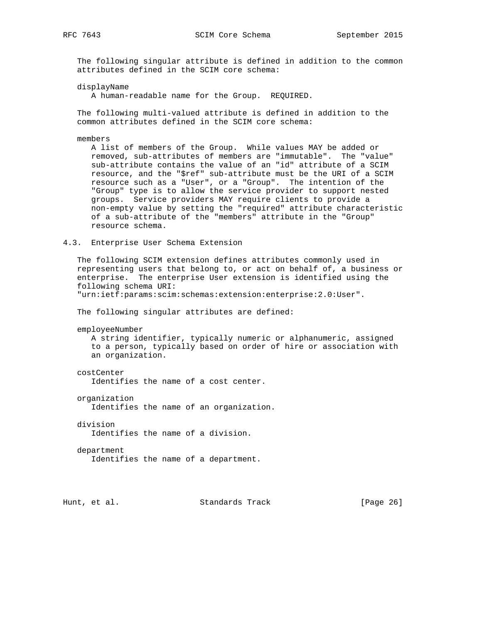The following singular attribute is defined in addition to the common attributes defined in the SCIM core schema:

displayName

A human-readable name for the Group. REQUIRED.

 The following multi-valued attribute is defined in addition to the common attributes defined in the SCIM core schema:

members

 A list of members of the Group. While values MAY be added or removed, sub-attributes of members are "immutable". The "value" sub-attribute contains the value of an "id" attribute of a SCIM resource, and the "\$ref" sub-attribute must be the URI of a SCIM resource such as a "User", or a "Group". The intention of the "Group" type is to allow the service provider to support nested groups. Service providers MAY require clients to provide a non-empty value by setting the "required" attribute characteristic of a sub-attribute of the "members" attribute in the "Group" resource schema.

4.3. Enterprise User Schema Extension

 The following SCIM extension defines attributes commonly used in representing users that belong to, or act on behalf of, a business or enterprise. The enterprise User extension is identified using the following schema URI:

"urn:ietf:params:scim:schemas:extension:enterprise:2.0:User".

The following singular attributes are defined:

employeeNumber

 A string identifier, typically numeric or alphanumeric, assigned to a person, typically based on order of hire or association with an organization.

costCenter

Identifies the name of a cost center.

organization

Identifies the name of an organization.

division

Identifies the name of a division.

department

Identifies the name of a department.

Hunt, et al. Standards Track [Page 26]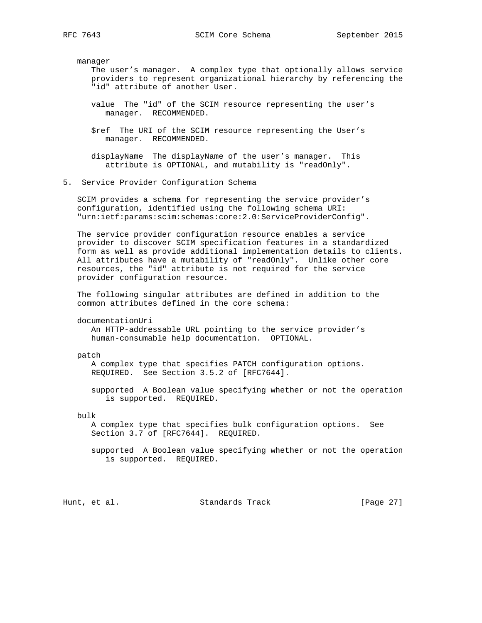manager

 The user's manager. A complex type that optionally allows service providers to represent organizational hierarchy by referencing the "id" attribute of another User.

- value The "id" of the SCIM resource representing the user's manager. RECOMMENDED.
- \$ref The URI of the SCIM resource representing the User's manager. RECOMMENDED.
- displayName The displayName of the user's manager. This attribute is OPTIONAL, and mutability is "readOnly".
- 5. Service Provider Configuration Schema

 SCIM provides a schema for representing the service provider's configuration, identified using the following schema URI: "urn:ietf:params:scim:schemas:core:2.0:ServiceProviderConfig".

 The service provider configuration resource enables a service provider to discover SCIM specification features in a standardized form as well as provide additional implementation details to clients. All attributes have a mutability of "readOnly". Unlike other core resources, the "id" attribute is not required for the service provider configuration resource.

 The following singular attributes are defined in addition to the common attributes defined in the core schema:

documentationUri

 An HTTP-addressable URL pointing to the service provider's human-consumable help documentation. OPTIONAL.

patch

 A complex type that specifies PATCH configuration options. REQUIRED. See Section 3.5.2 of [RFC7644].

 supported A Boolean value specifying whether or not the operation is supported. REQUIRED.

bulk

 A complex type that specifies bulk configuration options. See Section 3.7 of [RFC7644]. REQUIRED.

 supported A Boolean value specifying whether or not the operation is supported. REQUIRED.

Hunt, et al. Standards Track [Page 27]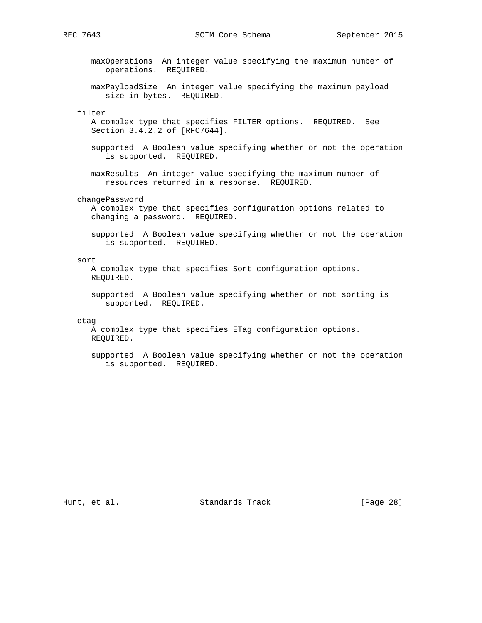RFC 7643 SCIM Core Schema September 2015

 maxOperations An integer value specifying the maximum number of operations. REQUIRED.

 maxPayloadSize An integer value specifying the maximum payload size in bytes. REQUIRED.

# filter

 A complex type that specifies FILTER options. REQUIRED. See Section 3.4.2.2 of [RFC7644].

- supported A Boolean value specifying whether or not the operation is supported. REQUIRED.
- maxResults An integer value specifying the maximum number of resources returned in a response. REQUIRED.

changePassword

 A complex type that specifies configuration options related to changing a password. REQUIRED.

 supported A Boolean value specifying whether or not the operation is supported. REQUIRED.

#### sort

 A complex type that specifies Sort configuration options. REQUIRED.

 supported A Boolean value specifying whether or not sorting is supported. REQUIRED.

#### etag

 A complex type that specifies ETag configuration options. REQUIRED.

 supported A Boolean value specifying whether or not the operation is supported. REQUIRED.

Hunt, et al. Standards Track [Page 28]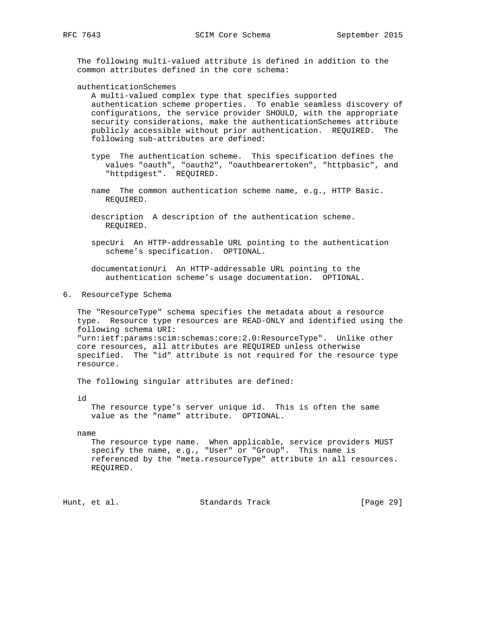The following multi-valued attribute is defined in addition to the common attributes defined in the core schema:

authenticationSchemes

 A multi-valued complex type that specifies supported authentication scheme properties. To enable seamless discovery of configurations, the service provider SHOULD, with the appropriate security considerations, make the authenticationSchemes attribute publicly accessible without prior authentication. REQUIRED. The following sub-attributes are defined:

- type The authentication scheme. This specification defines the values "oauth", "oauth2", "oauthbearertoken", "httpbasic", and "httpdigest". REQUIRED.
- name The common authentication scheme name, e.g., HTTP Basic. REQUIRED.
- description A description of the authentication scheme. REQUIRED.
- specUri An HTTP-addressable URL pointing to the authentication scheme's specification. OPTIONAL.

 documentationUri An HTTP-addressable URL pointing to the authentication scheme's usage documentation. OPTIONAL.

6. ResourceType Schema

 The "ResourceType" schema specifies the metadata about a resource type. Resource type resources are READ-ONLY and identified using the following schema URI: "urn:ietf:params:scim:schemas:core:2.0:ResourceType". Unlike other core resources, all attributes are REQUIRED unless otherwise specified. The "id" attribute is not required for the resource type resource.

The following singular attributes are defined:

id

 The resource type's server unique id. This is often the same value as the "name" attribute. OPTIONAL.

name

 The resource type name. When applicable, service providers MUST specify the name, e.g., "User" or "Group". This name is referenced by the "meta.resourceType" attribute in all resources. REQUIRED.

Hunt, et al. Standards Track [Page 29]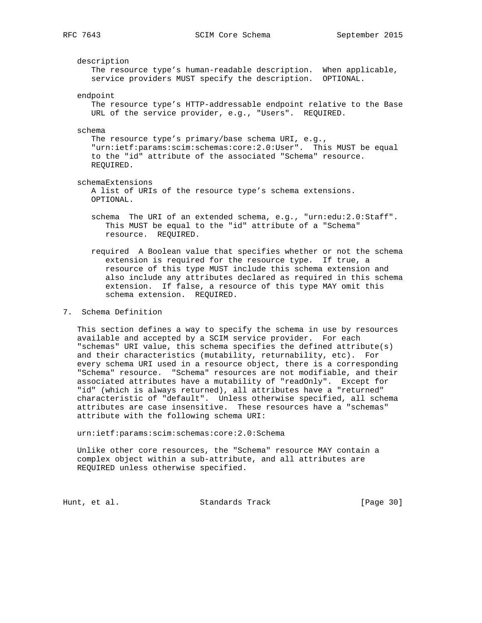## description

 The resource type's human-readable description. When applicable, service providers MUST specify the description. OPTIONAL.

endpoint

 The resource type's HTTP-addressable endpoint relative to the Base URL of the service provider, e.g., "Users". REQUIRED.

#### schema

 The resource type's primary/base schema URI, e.g., "urn:ietf:params:scim:schemas:core:2.0:User". This MUST be equal to the "id" attribute of the associated "Schema" resource. REQUIRED.

schemaExtensions

 A list of URIs of the resource type's schema extensions. OPTIONAL.

 schema The URI of an extended schema, e.g., "urn:edu:2.0:Staff". This MUST be equal to the "id" attribute of a "Schema" resource. REQUIRED.

 required A Boolean value that specifies whether or not the schema extension is required for the resource type. If true, a resource of this type MUST include this schema extension and also include any attributes declared as required in this schema extension. If false, a resource of this type MAY omit this schema extension. REQUIRED.

## 7. Schema Definition

 This section defines a way to specify the schema in use by resources available and accepted by a SCIM service provider. For each "schemas" URI value, this schema specifies the defined attribute(s) and their characteristics (mutability, returnability, etc). For every schema URI used in a resource object, there is a corresponding "Schema" resource. "Schema" resources are not modifiable, and their associated attributes have a mutability of "readOnly". Except for "id" (which is always returned), all attributes have a "returned" characteristic of "default". Unless otherwise specified, all schema attributes are case insensitive. These resources have a "schemas" attribute with the following schema URI:

urn:ietf:params:scim:schemas:core:2.0:Schema

 Unlike other core resources, the "Schema" resource MAY contain a complex object within a sub-attribute, and all attributes are REQUIRED unless otherwise specified.

Hunt, et al. Standards Track [Page 30]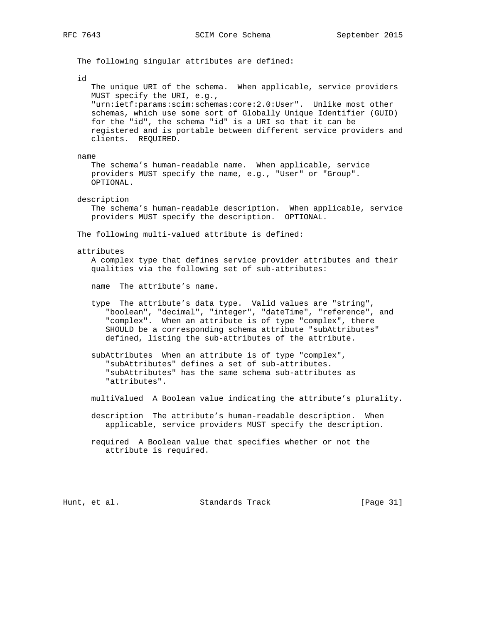The following singular attributes are defined: id The unique URI of the schema. When applicable, service providers MUST specify the URI, e.g., "urn:ietf:params:scim:schemas:core:2.0:User". Unlike most other schemas, which use some sort of Globally Unique Identifier (GUID) for the "id", the schema "id" is a URI so that it can be registered and is portable between different service providers and clients. REQUIRED. name The schema's human-readable name. When applicable, service providers MUST specify the name, e.g., "User" or "Group". OPTIONAL. description The schema's human-readable description. When applicable, service providers MUST specify the description. OPTIONAL. The following multi-valued attribute is defined: attributes A complex type that defines service provider attributes and their qualities via the following set of sub-attributes: name The attribute's name. type The attribute's data type. Valid values are "string", "boolean", "decimal", "integer", "dateTime", "reference", and "complex". When an attribute is of type "complex", there SHOULD be a corresponding schema attribute "subAttributes" defined, listing the sub-attributes of the attribute. subAttributes When an attribute is of type "complex", "subAttributes" defines a set of sub-attributes. "subAttributes" has the same schema sub-attributes as "attributes". multiValued A Boolean value indicating the attribute's plurality. description The attribute's human-readable description. When applicable, service providers MUST specify the description. required A Boolean value that specifies whether or not the attribute is required.

Hunt, et al. Standards Track [Page 31]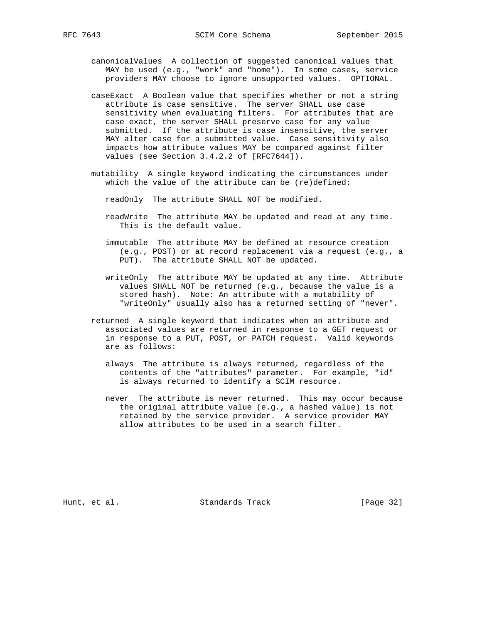- canonicalValues A collection of suggested canonical values that MAY be used (e.g., "work" and "home"). In some cases, service providers MAY choose to ignore unsupported values. OPTIONAL.
- caseExact A Boolean value that specifies whether or not a string attribute is case sensitive. The server SHALL use case sensitivity when evaluating filters. For attributes that are case exact, the server SHALL preserve case for any value submitted. If the attribute is case insensitive, the server MAY alter case for a submitted value. Case sensitivity also impacts how attribute values MAY be compared against filter values (see Section 3.4.2.2 of [RFC7644]).
- mutability A single keyword indicating the circumstances under which the value of the attribute can be (re)defined:
	- readOnly The attribute SHALL NOT be modified.
	- readWrite The attribute MAY be updated and read at any time. This is the default value.
	- immutable The attribute MAY be defined at resource creation (e.g., POST) or at record replacement via a request (e.g., a PUT). The attribute SHALL NOT be updated.
	- writeOnly The attribute MAY be updated at any time. Attribute values SHALL NOT be returned (e.g., because the value is a stored hash). Note: An attribute with a mutability of "writeOnly" usually also has a returned setting of "never".
- returned A single keyword that indicates when an attribute and associated values are returned in response to a GET request or in response to a PUT, POST, or PATCH request. Valid keywords are as follows:
	- always The attribute is always returned, regardless of the contents of the "attributes" parameter. For example, "id" is always returned to identify a SCIM resource.
	- never The attribute is never returned. This may occur because the original attribute value (e.g., a hashed value) is not retained by the service provider. A service provider MAY allow attributes to be used in a search filter.

Hunt, et al. Standards Track [Page 32]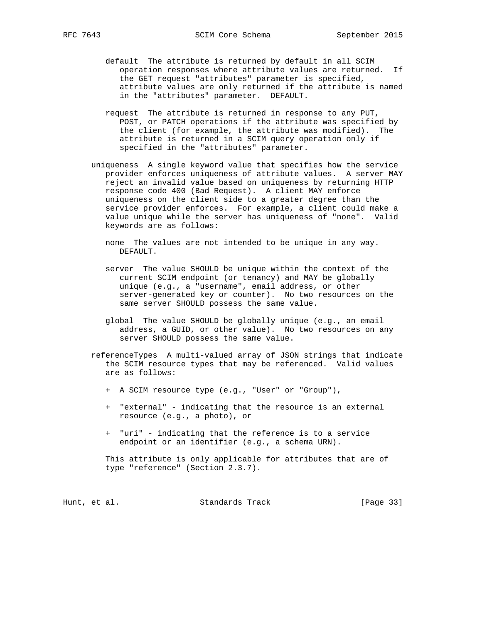- default The attribute is returned by default in all SCIM operation responses where attribute values are returned. If the GET request "attributes" parameter is specified, attribute values are only returned if the attribute is named in the "attributes" parameter. DEFAULT.
- request The attribute is returned in response to any PUT, POST, or PATCH operations if the attribute was specified by the client (for example, the attribute was modified). The attribute is returned in a SCIM query operation only if specified in the "attributes" parameter.
- uniqueness A single keyword value that specifies how the service provider enforces uniqueness of attribute values. A server MAY reject an invalid value based on uniqueness by returning HTTP response code 400 (Bad Request). A client MAY enforce uniqueness on the client side to a greater degree than the service provider enforces. For example, a client could make a value unique while the server has uniqueness of "none". Valid keywords are as follows:
	- none The values are not intended to be unique in any way. DEFAULT.
	- server The value SHOULD be unique within the context of the current SCIM endpoint (or tenancy) and MAY be globally unique (e.g., a "username", email address, or other server-generated key or counter). No two resources on the same server SHOULD possess the same value.
	- global The value SHOULD be globally unique (e.g., an email address, a GUID, or other value). No two resources on any server SHOULD possess the same value.
- referenceTypes A multi-valued array of JSON strings that indicate the SCIM resource types that may be referenced. Valid values are as follows:
	- + A SCIM resource type (e.g., "User" or "Group"),
	- + "external" indicating that the resource is an external resource (e.g., a photo), or
	- + "uri" indicating that the reference is to a service endpoint or an identifier (e.g., a schema URN).

 This attribute is only applicable for attributes that are of type "reference" (Section 2.3.7).

| [Page 33]<br>Standards Track<br>Hunt, et al. |  |  |  |  |  |
|----------------------------------------------|--|--|--|--|--|
|----------------------------------------------|--|--|--|--|--|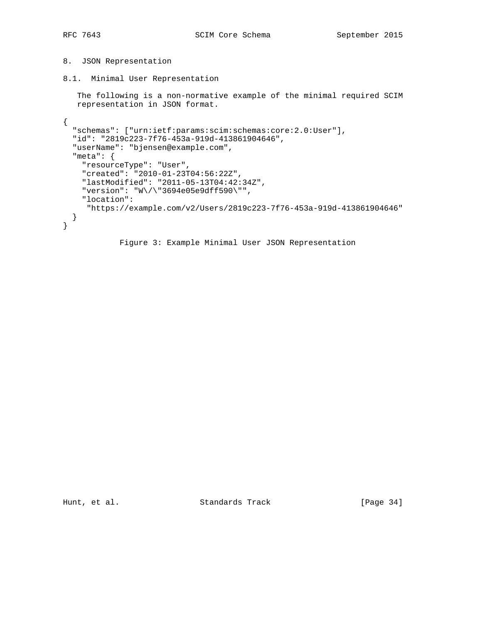# 8. JSON Representation

8.1. Minimal User Representation

 The following is a non-normative example of the minimal required SCIM representation in JSON format.

```
{
   "schemas": ["urn:ietf:params:scim:schemas:core:2.0:User"],
   "id": "2819c223-7f76-453a-919d-413861904646",
   "userName": "bjensen@example.com",
   "meta": {
     "resourceType": "User",
     "created": "2010-01-23T04:56:22Z",
     "lastModified": "2011-05-13T04:42:34Z",
     "version": "W\/\"3694e05e9dff590\"",
     "location":
     "https://example.com/v2/Users/2819c223-7f76-453a-919d-413861904646"
   }
}
             Figure 3: Example Minimal User JSON Representation
```
Hunt, et al. Standards Track [Page 34]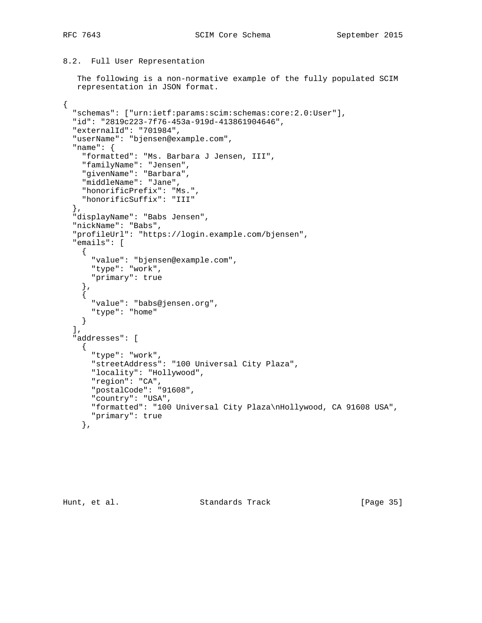{

# 8.2. Full User Representation

```
 The following is a non-normative example of the fully populated SCIM
 representation in JSON format.
```

```
 "schemas": ["urn:ietf:params:scim:schemas:core:2.0:User"],
 "id": "2819c223-7f76-453a-919d-413861904646",
 "externalId": "701984",
 "userName": "bjensen@example.com",
 "name": {
   "formatted": "Ms. Barbara J Jensen, III",
   "familyName": "Jensen",
   "givenName": "Barbara",
   "middleName": "Jane",
   "honorificPrefix": "Ms.",
   "honorificSuffix": "III"
 },
 "displayName": "Babs Jensen",
 "nickName": "Babs",
 "profileUrl": "https://login.example.com/bjensen",
 "emails": [
  \left\{ \right. "value": "bjensen@example.com",
     "type": "work",
     "primary": true
   },
   {
     "value": "babs@jensen.org",
     "type": "home"
  }
\left| \right|,
 "addresses": [
   {
     "type": "work",
     "streetAddress": "100 Universal City Plaza",
     "locality": "Hollywood",
     "region": "CA",
     "postalCode": "91608",
     "country": "USA",
     "formatted": "100 Universal City Plaza\nHollywood, CA 91608 USA",
     "primary": true
   },
```
Hunt, et al. Standards Track [Page 35]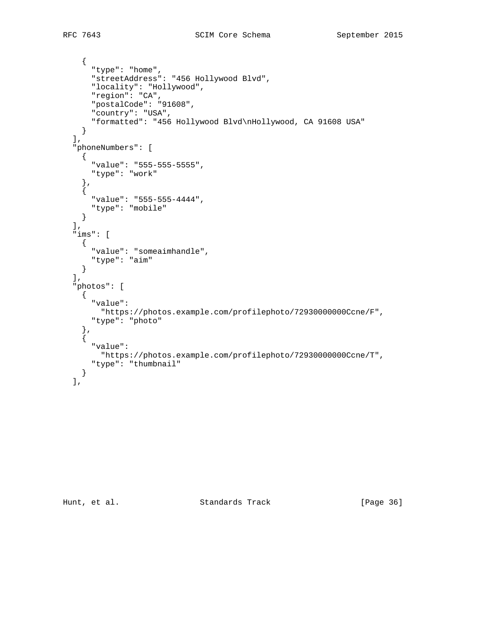```
 {
       "type": "home",
       "streetAddress": "456 Hollywood Blvd",
       "locality": "Hollywood",
 "region": "CA",
 "postalCode": "91608",
       "country": "USA",
      "formatted": "456 Hollywood Blvd\nHollywood, CA 91608 USA"
     }
  ],
   "phoneNumbers": [
    {
       "value": "555-555-5555",
      "type": "work"
     },
     {
       "value": "555-555-4444",
      "type": "mobile"
    }
 \frac{1}{2},
   "ims": [
     {
      "value": "someaimhandle",
      "type": "aim"
     }
 \left| \cdot \right| "photos": [
     {
       "value":
        "https://photos.example.com/profilephoto/72930000000Ccne/F",
       "type": "photo"
 },
\{ "value":
        "https://photos.example.com/profilephoto/72930000000Ccne/T",
      "type": "thumbnail"
     }
  ],
```
Hunt, et al. Standards Track [Page 36]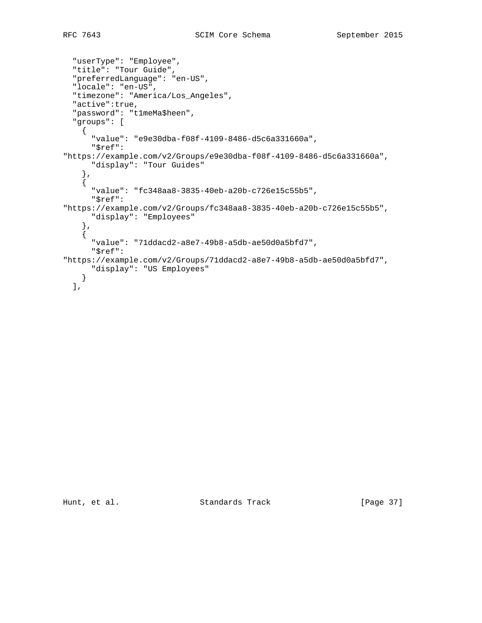```
 "userType": "Employee",
  "title": "Tour Guide",
  "preferredLanguage": "en-US",
  "locale": "en-US",
  "timezone": "America/Los_Angeles",
  "active":true,
  "password": "t1meMa$heen",
  "groups": [
     {
       "value": "e9e30dba-f08f-4109-8486-d5c6a331660a",
       "$ref":
"https://example.com/v2/Groups/e9e30dba-f08f-4109-8486-d5c6a331660a",
      "display": "Tour Guides"
 },
\{ "value": "fc348aa8-3835-40eb-a20b-c726e15c55b5",
       "$ref":
"https://example.com/v2/Groups/fc348aa8-3835-40eb-a20b-c726e15c55b5",
       "display": "Employees"
     },
\{ "value": "71ddacd2-a8e7-49b8-a5db-ae50d0a5bfd7",
       "$ref":
"https://example.com/v2/Groups/71ddacd2-a8e7-49b8-a5db-ae50d0a5bfd7",
      "display": "US Employees"
     }
  ],
```
Hunt, et al. Standards Track [Page 37]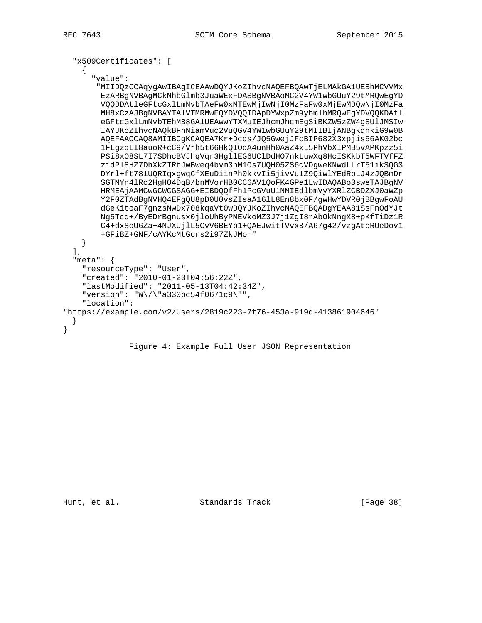```
 "x509Certificates": [
    {
       "value":
       "MIIDQzCCAqygAwIBAgICEAAwDQYJKoZIhvcNAQEFBQAwTjELMAkGA1UEBhMCVVMx
        EzARBgNVBAgMCkNhbGlmb3JuaWExFDASBgNVBAoMC2V4YW1wbGUuY29tMRQwEgYD
        VQQDDAtleGFtcGxlLmNvbTAeFw0xMTEwMjIwNjI0MzFaFw0xMjEwMDQwNjI0MzFa
        MH8xCzAJBgNVBAYTAlVTMRMwEQYDVQQIDApDYWxpZm9ybmlhMRQwEgYDVQQKDAtl
        eGFtcGxlLmNvbTEhMB8GA1UEAwwYTXMuIEJhcmJhcmEgSiBKZW5zZW4gSUlJMSIw
        IAYJKoZIhvcNAQkBFhNiamVuc2VuQGV4YW1wbGUuY29tMIIBIjANBgkqhkiG9w0B
        AQEFAAOCAQ8AMIIBCgKCAQEA7Kr+Dcds/JQ5GwejJFcBIP682X3xpjis56AK02bc
        1FLgzdLI8auoR+cC9/Vrh5t66HkQIOdA4unHh0AaZ4xL5PhVbXIPMB5vAPKpzz5i
        PSi8xO8SL7I7SDhcBVJhqVqr3HgllEG6UClDdHO7nkLuwXq8HcISKkbT5WFTVfFZ
        zidPl8HZ7DhXkZIRtJwBweq4bvm3hM1Os7UQH05ZS6cVDgweKNwdLLrT51ikSQG3
        DYrl+ft781UQRIqxgwqCfXEuDiinPh0kkvIi5jivVu1Z9QiwlYEdRbLJ4zJQBmDr
        SGTMYn4lRc2HgHO4DqB/bnMVorHB0CC6AV1QoFK4GPe1LwIDAQABo3sweTAJBgNV
        HRMEAjAAMCwGCWCGSAGG+EIBDQQfFh1PcGVuU1NMIEdlbmVyYXRlZCBDZXJ0aWZp
        Y2F0ZTAdBgNVHQ4EFgQU8pD0U0vsZIsaA16lL8En8bx0F/gwHwYDVR0jBBgwFoAU
        dGeKitcaF7gnzsNwDx708kqaVt0wDQYJKoZIhvcNAQEFBQADgYEAA81SsFnOdYJt
        Ng5Tcq+/ByEDrBgnusx0jloUhByPMEVkoMZ3J7j1ZgI8rAbOkNngX8+pKfTiDz1R
        C4+dx8oU6Za+4NJXUjlL5CvV6BEYb1+QAEJwitTVvxB/A67g42/vzgAtoRUeDov1
        +GFiBZ+GNF/cAYKcMtGcrs2i97ZkJMo="
    }
  ],
  "meta": {
    "resourceType": "User",
    "created": "2010-01-23T04:56:22Z",
    "lastModified": "2011-05-13T04:42:34Z",
    "version": "W\/\"a330bc54f0671c9\"",
    "location":
"https://example.com/v2/Users/2819c223-7f76-453a-919d-413861904646"
  }
```

```
 Figure 4: Example Full User JSON Representation
```
}

Hunt, et al. Standards Track [Page 38]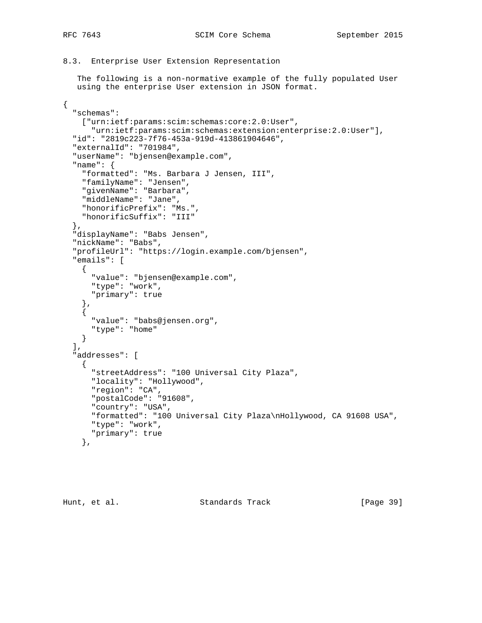{

```
8.3. Enterprise User Extension Representation
```
 The following is a non-normative example of the fully populated User using the enterprise User extension in JSON format.

```
 "schemas":
     ["urn:ietf:params:scim:schemas:core:2.0:User",
       "urn:ietf:params:scim:schemas:extension:enterprise:2.0:User"],
  "id": "2819c223-7f76-453a-919d-413861904646",
   "externalId": "701984",
   "userName": "bjensen@example.com",
   "name": {
     "formatted": "Ms. Barbara J Jensen, III",
     "familyName": "Jensen",
     "givenName": "Barbara",
     "middleName": "Jane",
     "honorificPrefix": "Ms.",
    "honorificSuffix": "III"
  },
  "displayName": "Babs Jensen",
  "nickName": "Babs",
   "profileUrl": "https://login.example.com/bjensen",
   "emails": [
     {
       "value": "bjensen@example.com",
       "type": "work",
       "primary": true
     },
\{ "value": "babs@jensen.org",
      "type": "home"
    }
  ],
   "addresses": [
   \left\{ \right. "streetAddress": "100 Universal City Plaza",
 "locality": "Hollywood",
 "region": "CA",
       "postalCode": "91608",
       "country": "USA",
       "formatted": "100 Universal City Plaza\nHollywood, CA 91608 USA",
       "type": "work",
       "primary": true
     },
```
Hunt, et al. Standards Track [Page 39]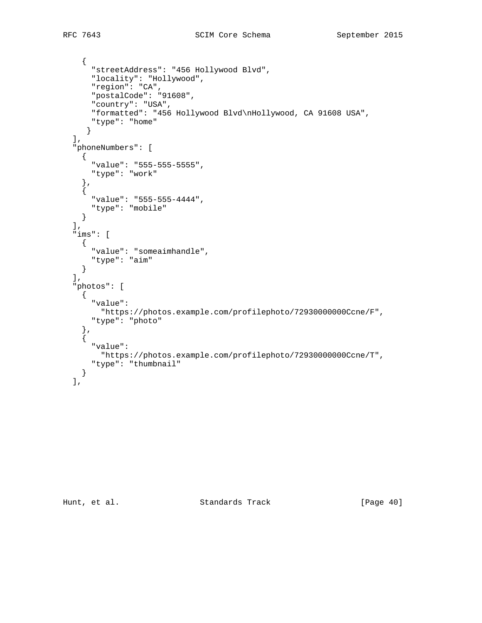```
 {
       "streetAddress": "456 Hollywood Blvd",
 "locality": "Hollywood",
 "region": "CA",
       "postalCode": "91608",
       "country": "USA",
       "formatted": "456 Hollywood Blvd\nHollywood, CA 91608 USA",
      "type": "home"
      }
 \vert,
   "phoneNumbers": [
   \{ "value": "555-555-5555",
       "type": "work"
     },
     {
       "value": "555-555-4444",
      "type": "mobile"
    }
 \vert,
   "ims": [
     {
      "value": "someaimhandle",
      "type": "aim"
     }
 \left| \cdot \right| "photos": [
     {
       "value":
        "https://photos.example.com/profilephoto/72930000000Ccne/F",
       "type": "photo"
 },
\{ "value":
        "https://photos.example.com/profilephoto/72930000000Ccne/T",
      "type": "thumbnail"
     }
  ],
```
Hunt, et al. Standards Track [Page 40]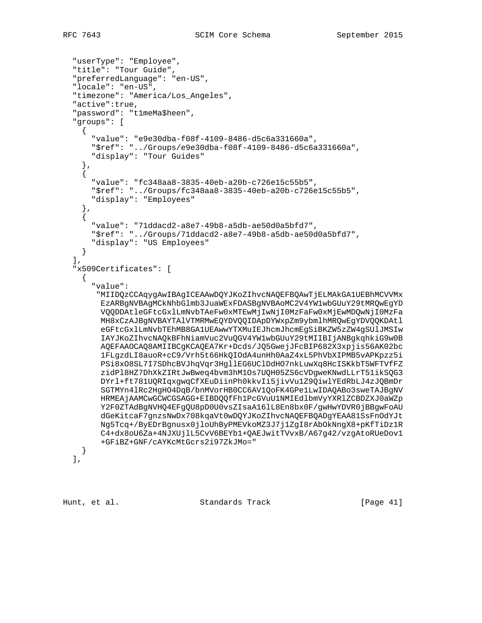```
 "userType": "Employee",
   "title": "Tour Guide",
   "preferredLanguage": "en-US",
  "locale": "en-US",
  "timezone": "America/Los_Angeles",
  "active":true,
  "password": "t1meMa$heen",
   "groups": [
    {
       "value": "e9e30dba-f08f-4109-8486-d5c6a331660a",
       "$ref": "../Groups/e9e30dba-f08f-4109-8486-d5c6a331660a",
       "display": "Tour Guides"
     },
\{ "value": "fc348aa8-3835-40eb-a20b-c726e15c55b5",
       "$ref": "../Groups/fc348aa8-3835-40eb-a20b-c726e15c55b5",
       "display": "Employees"
     },
\{ "value": "71ddacd2-a8e7-49b8-a5db-ae50d0a5bfd7",
       "$ref": "../Groups/71ddacd2-a8e7-49b8-a5db-ae50d0a5bfd7",
       "display": "US Employees"
     }
 \cdot "x509Certificates": [
     {
       "value":
        "MIIDQzCCAqygAwIBAgICEAAwDQYJKoZIhvcNAQEFBQAwTjELMAkGA1UEBhMCVVMx
        EzARBgNVBAgMCkNhbGlmb3JuaWExFDASBgNVBAoMC2V4YW1wbGUuY29tMRQwEgYD
        VQQDDAtleGFtcGxlLmNvbTAeFw0xMTEwMjIwNjI0MzFaFw0xMjEwMDQwNjI0MzFa
        MH8xCzAJBgNVBAYTAlVTMRMwEQYDVQQIDApDYWxpZm9ybmlhMRQwEgYDVQQKDAtl
        eGFtcGxlLmNvbTEhMB8GA1UEAwwYTXMuIEJhcmJhcmEgSiBKZW5zZW4gSUlJMSIw
         IAYJKoZIhvcNAQkBFhNiamVuc2VuQGV4YW1wbGUuY29tMIIBIjANBgkqhkiG9w0B
        AQEFAAOCAQ8AMIIBCgKCAQEA7Kr+Dcds/JQ5GwejJFcBIP682X3xpjis56AK02bc
         1FLgzdLI8auoR+cC9/Vrh5t66HkQIOdA4unHh0AaZ4xL5PhVbXIPMB5vAPKpzz5i
        PSi8xO8SL7I7SDhcBVJhqVqr3HgllEG6UClDdHO7nkLuwXq8HcISKkbT5WFTVfFZ
         zidPl8HZ7DhXkZIRtJwBweq4bvm3hM1Os7UQH05ZS6cVDgweKNwdLLrT51ikSQG3
        DYrl+ft781UQRIqxgwqCfXEuDiinPh0kkvIi5jivVu1Z9QiwlYEdRbLJ4zJQBmDr
         SGTMYn4lRc2HgHO4DqB/bnMVorHB0CC6AV1QoFK4GPe1LwIDAQABo3sweTAJBgNV
        HRMEAjAAMCwGCWCGSAGG+EIBDQQfFh1PcGVuU1NMIEdlbmVyYXRlZCBDZXJ0aWZp
        Y2F0ZTAdBgNVHQ4EFgQU8pD0U0vsZIsaA16lL8En8bx0F/gwHwYDVR0jBBgwFoAU
        dGeKitcaF7gnzsNwDx708kqaVt0wDQYJKoZIhvcNAQEFBQADgYEAA81SsFnOdYJt
        Ng5Tcq+/ByEDrBgnusx0jloUhByPMEVkoMZ3J7j1ZgI8rAbOkNngX8+pKfTiDz1R
        C4+dx8oU6Za+4NJXUjlL5CvV6BEYb1+QAEJwitTVvxB/A67g42/vzgAtoRUeDov1
        +GFiBZ+GNF/cAYKcMtGcrs2i97ZkJMo="
     }
  ],
```
Hunt, et al. Standards Track [Page 41]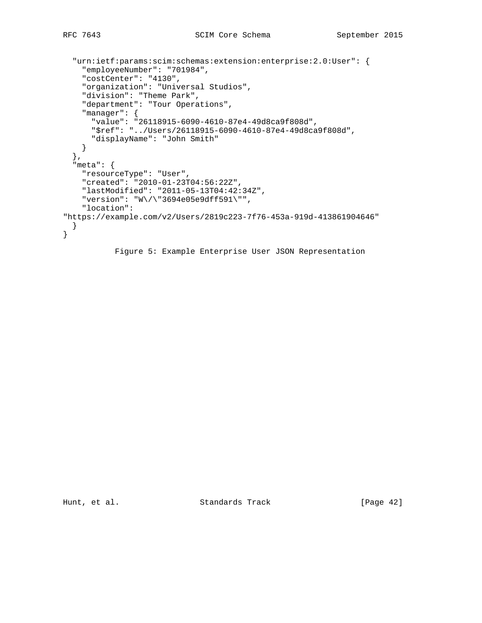```
 "urn:ietf:params:scim:schemas:extension:enterprise:2.0:User": {
     "employeeNumber": "701984",
     "costCenter": "4130",
     "organization": "Universal Studios",
     "division": "Theme Park",
     "department": "Tour Operations",
     "manager": {
      "value": "26118915-6090-4610-87e4-49d8ca9f808d",
      "$ref": "../Users/26118915-6090-4610-87e4-49d8ca9f808d",
      "displayName": "John Smith"
    }
  },
   "meta": {
    "resourceType": "User",
     "created": "2010-01-23T04:56:22Z",
     "lastModified": "2011-05-13T04:42:34Z",
     "version": "W\/\"3694e05e9dff591\"",
     "location":
"https://example.com/v2/Users/2819c223-7f76-453a-919d-413861904646"
  }
}
```
Figure 5: Example Enterprise User JSON Representation

Hunt, et al. Standards Track [Page 42]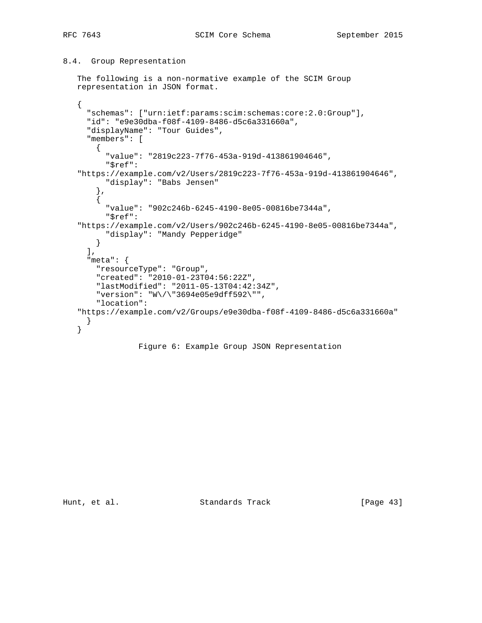## 8.4. Group Representation

```
 The following is a non-normative example of the SCIM Group
 representation in JSON format.
```

```
 {
   "schemas": ["urn:ietf:params:scim:schemas:core:2.0:Group"],
   "id": "e9e30dba-f08f-4109-8486-d5c6a331660a",
   "displayName": "Tour Guides",
   "members": [
     {
       "value": "2819c223-7f76-453a-919d-413861904646",
       "$ref":
 "https://example.com/v2/Users/2819c223-7f76-453a-919d-413861904646",
       "display": "Babs Jensen"
     },
     {
       "value": "902c246b-6245-4190-8e05-00816be7344a",
       "$ref":
 "https://example.com/v2/Users/902c246b-6245-4190-8e05-00816be7344a",
       "display": "Mandy Pepperidge"
     }
  \bf{l} ,
   "meta": {
     "resourceType": "Group",
     "created": "2010-01-23T04:56:22Z",
     "lastModified": "2011-05-13T04:42:34Z",
     "version": "W\/\"3694e05e9dff592\"",
     "location":
 "https://example.com/v2/Groups/e9e30dba-f08f-4109-8486-d5c6a331660a"
  }
 }
```
## Figure 6: Example Group JSON Representation

Hunt, et al. Standards Track [Page 43]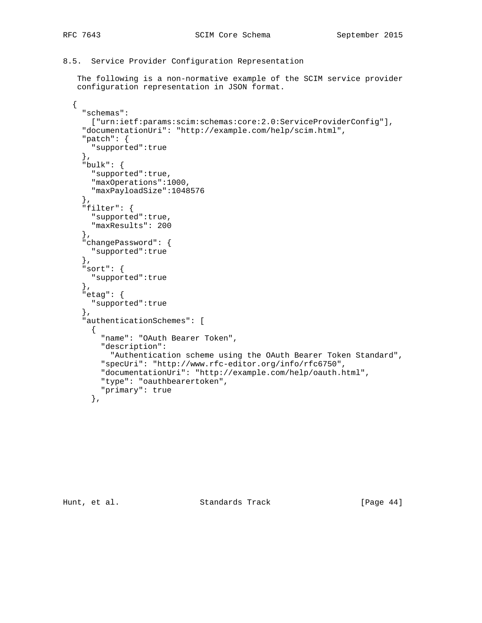8.5. Service Provider Configuration Representation

 The following is a non-normative example of the SCIM service provider configuration representation in JSON format.

```
 {
   "schemas":
     ["urn:ietf:params:scim:schemas:core:2.0:ServiceProviderConfig"],
   "documentationUri": "http://example.com/help/scim.html",
   "patch": {
     "supported":true
   },
  "bulk": {
     "supported":true,
     "maxOperations":1000,
     "maxPayloadSize":1048576
   },
   "filter": {
    "supported":true,
     "maxResults": 200
   },
   "changePassword": {
     "supported":true
   },
  "sort": {
     "supported":true
   },
   "etag": {
     "supported":true
   },
   "authenticationSchemes": [
     {
       "name": "OAuth Bearer Token",
       "description":
        "Authentication scheme using the OAuth Bearer Token Standard",
       "specUri": "http://www.rfc-editor.org/info/rfc6750",
       "documentationUri": "http://example.com/help/oauth.html",
       "type": "oauthbearertoken",
       "primary": true
     },
```
Hunt, et al. Standards Track [Page 44]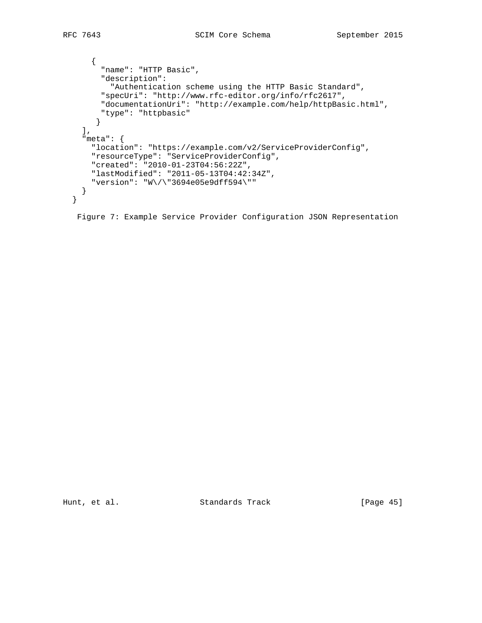```
 {
       "name": "HTTP Basic",
       "description":
        "Authentication scheme using the HTTP Basic Standard",
       "specUri": "http://www.rfc-editor.org/info/rfc2617",
       "documentationUri": "http://example.com/help/httpBasic.html",
       "type": "httpbasic"
     }
  \frac{1}{2},
   "meta": {
     "location": "https://example.com/v2/ServiceProviderConfig",
     "resourceType": "ServiceProviderConfig",
     "created": "2010-01-23T04:56:22Z",
    "lastModified": "2011-05-13T04:42:34Z",
     "version": "W\/\"3694e05e9dff594\""
   }
 }
```
Figure 7: Example Service Provider Configuration JSON Representation

Hunt, et al. Standards Track [Page 45]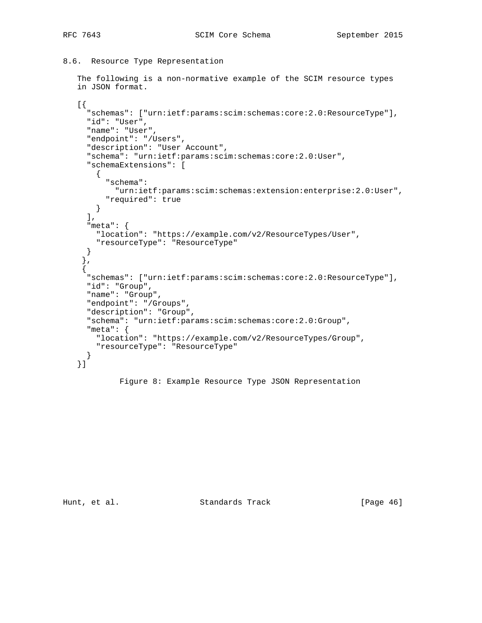8.6. Resource Type Representation

```
 The following is a non-normative example of the SCIM resource types
 in JSON format.
 [{
   "schemas": ["urn:ietf:params:scim:schemas:core:2.0:ResourceType"],
   "id": "User",
   "name": "User",
   "endpoint": "/Users",
   "description": "User Account",
   "schema": "urn:ietf:params:scim:schemas:core:2.0:User",
   "schemaExtensions": [
    \left\{ \right. "schema":
         "urn:ietf:params:scim:schemas:extension:enterprise:2.0:User",
       "required": true
    }
   ],
   "meta": {
     "location": "https://example.com/v2/ResourceTypes/User",
     "resourceType": "ResourceType"
   }
  },
  {
   "schemas": ["urn:ietf:params:scim:schemas:core:2.0:ResourceType"],
   "id": "Group",
   "name": "Group",
   "endpoint": "/Groups",
   "description": "Group",
   "schema": "urn:ietf:params:scim:schemas:core:2.0:Group",
   "meta": {
     "location": "https://example.com/v2/ResourceTypes/Group",
     "resourceType": "ResourceType"
   }
 }]
```
Figure 8: Example Resource Type JSON Representation

Hunt, et al. Standards Track [Page 46]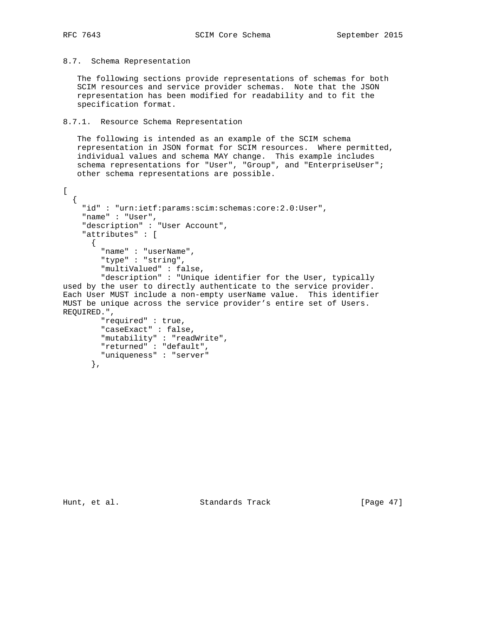## 8.7. Schema Representation

 The following sections provide representations of schemas for both SCIM resources and service provider schemas. Note that the JSON representation has been modified for readability and to fit the specification format.

## 8.7.1. Resource Schema Representation

"uniqueness" : "server"

 The following is intended as an example of the SCIM schema representation in JSON format for SCIM resources. Where permitted, individual values and schema MAY change. This example includes schema representations for "User", "Group", and "EnterpriseUser"; other schema representations are possible.

```
\Gamma {
     "id" : "urn:ietf:params:scim:schemas:core:2.0:User",
     "name" : "User",
     "description" : "User Account",
     "attributes" : [
\{ "name" : "userName",
         "type" : "string",
         "multiValued" : false,
         "description" : "Unique identifier for the User, typically
used by the user to directly authenticate to the service provider.
Each User MUST include a non-empty userName value. This identifier
MUST be unique across the service provider's entire set of Users.
REQUIRED.",
         "required" : true,
         "caseExact" : false,
         "mutability" : "readWrite",
         "returned" : "default",
```
},

Hunt, et al. Standards Track [Page 47]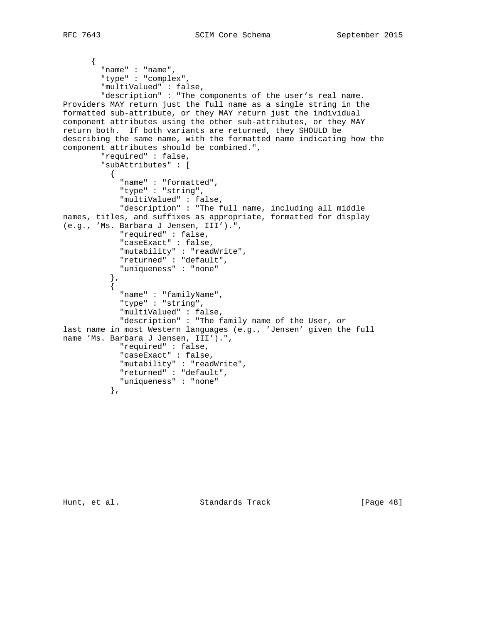```
 {
         "name" : "name",
         "type" : "complex",
         "multiValued" : false,
         "description" : "The components of the user's real name.
Providers MAY return just the full name as a single string in the
formatted sub-attribute, or they MAY return just the individual
component attributes using the other sub-attributes, or they MAY
return both. If both variants are returned, they SHOULD be
describing the same name, with the formatted name indicating how the
component attributes should be combined.",
         "required" : false,
         "subAttributes" : [
\{ "name" : "formatted",
             "type" : "string",
             "multiValued" : false,
             "description" : "The full name, including all middle
names, titles, and suffixes as appropriate, formatted for display
(e.g., 'Ms. Barbara J Jensen, III').",
             "required" : false,
             "caseExact" : false,
             "mutability" : "readWrite",
             "returned" : "default",
             "uniqueness" : "none"
 },
\{ "name" : "familyName",
             "type" : "string",
             "multiValued" : false,
             "description" : "The family name of the User, or
last name in most Western languages (e.g., 'Jensen' given the full
name 'Ms. Barbara J Jensen, III').",
             "required" : false,
             "caseExact" : false,
             "mutability" : "readWrite",
             "returned" : "default",
             "uniqueness" : "none"
           },
```
Hunt, et al. Standards Track [Page 48]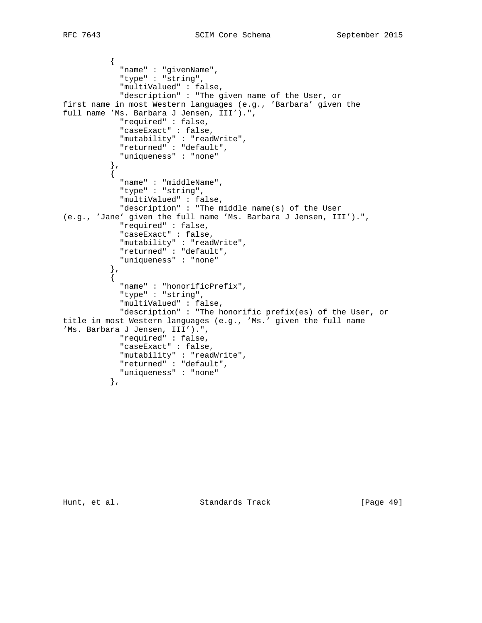```
\{ "name" : "givenName",
             "type" : "string",
             "multiValued" : false,
             "description" : "The given name of the User, or
first name in most Western languages (e.g., 'Barbara' given the
full name 'Ms. Barbara J Jensen, III').",
             "required" : false,
             "caseExact" : false,
             "mutability" : "readWrite",
             "returned" : "default",
             "uniqueness" : "none"
           },
\{ "name" : "middleName",
             "type" : "string",
             "multiValued" : false,
             "description" : "The middle name(s) of the User
(e.g., 'Jane' given the full name 'Ms. Barbara J Jensen, III').",
             "required" : false,
             "caseExact" : false,
             "mutability" : "readWrite",
             "returned" : "default",
             "uniqueness" : "none"
           },
           {
             "name" : "honorificPrefix",
             "type" : "string",
             "multiValued" : false,
             "description" : "The honorific prefix(es) of the User, or
title in most Western languages (e.g., 'Ms.' given the full name
'Ms. Barbara J Jensen, III').",
             "required" : false,
             "caseExact" : false,
             "mutability" : "readWrite",
             "returned" : "default",
            "uniqueness" : "none"
           },
```
Hunt, et al. Standards Track [Page 49]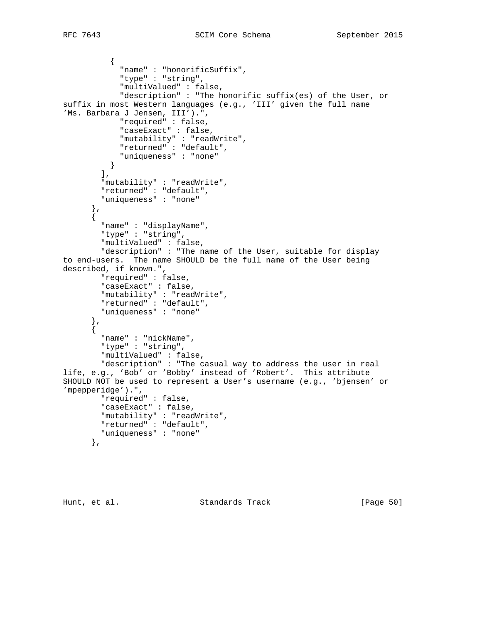```
\{ "name" : "honorificSuffix",
             "type" : "string",
             "multiValued" : false,
             "description" : "The honorific suffix(es) of the User, or
suffix in most Western languages (e.g., 'III' given the full name
'Ms. Barbara J Jensen, III').",
             "required" : false,
             "caseExact" : false,
             "mutability" : "readWrite",
             "returned" : "default",
             "uniqueness" : "none"
          }
        \left| \cdot \right| "mutability" : "readWrite",
 "returned" : "default",
         "uniqueness" : "none"
       },
      \left\{ \right. "name" : "displayName",
         "type" : "string",
         "multiValued" : false,
         "description" : "The name of the User, suitable for display
to end-users. The name SHOULD be the full name of the User being
described, if known.",
         "required" : false,
         "caseExact" : false,
         "mutability" : "readWrite",
         "returned" : "default",
         "uniqueness" : "none"
       },
       {
         "name" : "nickName",
         "type" : "string",
         "multiValued" : false,
         "description" : "The casual way to address the user in real
life, e.g., 'Bob' or 'Bobby' instead of 'Robert'. This attribute
SHOULD NOT be used to represent a User's username (e.g., 'bjensen' or
'mpepperidge').",
         "required" : false,
         "caseExact" : false,
         "mutability" : "readWrite",
         "returned" : "default",
         "uniqueness" : "none"
       },
```
Hunt, et al. Standards Track [Page 50]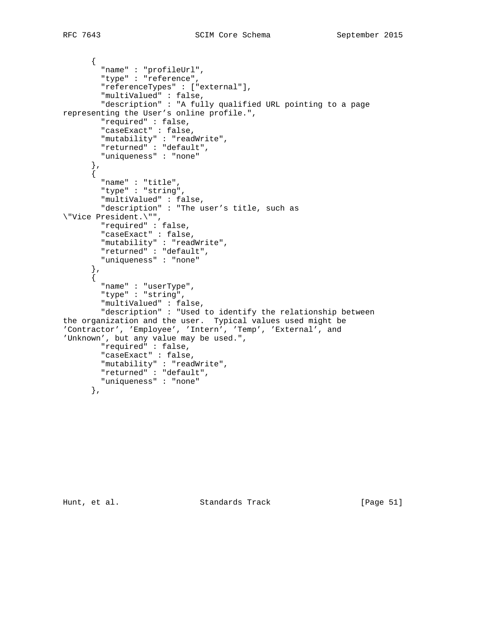```
 {
         "name" : "profileUrl",
         "type" : "reference",
         "referenceTypes" : ["external"],
         "multiValued" : false,
         "description" : "A fully qualified URL pointing to a page
representing the User's online profile.",
         "required" : false,
         "caseExact" : false,
         "mutability" : "readWrite",
         "returned" : "default",
         "uniqueness" : "none"
       },
      \{ "name" : "title",
         "type" : "string",
         "multiValued" : false,
         "description" : "The user's title, such as
\"Vice President.\"",
         "required" : false,
         "caseExact" : false,
         "mutability" : "readWrite",
         "returned" : "default",
         "uniqueness" : "none"
       },
       {
         "name" : "userType",
         "type" : "string",
         "multiValued" : false,
         "description" : "Used to identify the relationship between
the organization and the user. Typical values used might be
'Contractor', 'Employee', 'Intern', 'Temp', 'External', and
'Unknown', but any value may be used.",
         "required" : false,
         "caseExact" : false,
         "mutability" : "readWrite",
         "returned" : "default",
         "uniqueness" : "none"
       },
```
Hunt, et al. Standards Track [Page 51]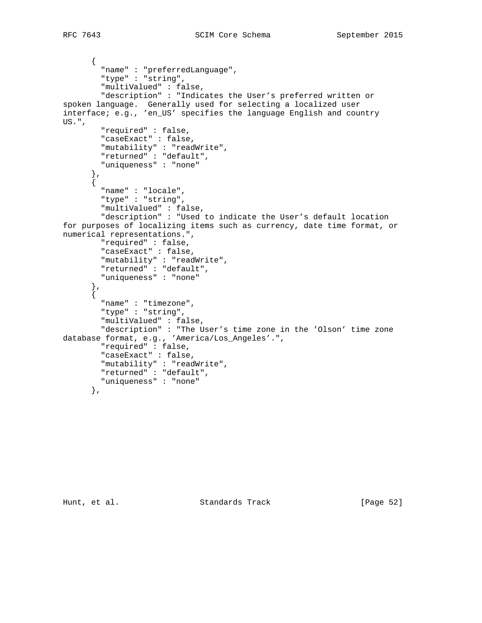```
 {
         "name" : "preferredLanguage",
         "type" : "string",
         "multiValued" : false,
         "description" : "Indicates the User's preferred written or
spoken language. Generally used for selecting a localized user
interface; e.g., 'en_US' specifies the language English and country
US.",
         "required" : false,
         "caseExact" : false,
         "mutability" : "readWrite",
         "returned" : "default",
         "uniqueness" : "none"
 },
\{ "name" : "locale",
         "type" : "string",
         "multiValued" : false,
         "description" : "Used to indicate the User's default location
for purposes of localizing items such as currency, date time format, or
numerical representations.",
         "required" : false,
         "caseExact" : false,
         "mutability" : "readWrite",
         "returned" : "default",
         "uniqueness" : "none"
       },
       {
         "name" : "timezone",
         "type" : "string",
         "multiValued" : false,
         "description" : "The User's time zone in the 'Olson' time zone
database format, e.g., 'America/Los_Angeles'.",
         "required" : false,
         "caseExact" : false,
         "mutability" : "readWrite",
         "returned" : "default",
         "uniqueness" : "none"
       },
```
Hunt, et al. Standards Track [Page 52]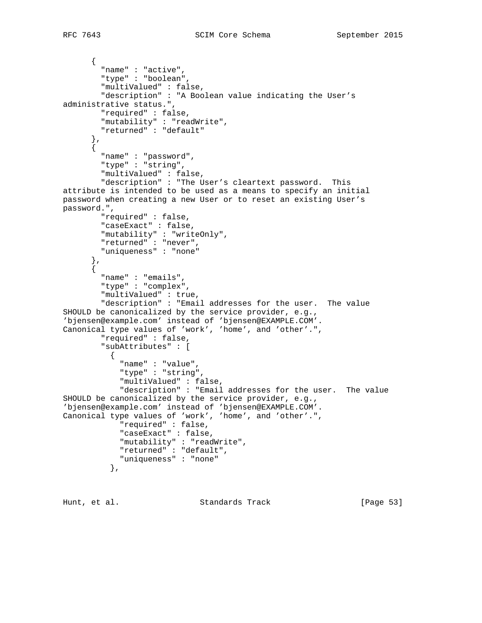```
 {
         "name" : "active",
         "type" : "boolean",
         "multiValued" : false,
         "description" : "A Boolean value indicating the User's
administrative status.",
         "required" : false,
         "mutability" : "readWrite",
         "returned" : "default"
       },
       {
         "name" : "password",
         "type" : "string",
         "multiValued" : false,
         "description" : "The User's cleartext password. This
attribute is intended to be used as a means to specify an initial
password when creating a new User or to reset an existing User's
password.",
         "required" : false,
         "caseExact" : false,
         "mutability" : "writeOnly",
         "returned" : "never",
         "uniqueness" : "none"
       },
      \zeta "name" : "emails",
         "type" : "complex",
         "multiValued" : true,
         "description" : "Email addresses for the user. The value
SHOULD be canonicalized by the service provider, e.g.,
'bjensen@example.com' instead of 'bjensen@EXAMPLE.COM'.
Canonical type values of 'work', 'home', and 'other'.",
         "required" : false,
         "subAttributes" : [
\{ "name" : "value",
             "type" : "string",
             "multiValued" : false,
             "description" : "Email addresses for the user. The value
SHOULD be canonicalized by the service provider, e.g.,
'bjensen@example.com' instead of 'bjensen@EXAMPLE.COM'.
Canonical type values of 'work', 'home', and 'other'.",
             "required" : false,
             "caseExact" : false,
             "mutability" : "readWrite",
             "returned" : "default",
             "uniqueness" : "none"
           },
```
Hunt, et al. Standards Track [Page 53]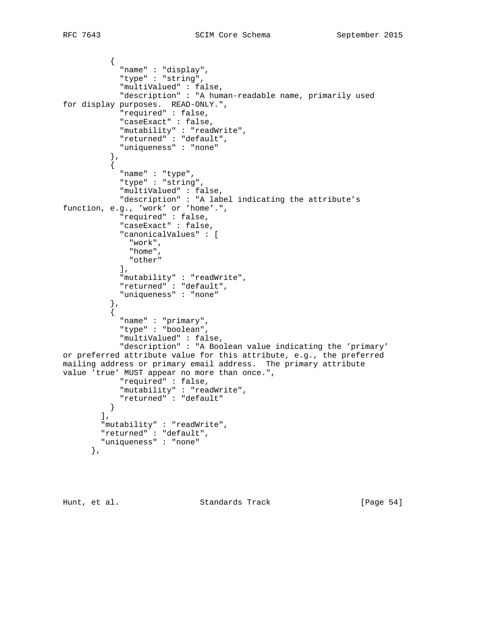```
\{ "name" : "display",
                "type" : "string",
                "multiValued" : false,
               "description" : "A human-readable name, primarily used
for display purposes. READ-ONLY.",
               "required" : false,
               "caseExact" : false,
               "mutability" : "readWrite",
               "returned" : "default",
               "uniqueness" : "none"
             },
\{ "name" : "type",
                "type" : "string",
                "multiValued" : false,
               "description" : "A label indicating the attribute's
function, e.g., 'work' or 'home'.",
               "required" : false,
               "caseExact" : false,
               "canonicalValues" : [
                 "work",
                 "home",
                 "other"
              \lfloor,
 "mutability" : "readWrite",
 "returned" : "default",
                "uniqueness" : "none"
 },
\{ "name" : "primary",
               "type" : "boolean",
                "multiValued" : false,
                "description" : "A Boolean value indicating the 'primary'
or preferred attribute value for this attribute, e.g., the preferred
mailing address or primary email address. The primary attribute
value 'true' MUST appear no more than once.",
               "required" : false,
               "mutability" : "readWrite",
               "returned" : "default"
 }
\qquad \qquad \qquad \qquad \qquad \qquad \qquad \qquad \qquad \qquad \qquad \qquad \qquad \qquad \qquad \qquad \qquad \qquad \qquad \qquad \qquad \qquad \qquad \qquad \qquad \qquad \qquad \qquad \qquad \qquad \qquad \qquad \qquad \qquad \qquad \qquad \qquad \ "mutability" : "readWrite",
          "returned" : "default",
           "uniqueness" : "none"
        },
```
Hunt, et al. Standards Track [Page 54]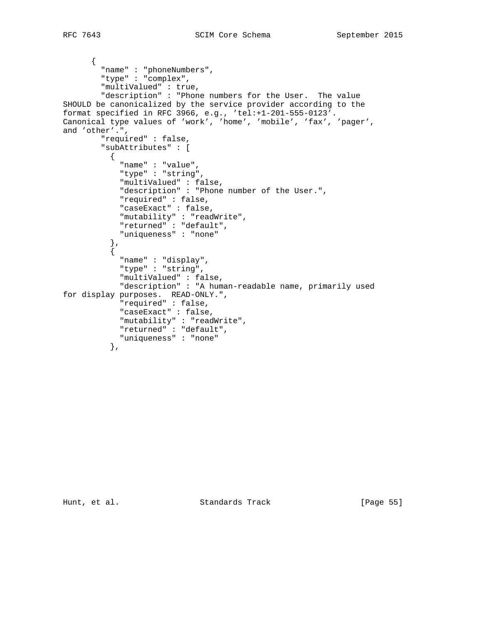```
 {
         "name" : "phoneNumbers",
         "type" : "complex",
         "multiValued" : true,
         "description" : "Phone numbers for the User. The value
SHOULD be canonicalized by the service provider according to the
format specified in RFC 3966, e.g., 'tel:+1-201-555-0123'.
Canonical type values of 'work', 'home', 'mobile', 'fax', 'pager',
and 'other'.",
         "required" : false,
         "subAttributes" : [
           {
             "name" : "value",
             "type" : "string",
             "multiValued" : false,
             "description" : "Phone number of the User.",
             "required" : false,
             "caseExact" : false,
             "mutability" : "readWrite",
             "returned" : "default",
             "uniqueness" : "none"
           },
\{ "name" : "display",
             "type" : "string",
             "multiValued" : false,
             "description" : "A human-readable name, primarily used
for display purposes. READ-ONLY.",
             "required" : false,
             "caseExact" : false,
             "mutability" : "readWrite",
             "returned" : "default",
             "uniqueness" : "none"
           },
```
Hunt, et al. Standards Track [Page 55]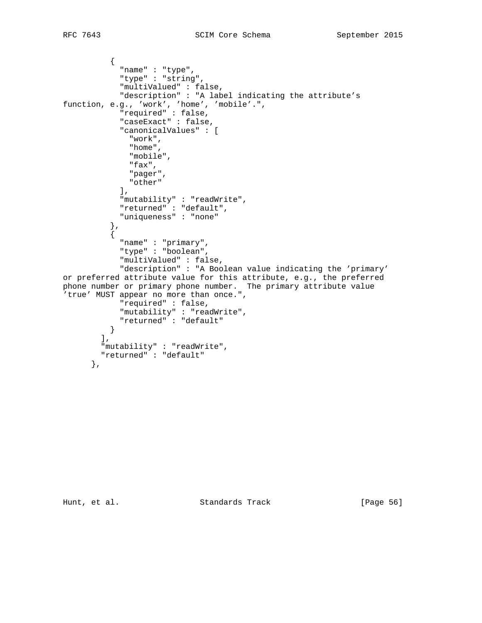```
\{ "name" : "type",
             "type" : "string",
             "multiValued" : false,
             "description" : "A label indicating the attribute's
function, e.g., 'work', 'home', 'mobile'.",
 "required" : false,
             "caseExact" : false,
             "canonicalValues" : [
               "work",
               "home",
               "mobile",
               "fax",
              "pager",
               "other"
             ],
             "mutability" : "readWrite",
             "returned" : "default",
             "uniqueness" : "none"
 },
\{ "name" : "primary",
             "type" : "boolean",
             "multiValued" : false,
             "description" : "A Boolean value indicating the 'primary'
or preferred attribute value for this attribute, e.g., the preferred
phone number or primary phone number. The primary attribute value
'true' MUST appear no more than once.",
             "required" : false,
             "mutability" : "readWrite",
             "returned" : "default"
          }
        \frac{1}{2},
         "mutability" : "readWrite",
         "returned" : "default"
       },
```
Hunt, et al. Standards Track [Page 56]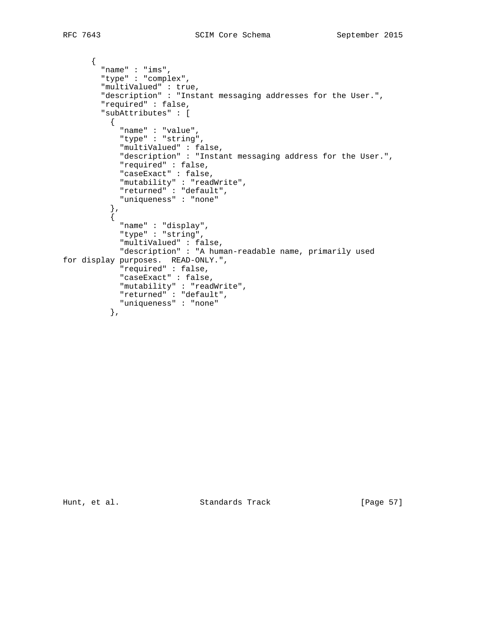```
 {
         "name" : "ims",
         "type" : "complex",
         "multiValued" : true,
         "description" : "Instant messaging addresses for the User.",
         "required" : false,
         "subAttributes" : [
          {
             "name" : "value",
            "type" : "string",
             "multiValued" : false,
             "description" : "Instant messaging address for the User.",
             "required" : false,
             "caseExact" : false,
 "mutability" : "readWrite",
 "returned" : "default",
             "uniqueness" : "none"
           },
          \left\{ \right. "name" : "display",
             "type" : "string",
             "multiValued" : false,
             "description" : "A human-readable name, primarily used
for display purposes. READ-ONLY.",
             "required" : false,
             "caseExact" : false,
 "mutability" : "readWrite",
 "returned" : "default",
            "uniqueness" : "none"
           },
```
Hunt, et al. Standards Track [Page 57]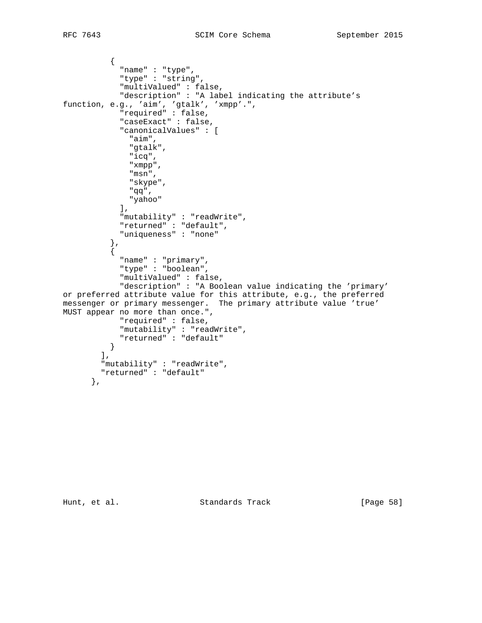```
\{ "name" : "type",
            "type" : "string",
            "multiValued" : false,
```

```
 "description" : "A label indicating the attribute's
function, e.g., 'aim', 'gtalk', 'xmpp'.",
             "required" : false,
             "caseExact" : false,
             "canonicalValues" : [
               "aim",
               "gtalk",
               "icq",
               "xmpp",
               "msn",
               "skype",
               "qq",
               "yahoo"
             ],
             "mutability" : "readWrite",
             "returned" : "default",
             "uniqueness" : "none"
           },
\{ "name" : "primary",
             "type" : "boolean",
             "multiValued" : false,
             "description" : "A Boolean value indicating the 'primary'
or preferred attribute value for this attribute, e.g., the preferred
messenger or primary messenger. The primary attribute value 'true'
MUST appear no more than once.",
             "required" : false,
             "mutability" : "readWrite",
             "returned" : "default"
          }
        \mathbf{I},
         "mutability" : "readWrite",
         "returned" : "default"
       },
```
Hunt, et al. Standards Track [Page 58]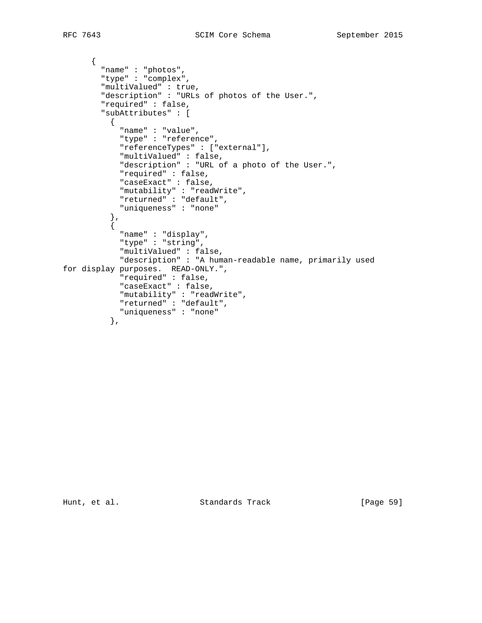```
 {
         "name" : "photos",
         "type" : "complex",
         "multiValued" : true,
         "description" : "URLs of photos of the User.",
         "required" : false,
         "subAttributes" : [
          {
            "name" : "value",
            "type" : "reference",
            "referenceTypes" : ["external"],
             "multiValued" : false,
             "description" : "URL of a photo of the User.",
             "required" : false,
             "caseExact" : false,
 "mutability" : "readWrite",
 "returned" : "default",
            "uniqueness" : "none"
           },
           {
            "name" : "display",
             "type" : "string",
             "multiValued" : false,
             "description" : "A human-readable name, primarily used
for display purposes. READ-ONLY.",
             "required" : false,
             "caseExact" : false,
 "mutability" : "readWrite",
 "returned" : "default",
            "uniqueness" : "none"
           },
```
Hunt, et al. Standards Track [Page 59]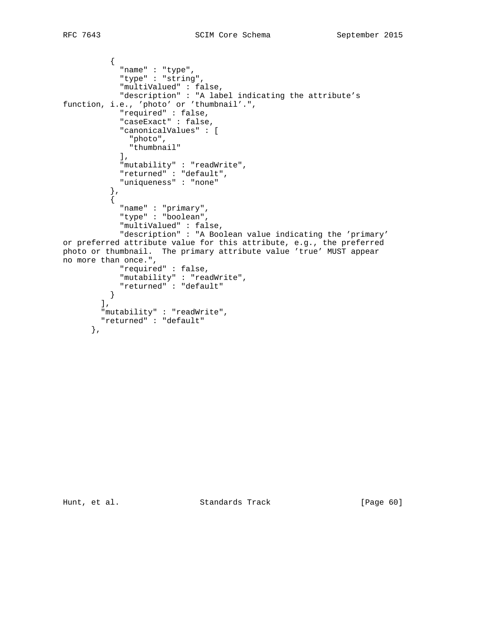```
RFC 7643 SCIM Core Schema September 2015
```

```
\{ "name" : "type",
             "type" : "string",
             "multiValued" : false,
             "description" : "A label indicating the attribute's
function, i.e., 'photo' or 'thumbnail'.",
             "required" : false,
             "caseExact" : false,
             "canonicalValues" : [
              "photo",
              "thumbnail"
            \cdot "mutability" : "readWrite",
             "returned" : "default",
             "uniqueness" : "none"
           },
           {
            "name" : "primary",
             "type" : "boolean",
             "multiValued" : false,
             "description" : "A Boolean value indicating the 'primary'
or preferred attribute value for this attribute, e.g., the preferred
photo or thumbnail. The primary attribute value 'true' MUST appear
no more than once.",
             "required" : false,
 "mutability" : "readWrite",
 "returned" : "default"
          }
        ] , \, "mutability" : "readWrite",
        "returned" : "default"
       },
```
Hunt, et al. Standards Track [Page 60]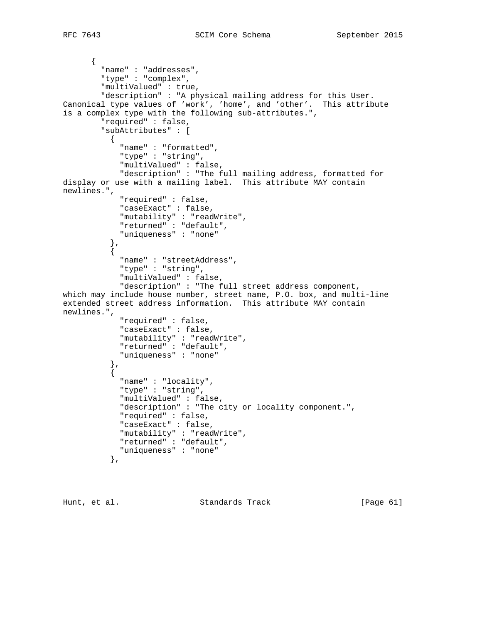```
 {
         "name" : "addresses",
         "type" : "complex",
         "multiValued" : true,
         "description" : "A physical mailing address for this User.
Canonical type values of 'work', 'home', and 'other'. This attribute
is a complex type with the following sub-attributes.",
         "required" : false,
         "subAttributes" : [
           {
             "name" : "formatted",
             "type" : "string",
             "multiValued" : false,
             "description" : "The full mailing address, formatted for
display or use with a mailing label. This attribute MAY contain
newlines.",
             "required" : false,
             "caseExact" : false,
             "mutability" : "readWrite",
             "returned" : "default",
             "uniqueness" : "none"
           },
\{ "name" : "streetAddress",
             "type" : "string",
             "multiValued" : false,
             "description" : "The full street address component,
which may include house number, street name, P.O. box, and multi-line
extended street address information. This attribute MAY contain
newlines.",
             "required" : false,
             "caseExact" : false,
             "mutability" : "readWrite",
             "returned" : "default",
             "uniqueness" : "none"
           },
\{ "name" : "locality",
             "type" : "string",
             "multiValued" : false,
             "description" : "The city or locality component.",
             "required" : false,
             "caseExact" : false,
             "mutability" : "readWrite",
             "returned" : "default",
             "uniqueness" : "none"
           },
```
Hunt, et al. Standards Track [Page 61]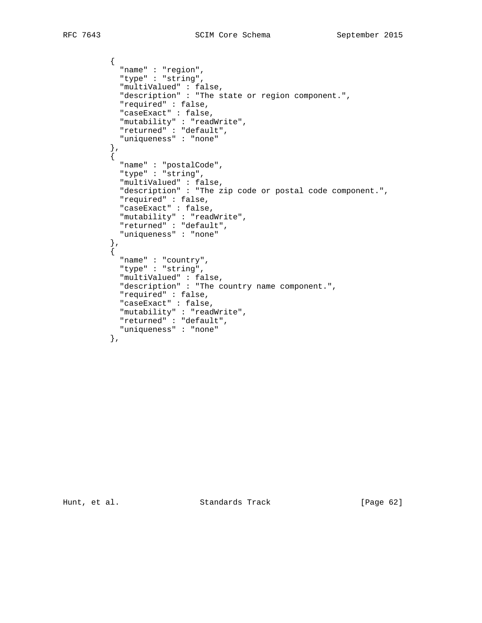```
\{ "name" : "region",
             "type" : "string",
             "multiValued" : false,
             "description" : "The state or region component.",
             "required" : false,
             "caseExact" : false,
             "mutability" : "readWrite",
             "returned" : "default",
             "uniqueness" : "none"
 },
\{ "name" : "postalCode",
             "type" : "string",
             "multiValued" : false,
             "description" : "The zip code or postal code component.",
             "required" : false,
             "caseExact" : false,
             "mutability" : "readWrite",
            "returned" : "default",
             "uniqueness" : "none"
           },
           {
            "name" : "country",
             "type" : "string",
             "multiValued" : false,
             "description" : "The country name component.",
             "required" : false,
             "caseExact" : false,
             "mutability" : "readWrite",
            "returned" : "default",
            "uniqueness" : "none"
           },
```
Hunt, et al. Standards Track [Page 62]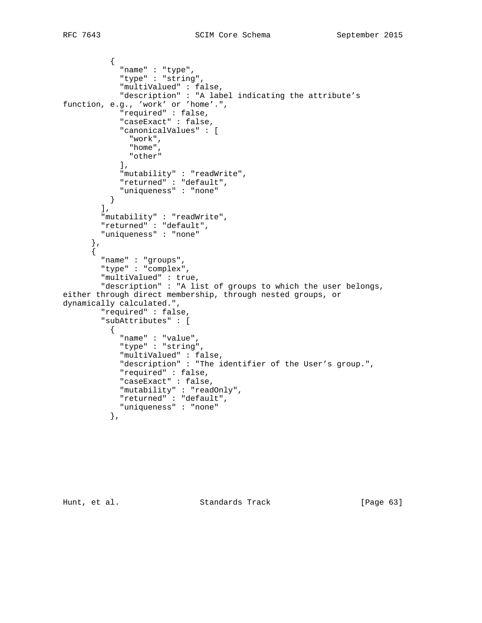```
\{ "name" : "type",
             "type" : "string",
             "multiValued" : false,
             "description" : "A label indicating the attribute's
function, e.g., 'work' or 'home'.",
             "required" : false,
             "caseExact" : false,
             "canonicalValues" : [
              "work",
              "home",
              "other"
             ],
 "mutability" : "readWrite",
 "returned" : "default",
             "uniqueness" : "none"
          }
         ],
         "mutability" : "readWrite",
         "returned" : "default",
         "uniqueness" : "none"
       },
       {
         "name" : "groups",
         "type" : "complex",
         "multiValued" : true,
         "description" : "A list of groups to which the user belongs,
either through direct membership, through nested groups, or
dynamically calculated.",
         "required" : false,
         "subAttributes" : [
           {
             "name" : "value",
             "type" : "string",
             "multiValued" : false,
             "description" : "The identifier of the User's group.",
             "required" : false,
             "caseExact" : false,
 "mutability" : "readOnly",
 "returned" : "default",
             "uniqueness" : "none"
           },
```
Hunt, et al. Standards Track [Page 63]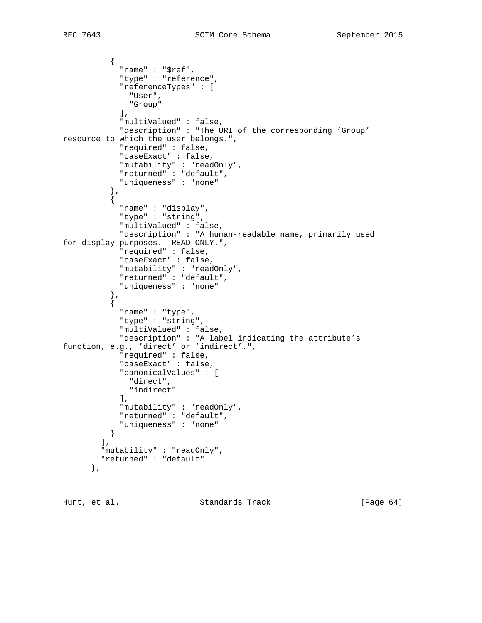```
\{ "name" : "$ref",
              "type" : "reference",
              "referenceTypes" : [
               "User",
               "Group"
            \mathbf{I},
              "multiValued" : false,
             "description" : "The URI of the corresponding 'Group'
resource to which the user belongs.",
             "required" : false,
             "caseExact" : false,
             "mutability" : "readOnly",
             "returned" : "default",
             "uniqueness" : "none"
           },
           {
             "name" : "display",
             "type" : "string",
             "multiValued" : false,
             "description" : "A human-readable name, primarily used
for display purposes. READ-ONLY.",
             "required" : false,
             "caseExact" : false,
             "mutability" : "readOnly",
             "returned" : "default",
              "uniqueness" : "none"
           },
\{ "name" : "type",
             "type" : "string",
             "multiValued" : false,
             "description" : "A label indicating the attribute's
function, e.g., 'direct' or 'indirect'.",
             "required" : false,
             "caseExact" : false,
             "canonicalValues" : [
               "direct",
              "indirect"
             ],
             "mutability" : "readOnly",
             "returned" : "default",
             "uniqueness" : "none"
           }
        \mathbf{I},
         "mutability" : "readOnly",
         "returned" : "default"
       },
```
Hunt, et al. Standards Track [Page 64]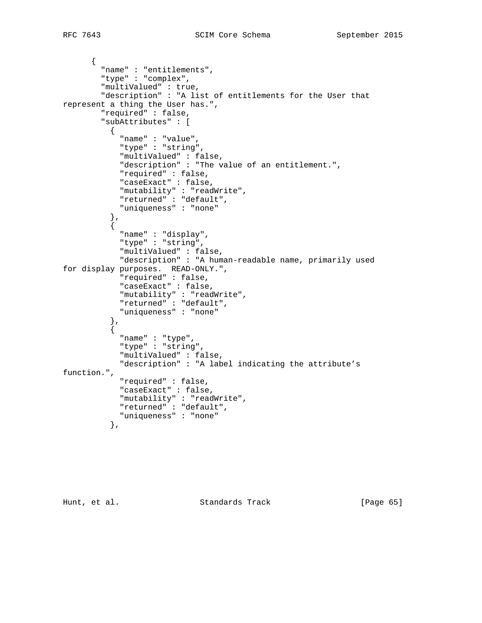```
 {
         "name" : "entitlements",
         "type" : "complex",
         "multiValued" : true,
         "description" : "A list of entitlements for the User that
represent a thing the User has.",
         "required" : false,
         "subAttributes" : [
           {
             "name" : "value",
             "type" : "string",
             "multiValued" : false,
             "description" : "The value of an entitlement.",
             "required" : false,
             "caseExact" : false,
             "mutability" : "readWrite",
             "returned" : "default",
             "uniqueness" : "none"
           },
           {
             "name" : "display",
             "type" : "string",
             "multiValued" : false,
             "description" : "A human-readable name, primarily used
for display purposes. READ-ONLY.",
             "required" : false,
             "caseExact" : false,
             "mutability" : "readWrite",
             "returned" : "default",
             "uniqueness" : "none"
           },
\{ "name" : "type",
             "type" : "string",
             "multiValued" : false,
             "description" : "A label indicating the attribute's
function.",
             "required" : false,
             "caseExact" : false,
 "mutability" : "readWrite",
 "returned" : "default",
             "uniqueness" : "none"
           },
```
Hunt, et al. Standards Track [Page 65]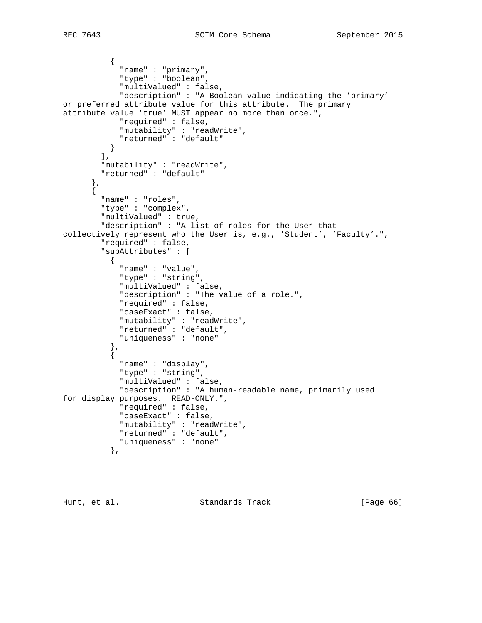```
\{ "name" : "primary",
                "type" : "boolean",
                "multiValued" : false,
                "description" : "A Boolean value indicating the 'primary'
or preferred attribute value for this attribute. The primary
attribute value 'true' MUST appear no more than once.",
               "required" : false,
               "mutability" : "readWrite",
               "returned" : "default"
 }
\qquad \qquad \qquad \qquad \qquad \qquad \qquad \qquad \qquad \qquad \qquad \qquad \qquad \qquad \qquad \qquad \qquad \qquad \qquad \qquad \qquad \qquad \qquad \qquad \qquad \qquad \qquad \qquad \qquad \qquad \qquad \qquad \qquad \qquad \qquad \qquad \qquad \ "mutability" : "readWrite",
           "returned" : "default"
        },
       \overline{\mathcal{E}} "name" : "roles",
           "type" : "complex",
           "multiValued" : true,
           "description" : "A list of roles for the User that
collectively represent who the User is, e.g., 'Student', 'Faculty'.",
           "required" : false,
           "subAttributes" : [
\{ "name" : "value",
                "type" : "string",
                "multiValued" : false,
                "description" : "The value of a role.",
                "required" : false,
                "caseExact" : false,
                "mutability" : "readWrite",
                "returned" : "default",
                "uniqueness" : "none"
             },
\{ "name" : "display",
                "type" : "string",
                "multiValued" : false,
                "description" : "A human-readable name, primarily used
for display purposes. READ-ONLY.",
                "required" : false,
                "caseExact" : false,
                "mutability" : "readWrite",
               "returned" : "default",
                "uniqueness" : "none"
             },
```
Hunt, et al. Standards Track [Page 66]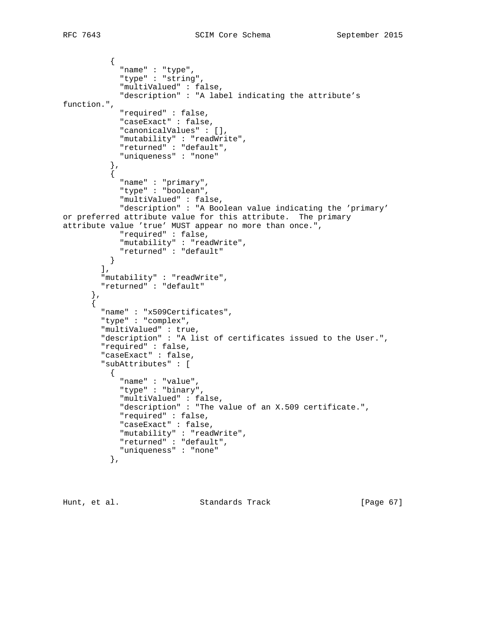```
\{ "name" : "type",
             "type" : "string",
             "multiValued" : false,
             "description" : "A label indicating the attribute's
function.",
             "required" : false,
             "caseExact" : false,
             "canonicalValues" : [],
             "mutability" : "readWrite",
             "returned" : "default",
             "uniqueness" : "none"
           },
           {
             "name" : "primary",
             "type" : "boolean",
             "multiValued" : false,
             "description" : "A Boolean value indicating the 'primary'
or preferred attribute value for this attribute. The primary
attribute value 'true' MUST appear no more than once.",
             "required" : false,
             "mutability" : "readWrite",
             "returned" : "default"
           }
        \vert,
 "mutability" : "readWrite",
 "returned" : "default"
       },
       {
         "name" : "x509Certificates",
         "type" : "complex",
         "multiValued" : true,
         "description" : "A list of certificates issued to the User.",
         "required" : false,
         "caseExact" : false,
         "subAttributes" : [
          \{ "name" : "value",
             "type" : "binary",
             "multiValued" : false,
             "description" : "The value of an X.509 certificate.",
             "required" : false,
             "caseExact" : false,
             "mutability" : "readWrite",
             "returned" : "default",
             "uniqueness" : "none"
           },
```
Hunt, et al. Standards Track [Page 67]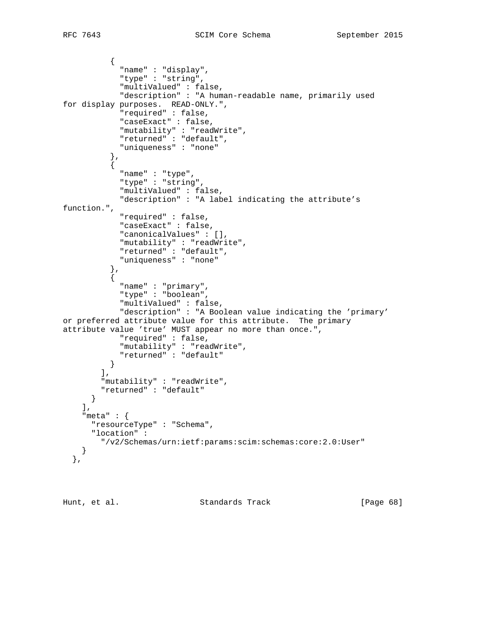```
\{ "name" : "display",
             "type" : "string",
             "multiValued" : false,
             "description" : "A human-readable name, primarily used
for display purposes. READ-ONLY.",
             "required" : false,
             "caseExact" : false,
             "mutability" : "readWrite",
             "returned" : "default",
             "uniqueness" : "none"
          } ,<br>{
\{ "name" : "type",
             "type" : "string",
             "multiValued" : false,
             "description" : "A label indicating the attribute's
function.",
             "required" : false,
             "caseExact" : false,
             "canonicalValues" : [],
             "mutability" : "readWrite",
             "returned" : "default",
             "uniqueness" : "none"
           },
\{ "name" : "primary",
             "type" : "boolean",
             "multiValued" : false,
             "description" : "A Boolean value indicating the 'primary'
or preferred attribute value for this attribute. The primary
attribute value 'true' MUST appear no more than once.",
             "required" : false,
             "mutability" : "readWrite",
             "returned" : "default"
          }
        \frac{1}{2},
 "mutability" : "readWrite",
 "returned" : "default"
      }
     ],
     "meta" : {
      "resourceType" : "Schema",
       "location" :
         "/v2/Schemas/urn:ietf:params:scim:schemas:core:2.0:User"
     }
   },
```
Hunt, et al. Standards Track [Page 68]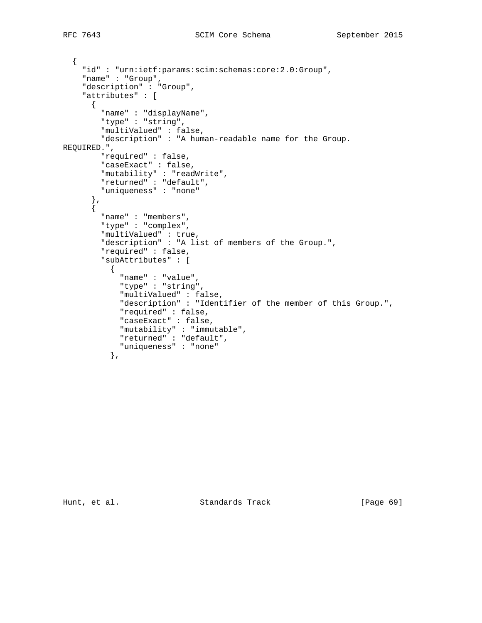```
 {
     "id" : "urn:ietf:params:scim:schemas:core:2.0:Group",
     "name" : "Group",
     "description" : "Group",
     "attributes" : [
      {
         "name" : "displayName",
         "type" : "string",
         "multiValued" : false,
         "description" : "A human-readable name for the Group.
REQUIRED.",
         "required" : false,
         "caseExact" : false,
 "mutability" : "readWrite",
 "returned" : "default",
         "uniqueness" : "none"
 },
\{ "name" : "members",
         "type" : "complex",
         "multiValued" : true,
         "description" : "A list of members of the Group.",
         "required" : false,
         "subAttributes" : [
           {
             "name" : "value",
             "type" : "string",
             "multiValued" : false,
             "description" : "Identifier of the member of this Group.",
             "required" : false,
             "caseExact" : false,
             "mutability" : "immutable",
             "returned" : "default",
             "uniqueness" : "none"
           },
```
Hunt, et al. Standards Track [Page 69]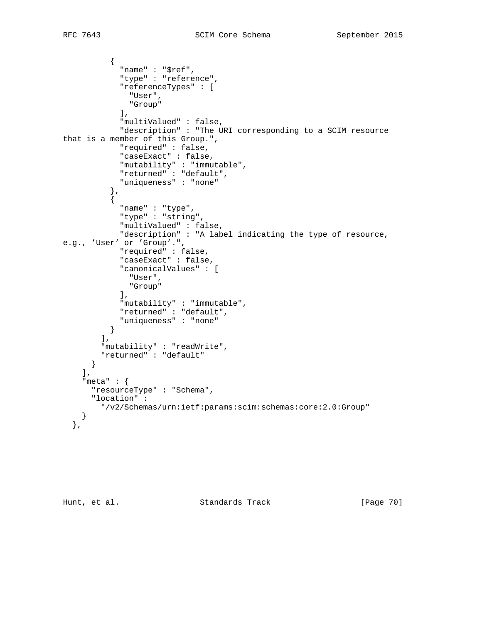```
\{ "name" : "$ref",
              "type" : "reference",
              "referenceTypes" : [
                "User",
                "Group"
             \mathbf{I},
              "multiValued" : false,
              "description" : "The URI corresponding to a SCIM resource
that is a member of this Group.",
              "required" : false,
              "caseExact" : false,
              "mutability" : "immutable",
              "returned" : "default",
              "uniqueness" : "none"
            },
            {
              "name" : "type",
              "type" : "string",
              "multiValued" : false,
              "description" : "A label indicating the type of resource,
e.g., 'User' or 'Group'.",
              "required" : false,
              "caseExact" : false,
              "canonicalValues" : [
                "User",
                "Group"
              ],
              "mutability" : "immutable",
              "returned" : "default",
              "uniqueness" : "none"
           }
        \frac{1}{2},
          "mutability" : "readWrite",
          "returned" : "default"
       }
    \frac{1}{2},
     "meta" : {
       "resourceType" : "Schema",
       "location" :
         "/v2/Schemas/urn:ietf:params:scim:schemas:core:2.0:Group"
     }
   },
```
Hunt, et al. Standards Track [Page 70]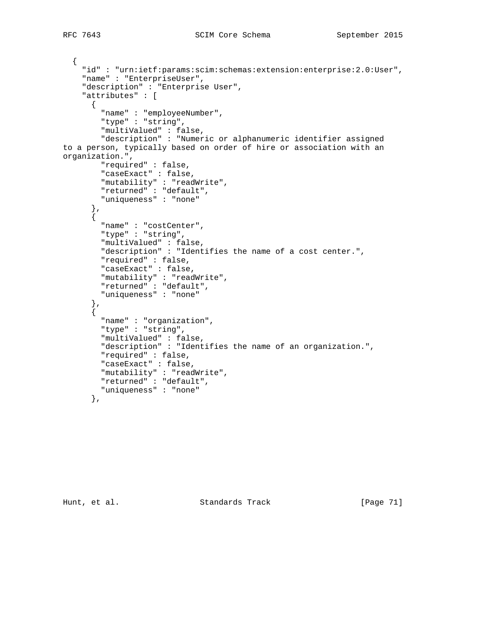```
 {
     "id" : "urn:ietf:params:scim:schemas:extension:enterprise:2.0:User",
     "name" : "EnterpriseUser",
     "description" : "Enterprise User",
     "attributes" : [
      {
         "name" : "employeeNumber",
         "type" : "string",
         "multiValued" : false,
         "description" : "Numeric or alphanumeric identifier assigned
to a person, typically based on order of hire or association with an
organization.",
         "required" : false,
         "caseExact" : false,
 "mutability" : "readWrite",
 "returned" : "default",
         "uniqueness" : "none"
       },
      \left\{ \right. "name" : "costCenter",
         "type" : "string",
         "multiValued" : false,
         "description" : "Identifies the name of a cost center.",
         "required" : false,
         "caseExact" : false,
 "mutability" : "readWrite",
 "returned" : "default",
         "uniqueness" : "none"
 },
\{ "name" : "organization",
         "type" : "string",
         "multiValued" : false,
         "description" : "Identifies the name of an organization.",
         "required" : false,
         "caseExact" : false,
 "mutability" : "readWrite",
 "returned" : "default",
         "uniqueness" : "none"
       },
```
Hunt, et al. Standards Track [Page 71]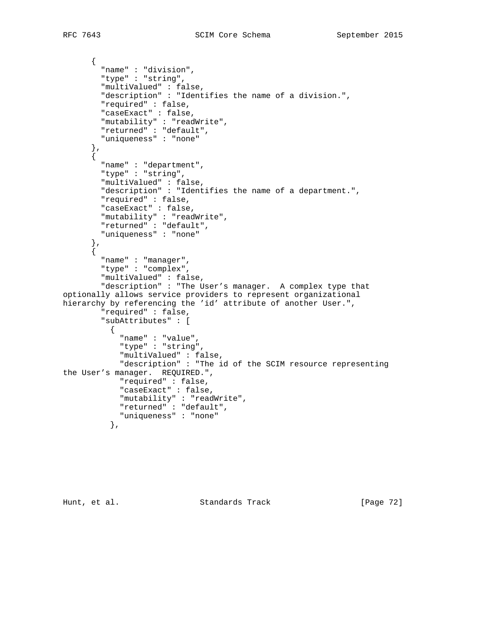```
 {
         "name" : "division",
         "type" : "string",
         "multiValued" : false,
         "description" : "Identifies the name of a division.",
         "required" : false,
         "caseExact" : false,
         "mutability" : "readWrite",
         "returned" : "default",
         "uniqueness" : "none"
 },
\{ "name" : "department",
         "type" : "string",
         "multiValued" : false,
         "description" : "Identifies the name of a department.",
         "required" : false,
         "caseExact" : false,
         "mutability" : "readWrite",
         "returned" : "default",
         "uniqueness" : "none"
       },
       {
         "name" : "manager",
         "type" : "complex",
         "multiValued" : false,
         "description" : "The User's manager. A complex type that
optionally allows service providers to represent organizational
hierarchy by referencing the 'id' attribute of another User.",
         "required" : false,
         "subAttributes" : [
           {
             "name" : "value",
             "type" : "string",
             "multiValued" : false,
             "description" : "The id of the SCIM resource representing
the User's manager. REQUIRED.",
             "required" : false,
             "caseExact" : false,
             "mutability" : "readWrite",
             "returned" : "default",
             "uniqueness" : "none"
           },
```
Hunt, et al. Standards Track [Page 72]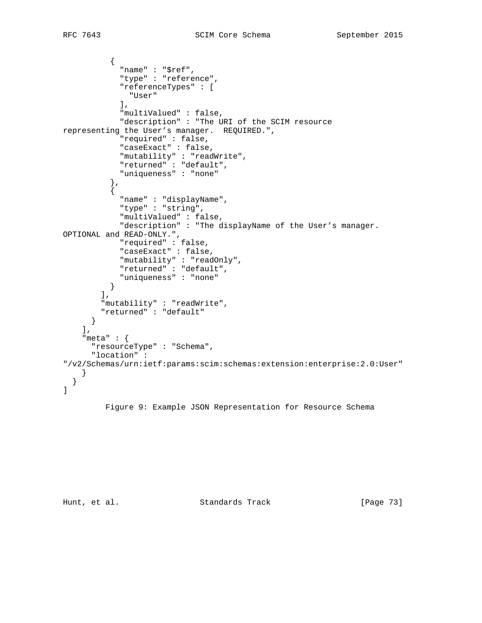```
\{ "name" : "$ref",
             "type" : "reference",
             "referenceTypes" : [
               "User"
             ],
             "multiValued" : false,
             "description" : "The URI of the SCIM resource
representing the User's manager. REQUIRED.",
             "required" : false,
             "caseExact" : false,
             "mutability" : "readWrite",
             "returned" : "default",
             "uniqueness" : "none"
           },
\{ "name" : "displayName",
             "type" : "string",
             "multiValued" : false,
             "description" : "The displayName of the User's manager.
OPTIONAL and READ-ONLY.",
             "required" : false,
             "caseExact" : false,
             "mutability" : "readOnly",
             "returned" : "default",
             "uniqueness" : "none"
           }
        \vert,
         "mutability" : "readWrite",
         "returned" : "default"
       }
    \vert,
     "meta" : {
       "resourceType" : "Schema",
       "location" :
"/v2/Schemas/urn:ietf:params:scim:schemas:extension:enterprise:2.0:User"
     }
   }
\overline{1}
```
Figure 9: Example JSON Representation for Resource Schema

Hunt, et al. Standards Track [Page 73]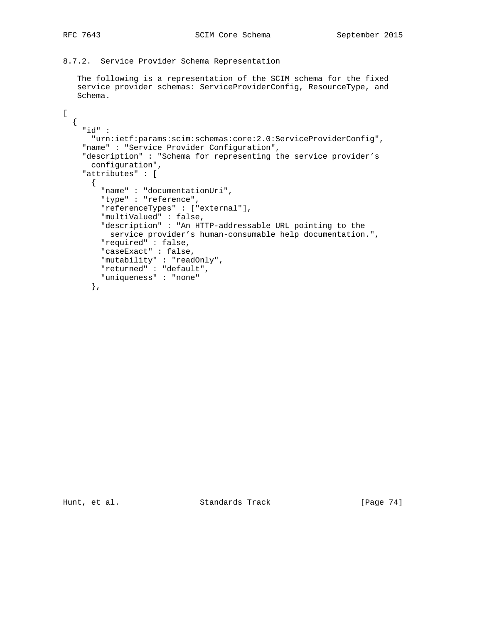8.7.2. Service Provider Schema Representation

 The following is a representation of the SCIM schema for the fixed service provider schemas: ServiceProviderConfig, ResourceType, and Schema.

```
[
  {
    "id" :
       "urn:ietf:params:scim:schemas:core:2.0:ServiceProviderConfig",
     "name" : "Service Provider Configuration",
     "description" : "Schema for representing the service provider's
      configuration",
     "attributes" : [
      {
         "name" : "documentationUri",
         "type" : "reference",
         "referenceTypes" : ["external"],
         "multiValued" : false,
         "description" : "An HTTP-addressable URL pointing to the
          service provider's human-consumable help documentation.",
         "required" : false,
         "caseExact" : false,
         "mutability" : "readOnly",
         "returned" : "default",
         "uniqueness" : "none"
       },
```
Hunt, et al. Standards Track [Page 74]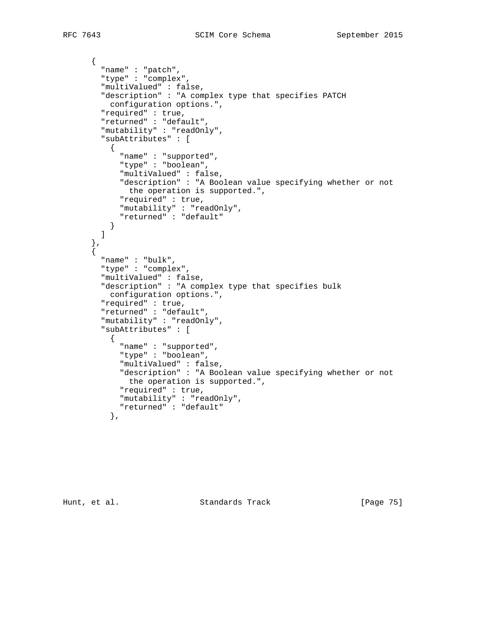```
 {
         "name" : "patch",
         "type" : "complex",
         "multiValued" : false,
         "description" : "A complex type that specifies PATCH
          configuration options.",
         "required" : true,
         "returned" : "default",
         "mutability" : "readOnly",
         "subAttributes" : [
           {
             "name" : "supported",
             "type" : "boolean",
              "multiValued" : false,
              "description" : "A Boolean value specifying whether or not
              the operation is supported.",
             "required" : true,
             "mutability" : "readOnly",
             "returned" : "default"
        \begin{matrix} \\ 1 \end{matrix} ]
       },
       {
         "name" : "bulk",
         "type" : "complex",
         "multiValued" : false,
         "description" : "A complex type that specifies bulk
           configuration options.",
         "required" : true,
         "returned" : "default",
         "mutability" : "readOnly",
         "subAttributes" : [
           {
             "name" : "supported",
             "type" : "boolean",
             "multiValued" : false,
             "description" : "A Boolean value specifying whether or not
              the operation is supported.",
             "required" : true,
             "mutability" : "readOnly",
             "returned" : "default"
           },
```
Hunt, et al. Standards Track [Page 75]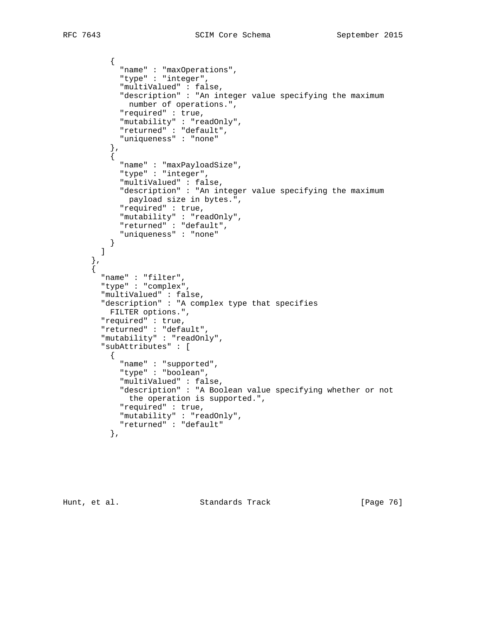```
\{ "name" : "maxOperations",
             "type" : "integer",
             "multiValued" : false,
             "description" : "An integer value specifying the maximum
              number of operations.",
             "required" : true,
             "mutability" : "readOnly",
             "returned" : "default",
             "uniqueness" : "none"
 },
\{ "name" : "maxPayloadSize",
             "type" : "integer",
             "multiValued" : false,
             "description" : "An integer value specifying the maximum
              payload size in bytes.",
             "required" : true,
             "mutability" : "readOnly",
             "returned" : "default",
             "uniqueness" : "none"
        \begin{matrix} \\ 1 \end{matrix} ]
         "name" : "filter",
         "type" : "complex",
         "multiValued" : false,
         "description" : "A complex type that specifies
          FILTER options.",
         "required" : true,
         "returned" : "default",
         "mutability" : "readOnly",
         "subAttributes" : [
           {
             "name" : "supported",
             "type" : "boolean",
             "multiValued" : false,
             "description" : "A Boolean value specifying whether or not
              the operation is supported.",
             "required" : true,
             "mutability" : "readOnly",
             "returned" : "default"
           },
```
 },  $\mathfrak{f}$ 

Hunt, et al. Standards Track [Page 76]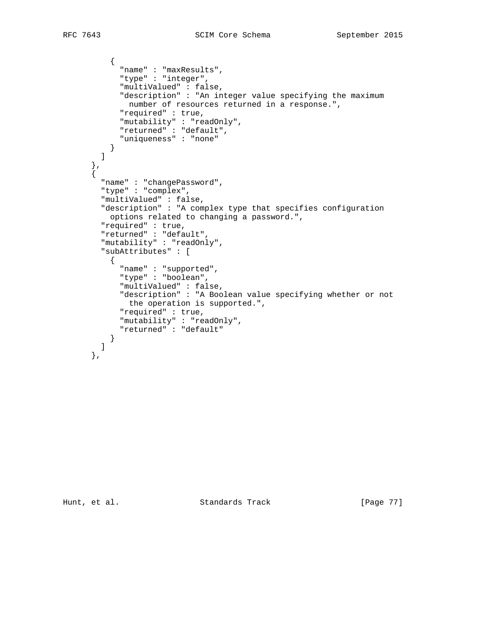```
\{ "name" : "maxResults",
             "type" : "integer",
             "multiValued" : false,
             "description" : "An integer value specifying the maximum
              number of resources returned in a response.",
             "required" : true,
             "mutability" : "readOnly",
             "returned" : "default",
             "uniqueness" : "none"
        \begin{matrix} \downarrow \\ \downarrow \end{matrix} ]
 },
\{ "name" : "changePassword",
         "type" : "complex",
         "multiValued" : false,
         "description" : "A complex type that specifies configuration
          options related to changing a password.",
         "required" : true,
         "returned" : "default",
         "mutability" : "readOnly",
         "subAttributes" : [
\{ "name" : "supported",
             "type" : "boolean",
             "multiValued" : false,
             "description" : "A Boolean value specifying whether or not
              the operation is supported.",
             "required" : true,
             "mutability" : "readOnly",
             "returned" : "default"
           }
         ]
       },
```
Hunt, et al. Standards Track [Page 77]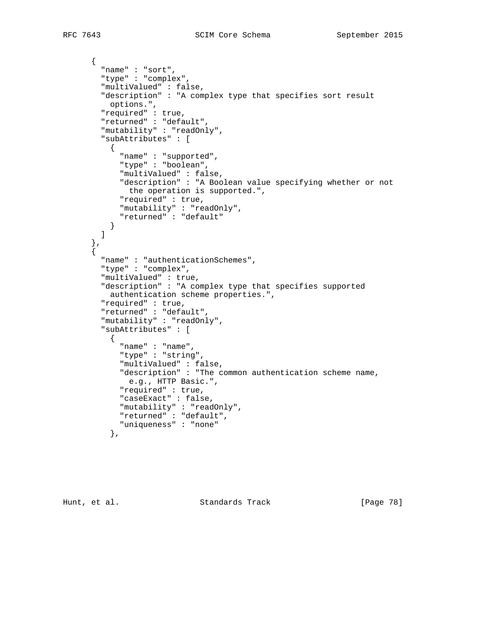```
 {
   "name" : "sort",
   "type" : "complex",
   "multiValued" : false,
   "description" : "A complex type that specifies sort result
    options.",
   "required" : true,
   "returned" : "default",
   "mutability" : "readOnly",
   "subAttributes" : [
     {
       "name" : "supported",
       "type" : "boolean",
       "multiValued" : false,
       "description" : "A Boolean value specifying whether or not
        the operation is supported.",
       "required" : true,
       "mutability" : "readOnly",
       "returned" : "default"
    }
   ]
 },
 {
   "name" : "authenticationSchemes",
   "type" : "complex",
   "multiValued" : true,
   "description" : "A complex type that specifies supported
     authentication scheme properties.",
   "required" : true,
   "returned" : "default",
   "mutability" : "readOnly",
   "subAttributes" : [
     {
       "name" : "name",
       "type" : "string",
       "multiValued" : false,
       "description" : "The common authentication scheme name,
        e.g., HTTP Basic.",
       "required" : true,
       "caseExact" : false,
       "mutability" : "readOnly",
       "returned" : "default",
       "uniqueness" : "none"
     },
```
Hunt, et al. Standards Track [Page 78]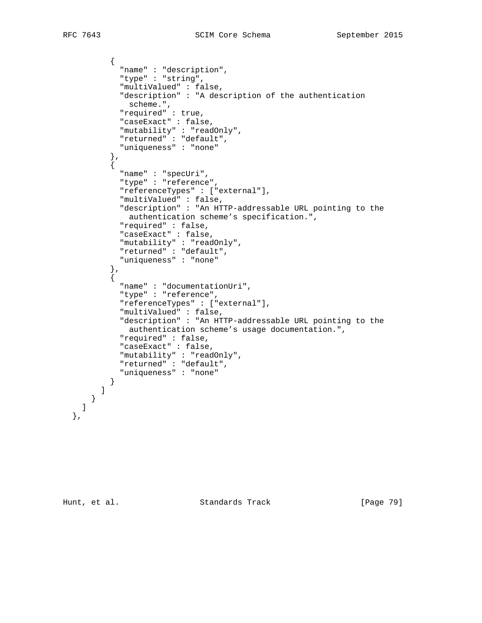```
\{ "name" : "description",
             "type" : "string",
             "multiValued" : false,
             "description" : "A description of the authentication
             scheme.",
             "required" : true,
             "caseExact" : false,
             "mutability" : "readOnly",
             "returned" : "default",
            "uniqueness" : "none"
           },
\{ "name" : "specUri",
             "type" : "reference",
             "referenceTypes" : ["external"],
             "multiValued" : false,
             "description" : "An HTTP-addressable URL pointing to the
              authentication scheme's specification.",
             "required" : false,
             "caseExact" : false,
             "mutability" : "readOnly",
             "returned" : "default",
             "uniqueness" : "none"
           },
\{ "name" : "documentationUri",
             "type" : "reference",
             "referenceTypes" : ["external"],
             "multiValued" : false,
             "description" : "An HTTP-addressable URL pointing to the
              authentication scheme's usage documentation.",
             "required" : false,
             "caseExact" : false,
             "mutability" : "readOnly",
             "returned" : "default",
             "uniqueness" : "none"
          }
        ]
      }
    ]
```
},

Hunt, et al. Standards Track [Page 79]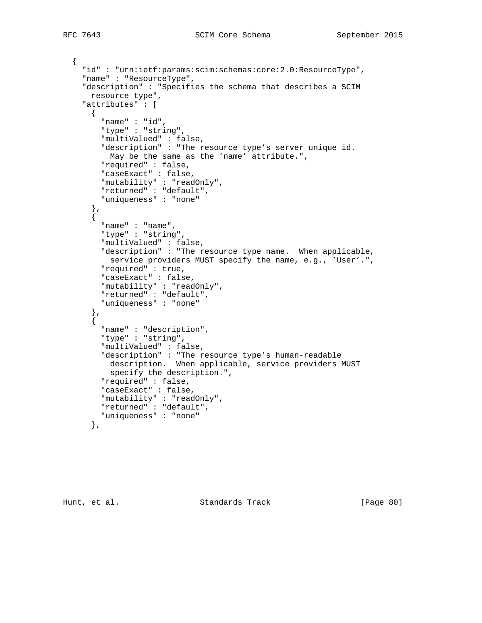{

```
 "id" : "urn:ietf:params:scim:schemas:core:2.0:ResourceType",
     "name" : "ResourceType",
     "description" : "Specifies the schema that describes a SCIM
      resource type",
     "attributes" : [
     \{ "name" : "id",
         "type" : "string",
         "multiValued" : false,
         "description" : "The resource type's server unique id.
          May be the same as the 'name' attribute.",
         "required" : false,
         "caseExact" : false,
 "mutability" : "readOnly",
 "returned" : "default",
         "uniqueness" : "none"
       },
      \left\{ \right. "name" : "name",
         "type" : "string",
         "multiValued" : false,
         "description" : "The resource type name. When applicable,
          service providers MUST specify the name, e.g., 'User'.",
         "required" : true,
         "caseExact" : false,
 "mutability" : "readOnly",
 "returned" : "default",
         "uniqueness" : "none"
       },
      \overline{\mathbf{f}} "name" : "description",
         "type" : "string",
         "multiValued" : false,
         "description" : "The resource type's human-readable
          description. When applicable, service providers MUST
          specify the description.",
         "required" : false,
         "caseExact" : false,
         "mutability" : "readOnly",
         "returned" : "default",
         "uniqueness" : "none"
       },
```
Hunt, et al. Standards Track [Page 80]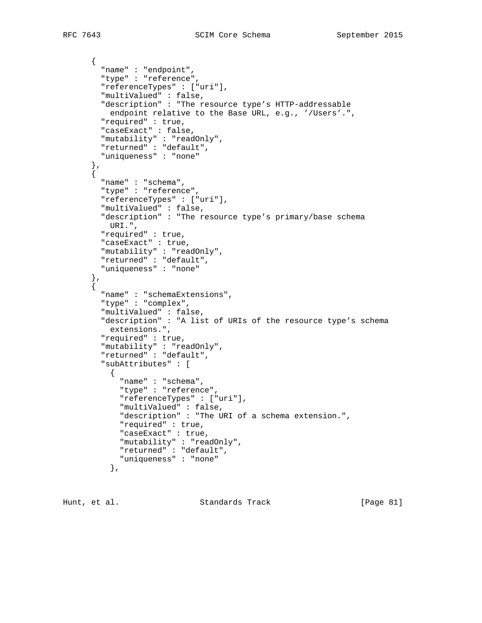```
 {
         "name" : "endpoint",
         "type" : "reference",
         "referenceTypes" : ["uri"],
         "multiValued" : false,
         "description" : "The resource type's HTTP-addressable
          endpoint relative to the Base URL, e.g., '/Users'.",
         "required" : true,
         "caseExact" : false,
         "mutability" : "readOnly",
         "returned" : "default",
         "uniqueness" : "none"
       },
      \mathfrak{f} "name" : "schema",
         "type" : "reference",
         "referenceTypes" : ["uri"],
         "multiValued" : false,
         "description" : "The resource type's primary/base schema
          URI.",
         "required" : true,
         "caseExact" : true,
         "mutability" : "readOnly",
         "returned" : "default",
         "uniqueness" : "none"
 },
\{ "name" : "schemaExtensions",
         "type" : "complex",
         "multiValued" : false,
         "description" : "A list of URIs of the resource type's schema
          extensions.",
         "required" : true,
         "mutability" : "readOnly",
         "returned" : "default",
         "subAttributes" : [
\{ "name" : "schema",
             "type" : "reference",
             "referenceTypes" : ["uri"],
             "multiValued" : false,
             "description" : "The URI of a schema extension.",
             "required" : true,
             "caseExact" : true,
             "mutability" : "readOnly",
             "returned" : "default",
             "uniqueness" : "none"
           },
```
Hunt, et al. Standards Track [Page 81]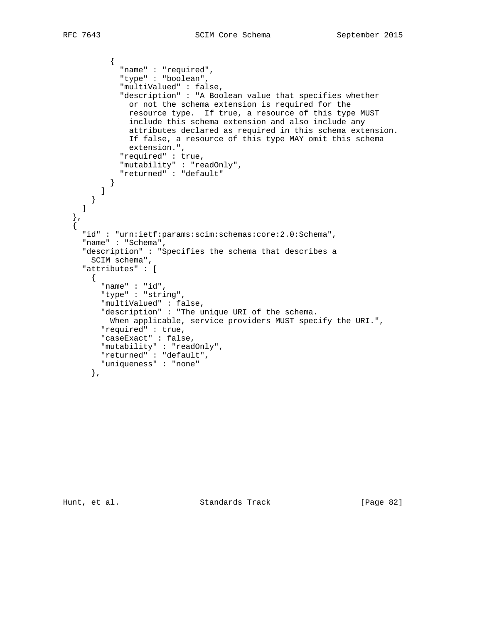```
\{ "name" : "required",
             "type" : "boolean",
             "multiValued" : false,
             "description" : "A Boolean value that specifies whether
               or not the schema extension is required for the
               resource type. If true, a resource of this type MUST
               include this schema extension and also include any
               attributes declared as required in this schema extension.
               If false, a resource of this type MAY omit this schema
               extension.",
             "required" : true,
             "mutability" : "readOnly",
             "returned" : "default"
           }
         ]
      }
    ]
  },
   {
    "id" : "urn:ietf:params:scim:schemas:core:2.0:Schema",
     "name" : "Schema",
     "description" : "Specifies the schema that describes a
      SCIM schema",
     "attributes" : [
      \left\{ \right. "name" : "id",
         "type" : "string",
         "multiValued" : false,
         "description" : "The unique URI of the schema.
          When applicable, service providers MUST specify the URI.",
         "required" : true,
         "caseExact" : false,
         "mutability" : "readOnly",
         "returned" : "default",
         "uniqueness" : "none"
       },
```
Hunt, et al. Standards Track [Page 82]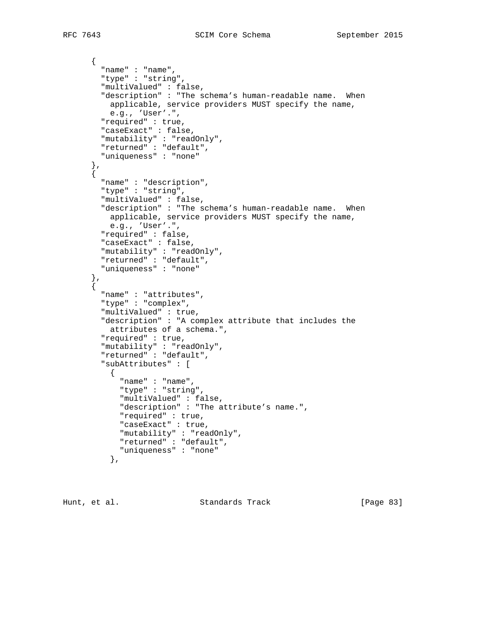```
 {
         "name" : "name",
         "type" : "string",
         "multiValued" : false,
         "description" : "The schema's human-readable name. When
          applicable, service providers MUST specify the name,
          e.g., 'User'.",
         "required" : true,
         "caseExact" : false,
         "mutability" : "readOnly",
         "returned" : "default",
         "uniqueness" : "none"
       },
      \mathfrak{f} "name" : "description",
         "type" : "string",
         "multiValued" : false,
         "description" : "The schema's human-readable name. When
          applicable, service providers MUST specify the name,
          e.g., 'User'.",
         "required" : false,
         "caseExact" : false,
         "mutability" : "readOnly",
         "returned" : "default",
         "uniqueness" : "none"
 },
\{ "name" : "attributes",
         "type" : "complex",
         "multiValued" : true,
         "description" : "A complex attribute that includes the
          attributes of a schema.",
         "required" : true,
         "mutability" : "readOnly",
         "returned" : "default",
         "subAttributes" : [
\{ "name" : "name",
             "type" : "string",
             "multiValued" : false,
             "description" : "The attribute's name.",
             "required" : true,
             "caseExact" : true,
             "mutability" : "readOnly",
             "returned" : "default",
             "uniqueness" : "none"
           },
```
Hunt, et al. Standards Track [Page 83]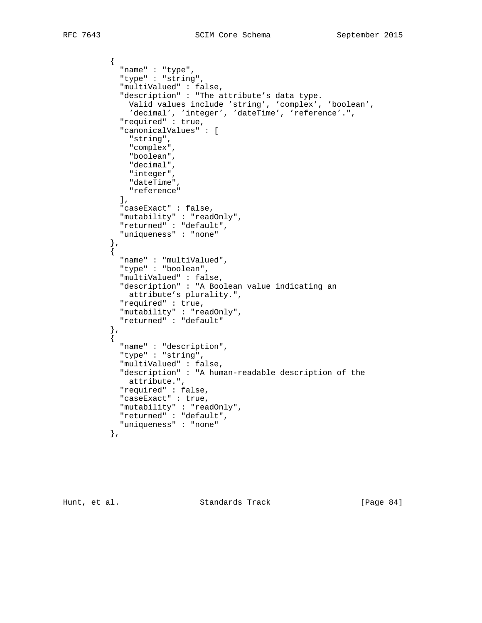```
\{ "name" : "type",
             "type" : "string",
             "multiValued" : false,
             "description" : "The attribute's data type.
              Valid values include 'string', 'complex', 'boolean',
               'decimal', 'integer', 'dateTime', 'reference'.",
             "required" : true,
             "canonicalValues" : [
               "string",
               "complex",
               "boolean",
               "decimal",
               "integer",
               "dateTime",
               "reference"
             ],
             "caseExact" : false,
             "mutability" : "readOnly",
             "returned" : "default",
             "uniqueness" : "none"
           },
           {
            "name" : "multiValued",
             "type" : "boolean",
             "multiValued" : false,
             "description" : "A Boolean value indicating an
              attribute's plurality.",
             "required" : true,
             "mutability" : "readOnly",
             "returned" : "default"
 },
\{ "name" : "description",
             "type" : "string",
             "multiValued" : false,
             "description" : "A human-readable description of the
              attribute.",
             "required" : false,
             "caseExact" : true,
             "mutability" : "readOnly",
             "returned" : "default",
             "uniqueness" : "none"
           },
```
Hunt, et al. Standards Track [Page 84]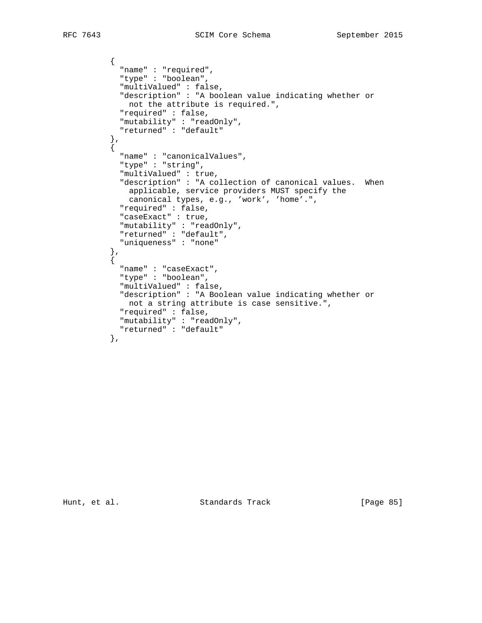```
\{ "name" : "required",
            "type" : "boolean",
            "multiValued" : false,
            "description" : "A boolean value indicating whether or
             not the attribute is required.",
            "required" : false,
            "mutability" : "readOnly",
            "returned" : "default"
          },
\{ "name" : "canonicalValues",
            "type" : "string",
            "multiValued" : true,
 "description" : "A collection of canonical values. When
 applicable, service providers MUST specify the
             canonical types, e.g., 'work', 'home'.",
            "required" : false,
            "caseExact" : true,
            "mutability" : "readOnly",
            "returned" : "default",
            "uniqueness" : "none"
 },
\{ "name" : "caseExact",
            "type" : "boolean",
            "multiValued" : false,
            "description" : "A Boolean value indicating whether or
             not a string attribute is case sensitive.",
            "required" : false,
            "mutability" : "readOnly",
            "returned" : "default"
          },
```
Hunt, et al. Standards Track [Page 85]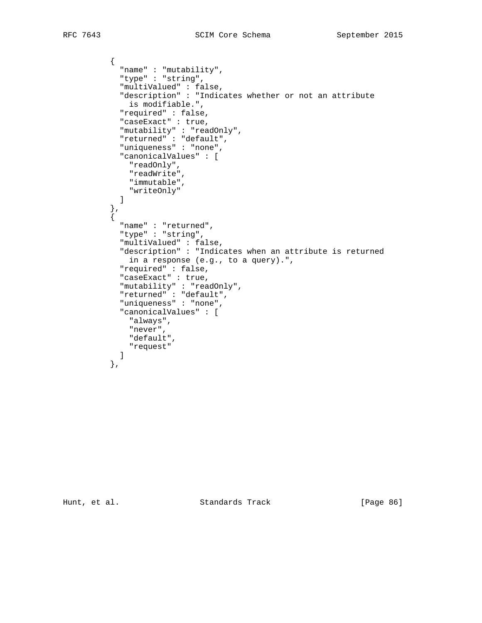```
\{ "name" : "mutability",
            "type" : "string",
            "multiValued" : false,
            "description" : "Indicates whether or not an attribute
             is modifiable.",
            "required" : false,
            "caseExact" : true,
            "mutability" : "readOnly",
            "returned" : "default",
            "uniqueness" : "none",
            "canonicalValues" : [
              "readOnly",
             "readWrite",
             "immutable",
             "writeOnly"
           \mathbf{I} },
\{ "name" : "returned",
            "type" : "string",
            "multiValued" : false,
            "description" : "Indicates when an attribute is returned
             in a response (e.g., to a query).",
            "required" : false,
            "caseExact" : true,
 "mutability" : "readOnly",
 "returned" : "default",
            "uniqueness" : "none",
            "canonicalValues" : [
              "always",
              "never",
              "default",
            "request"
 ]
          },
```
Hunt, et al. Standards Track [Page 86]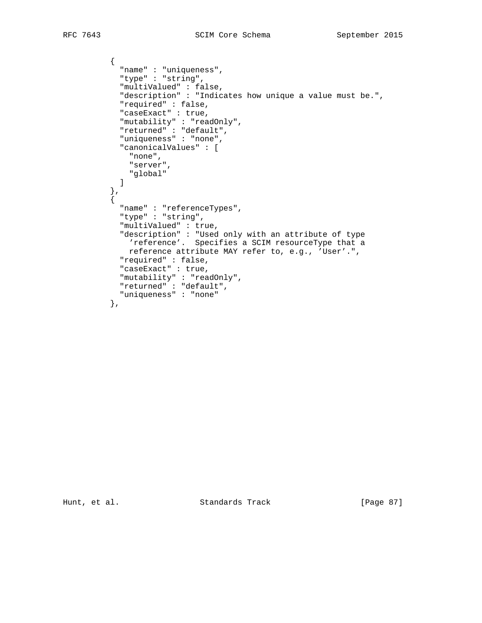```
\{ "name" : "uniqueness",
            "type" : "string",
            "multiValued" : false,
            "description" : "Indicates how unique a value must be.",
            "required" : false,
            "caseExact" : true,
            "mutability" : "readOnly",
            "returned" : "default",
            "uniqueness" : "none",
            "canonicalValues" : [
             "none",
             "server",
            "global"
 ]
          },
\{ "name" : "referenceTypes",
            "type" : "string",
            "multiValued" : true,
            "description" : "Used only with an attribute of type
             'reference'. Specifies a SCIM resourceType that a
             reference attribute MAY refer to, e.g., 'User'.",
            "required" : false,
            "caseExact" : true,
 "mutability" : "readOnly",
 "returned" : "default",
            "uniqueness" : "none"
          },
```
Hunt, et al. Standards Track [Page 87]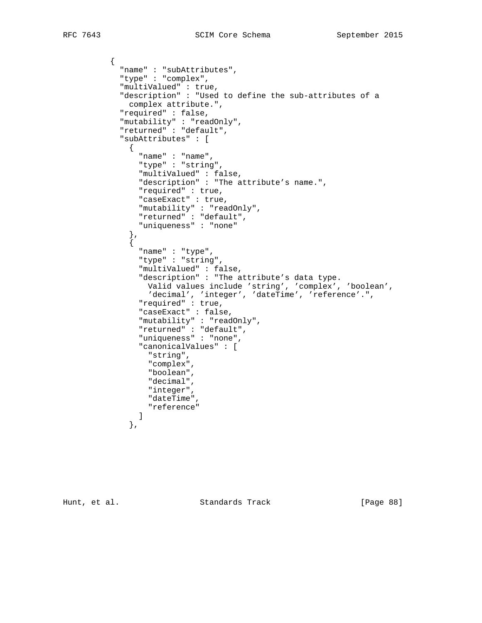$\{$ 

```
 "name" : "subAttributes",
            "type" : "complex",
            "multiValued" : true,
            "description" : "Used to define the sub-attributes of a
             complex attribute.",
            "required" : false,
            "mutability" : "readOnly",
             "returned" : "default",
             "subAttributes" : [
              {
                "name" : "name",
                "type" : "string",
                "multiValued" : false,
                "description" : "The attribute's name.",
                "required" : true,
                "caseExact" : true,
                "mutability" : "readOnly",
                "returned" : "default",
                "uniqueness" : "none"
              },
\{ "name" : "type",
                "type" : "string",
                "multiValued" : false,
                "description" : "The attribute's data type.
 Valid values include 'string', 'complex', 'boolean',
 'decimal', 'integer', 'dateTime', 'reference'.",
                "required" : true,
                "caseExact" : false,
                "mutability" : "readOnly",
                "returned" : "default",
                "uniqueness" : "none",
                "canonicalValues" : [
                  "string",
                  "complex",
                  "boolean",
                  "decimal",
                  "integer",
                  "dateTime",
                "reference"
 ]
              },
```
Hunt, et al. Standards Track [Page 88]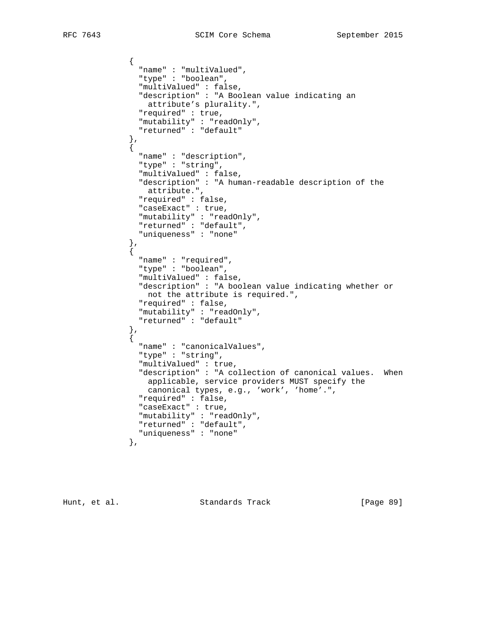```
\{ "name" : "multiValued",
                  "type" : "boolean",
                  "multiValued" : false,
                  "description" : "A Boolean value indicating an
                   attribute's plurality.",
                  "required" : true,
                  "mutability" : "readOnly",
                  "returned" : "default"
                },
\{ "name" : "description",
                  "type" : "string",
                  "multiValued" : false,
                  "description" : "A human-readable description of the
                   attribute.",
                  "required" : false,
                  "caseExact" : true,
                  "mutability" : "readOnly",
                  "returned" : "default",
                  "uniqueness" : "none"
                },
\{ "name" : "required",
                  "type" : "boolean",
                  "multiValued" : false,
                  "description" : "A boolean value indicating whether or
                   not the attribute is required.",
                  "required" : false,
                  "mutability" : "readOnly",
                  "returned" : "default"
               \left\{ \begin{array}{c} \text{ } \\ \text{ } \\ \text{ } \\ \text{ } \end{array} \right. {
                  "name" : "canonicalValues",
                  "type" : "string",
                  "multiValued" : true,
                  "description" : "A collection of canonical values. When
                   applicable, service providers MUST specify the
                    canonical types, e.g., 'work', 'home'.",
                  "required" : false,
                  "caseExact" : true,
                  "mutability" : "readOnly",
                  "returned" : "default",
                  "uniqueness" : "none"
                },
```
Hunt, et al. Standards Track [Page 89]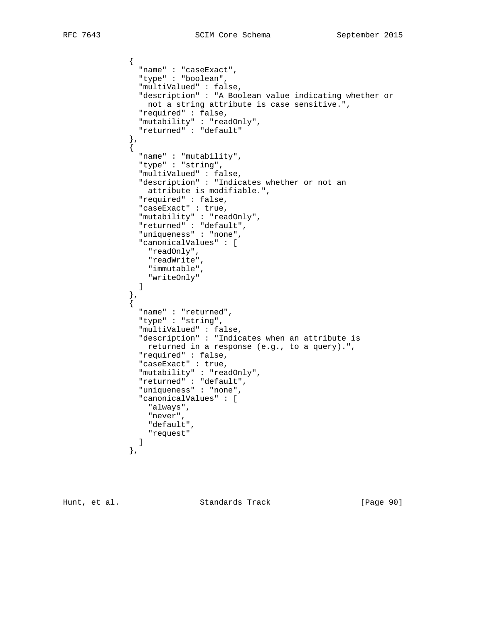```
\{ "name" : "caseExact",
                "type" : "boolean",
                "multiValued" : false,
                "description" : "A Boolean value indicating whether or
                 not a string attribute is case sensitive.",
                "required" : false,
                "mutability" : "readOnly",
                "returned" : "default"
              },
\{ "name" : "mutability",
                "type" : "string",
                "multiValued" : false,
                "description" : "Indicates whether or not an
                  attribute is modifiable.",
                "required" : false,
                "caseExact" : true,
                "mutability" : "readOnly",
                "returned" : "default",
                "uniqueness" : "none",
                "canonicalValues" : [
                  "readOnly",
                  "readWrite",
                  "immutable",
                "writeOnly"
 ]
              },
\{ "name" : "returned",
                "type" : "string",
                "multiValued" : false,
                "description" : "Indicates when an attribute is
                 returned in a response (e.g., to a query).",
                "required" : false,
                "caseExact" : true,
                "mutability" : "readOnly",
                "returned" : "default",
                "uniqueness" : "none",
                "canonicalValues" : [
                  "always",
                  "never",
                  "default",
                 "request"
 ]
              },
```
Hunt, et al. Standards Track [Page 90]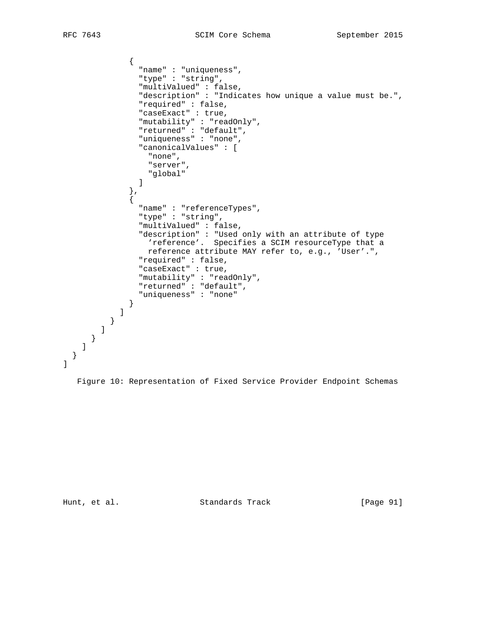```
\{ "name" : "uniqueness",
               "type" : "string",
               "multiValued" : false,
               "description" : "Indicates how unique a value must be.",
               "required" : false,
               "caseExact" : true,
               "mutability" : "readOnly",
               "returned" : "default",
               "uniqueness" : "none",
               "canonicalValues" : [
                 "none",
                "server",
               "global"
 ]
             },
\{ "name" : "referenceTypes",
               "type" : "string",
               "multiValued" : false,
               "description" : "Used only with an attribute of type
                 'reference'. Specifies a SCIM resourceType that a
                reference attribute MAY refer to, e.g., 'User'.",
               "required" : false,
               "caseExact" : true,
 "mutability" : "readOnly",
 "returned" : "default",
               "uniqueness" : "none"
 }
 ]
         }
       ]
      }
    ]
  }
```
Figure 10: Representation of Fixed Service Provider Endpoint Schemas

]

Hunt, et al. Standards Track [Page 91]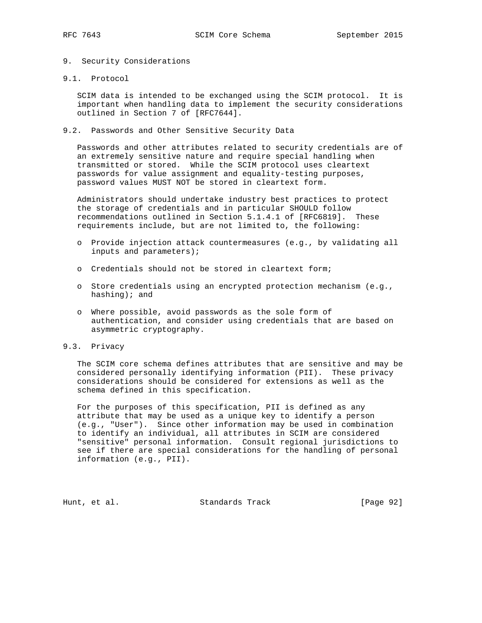#### 9. Security Considerations

9.1. Protocol

 SCIM data is intended to be exchanged using the SCIM protocol. It is important when handling data to implement the security considerations outlined in Section 7 of [RFC7644].

9.2. Passwords and Other Sensitive Security Data

 Passwords and other attributes related to security credentials are of an extremely sensitive nature and require special handling when transmitted or stored. While the SCIM protocol uses cleartext passwords for value assignment and equality-testing purposes, password values MUST NOT be stored in cleartext form.

 Administrators should undertake industry best practices to protect the storage of credentials and in particular SHOULD follow recommendations outlined in Section 5.1.4.1 of [RFC6819]. These requirements include, but are not limited to, the following:

- o Provide injection attack countermeasures (e.g., by validating all inputs and parameters);
- o Credentials should not be stored in cleartext form;
- o Store credentials using an encrypted protection mechanism (e.g., hashing); and
- o Where possible, avoid passwords as the sole form of authentication, and consider using credentials that are based on asymmetric cryptography.
- 9.3. Privacy

 The SCIM core schema defines attributes that are sensitive and may be considered personally identifying information (PII). These privacy considerations should be considered for extensions as well as the schema defined in this specification.

 For the purposes of this specification, PII is defined as any attribute that may be used as a unique key to identify a person (e.g., "User"). Since other information may be used in combination to identify an individual, all attributes in SCIM are considered "sensitive" personal information. Consult regional jurisdictions to see if there are special considerations for the handling of personal information (e.g., PII).

Hunt, et al. Standards Track [Page 92]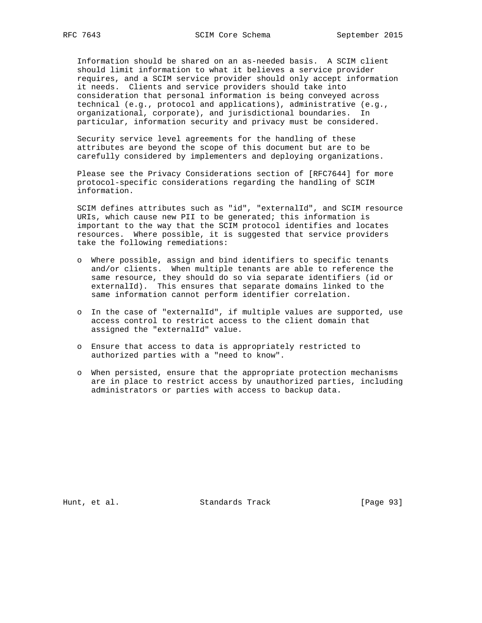Information should be shared on an as-needed basis. A SCIM client should limit information to what it believes a service provider requires, and a SCIM service provider should only accept information it needs. Clients and service providers should take into consideration that personal information is being conveyed across technical (e.g., protocol and applications), administrative (e.g., organizational, corporate), and jurisdictional boundaries. In particular, information security and privacy must be considered.

 Security service level agreements for the handling of these attributes are beyond the scope of this document but are to be carefully considered by implementers and deploying organizations.

 Please see the Privacy Considerations section of [RFC7644] for more protocol-specific considerations regarding the handling of SCIM information.

 SCIM defines attributes such as "id", "externalId", and SCIM resource URIs, which cause new PII to be generated; this information is important to the way that the SCIM protocol identifies and locates resources. Where possible, it is suggested that service providers take the following remediations:

- o Where possible, assign and bind identifiers to specific tenants and/or clients. When multiple tenants are able to reference the same resource, they should do so via separate identifiers (id or externalId). This ensures that separate domains linked to the same information cannot perform identifier correlation.
- o In the case of "externalId", if multiple values are supported, use access control to restrict access to the client domain that assigned the "externalId" value.
- o Ensure that access to data is appropriately restricted to authorized parties with a "need to know".
- o When persisted, ensure that the appropriate protection mechanisms are in place to restrict access by unauthorized parties, including administrators or parties with access to backup data.

Hunt, et al. Standards Track [Page 93]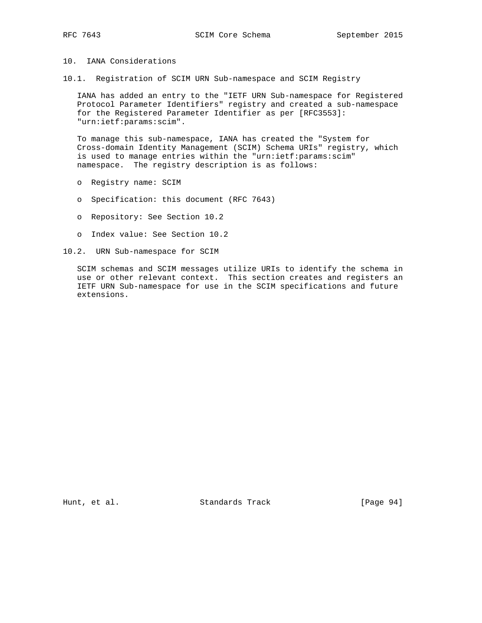### 10. IANA Considerations

10.1. Registration of SCIM URN Sub-namespace and SCIM Registry

 IANA has added an entry to the "IETF URN Sub-namespace for Registered Protocol Parameter Identifiers" registry and created a sub-namespace for the Registered Parameter Identifier as per [RFC3553]: "urn:ietf:params:scim".

 To manage this sub-namespace, IANA has created the "System for Cross-domain Identity Management (SCIM) Schema URIs" registry, which is used to manage entries within the "urn:ietf:params:scim" namespace. The registry description is as follows:

- o Registry name: SCIM
- o Specification: this document (RFC 7643)
- o Repository: See Section 10.2
- o Index value: See Section 10.2
- 10.2. URN Sub-namespace for SCIM

 SCIM schemas and SCIM messages utilize URIs to identify the schema in use or other relevant context. This section creates and registers an IETF URN Sub-namespace for use in the SCIM specifications and future extensions.

Hunt, et al. Standards Track [Page 94]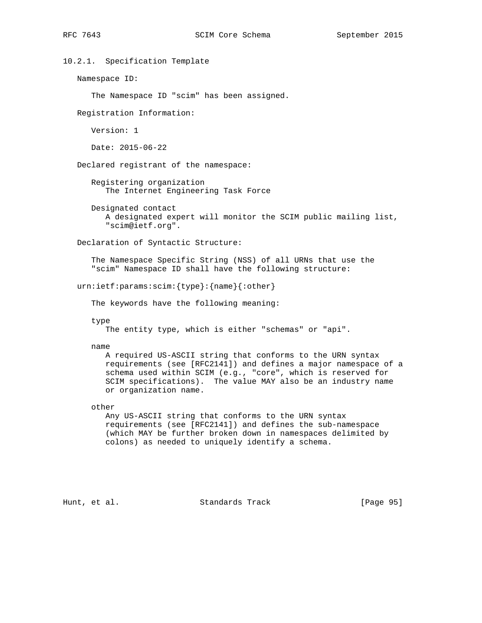# 10.2.1. Specification Template Namespace ID: The Namespace ID "scim" has been assigned. Registration Information: Version: 1 Date: 2015-06-22 Declared registrant of the namespace: Registering organization The Internet Engineering Task Force Designated contact A designated expert will monitor the SCIM public mailing list, "scim@ietf.org". Declaration of Syntactic Structure: The Namespace Specific String (NSS) of all URNs that use the "scim" Namespace ID shall have the following structure: urn:ietf:params:scim:{type}:{name}{:other} The keywords have the following meaning: type The entity type, which is either "schemas" or "api". name A required US-ASCII string that conforms to the URN syntax requirements (see [RFC2141]) and defines a major namespace of a schema used within SCIM (e.g., "core", which is reserved for SCIM specifications). The value MAY also be an industry name or organization name. other Any US-ASCII string that conforms to the URN syntax requirements (see [RFC2141]) and defines the sub-namespace (which MAY be further broken down in namespaces delimited by colons) as needed to uniquely identify a schema.

Hunt, et al. Standards Track [Page 95]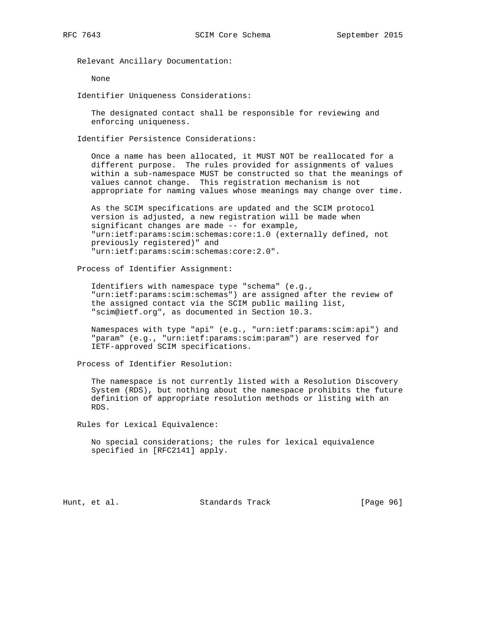Relevant Ancillary Documentation:

None

Identifier Uniqueness Considerations:

 The designated contact shall be responsible for reviewing and enforcing uniqueness.

Identifier Persistence Considerations:

 Once a name has been allocated, it MUST NOT be reallocated for a different purpose. The rules provided for assignments of values within a sub-namespace MUST be constructed so that the meanings of values cannot change. This registration mechanism is not appropriate for naming values whose meanings may change over time.

 As the SCIM specifications are updated and the SCIM protocol version is adjusted, a new registration will be made when significant changes are made -- for example, "urn:ietf:params:scim:schemas:core:1.0 (externally defined, not previously registered)" and "urn:ietf:params:scim:schemas:core:2.0".

Process of Identifier Assignment:

 Identifiers with namespace type "schema" (e.g., "urn:ietf:params:scim:schemas") are assigned after the review of the assigned contact via the SCIM public mailing list, "scim@ietf.org", as documented in Section 10.3.

 Namespaces with type "api" (e.g., "urn:ietf:params:scim:api") and "param" (e.g., "urn:ietf:params:scim:param") are reserved for IETF-approved SCIM specifications.

Process of Identifier Resolution:

 The namespace is not currently listed with a Resolution Discovery System (RDS), but nothing about the namespace prohibits the future definition of appropriate resolution methods or listing with an RDS.

Rules for Lexical Equivalence:

 No special considerations; the rules for lexical equivalence specified in [RFC2141] apply.

Hunt, et al. Standards Track [Page 96]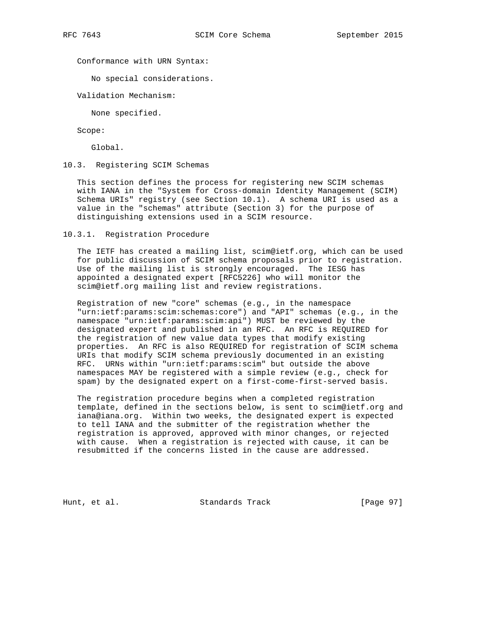Conformance with URN Syntax:

No special considerations.

Validation Mechanism:

None specified.

Scope:

Global.

10.3. Registering SCIM Schemas

 This section defines the process for registering new SCIM schemas with IANA in the "System for Cross-domain Identity Management (SCIM) Schema URIs" registry (see Section 10.1). A schema URI is used as a value in the "schemas" attribute (Section 3) for the purpose of distinguishing extensions used in a SCIM resource.

10.3.1. Registration Procedure

 The IETF has created a mailing list, scim@ietf.org, which can be used for public discussion of SCIM schema proposals prior to registration. Use of the mailing list is strongly encouraged. The IESG has appointed a designated expert [RFC5226] who will monitor the scim@ietf.org mailing list and review registrations.

 Registration of new "core" schemas (e.g., in the namespace "urn:ietf:params:scim:schemas:core") and "API" schemas (e.g., in the namespace "urn:ietf:params:scim:api") MUST be reviewed by the designated expert and published in an RFC. An RFC is REQUIRED for the registration of new value data types that modify existing properties. An RFC is also REQUIRED for registration of SCIM schema URIs that modify SCIM schema previously documented in an existing RFC. URNs within "urn:ietf:params:scim" but outside the above namespaces MAY be registered with a simple review (e.g., check for spam) by the designated expert on a first-come-first-served basis.

 The registration procedure begins when a completed registration template, defined in the sections below, is sent to scim@ietf.org and iana@iana.org. Within two weeks, the designated expert is expected to tell IANA and the submitter of the registration whether the registration is approved, approved with minor changes, or rejected with cause. When a registration is rejected with cause, it can be resubmitted if the concerns listed in the cause are addressed.

Hunt, et al. Standards Track [Page 97]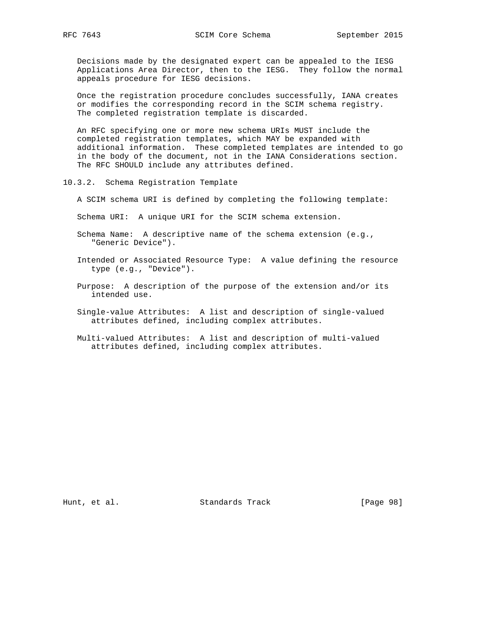Decisions made by the designated expert can be appealed to the IESG Applications Area Director, then to the IESG. They follow the normal appeals procedure for IESG decisions.

 Once the registration procedure concludes successfully, IANA creates or modifies the corresponding record in the SCIM schema registry. The completed registration template is discarded.

 An RFC specifying one or more new schema URIs MUST include the completed registration templates, which MAY be expanded with additional information. These completed templates are intended to go in the body of the document, not in the IANA Considerations section. The RFC SHOULD include any attributes defined.

- 10.3.2. Schema Registration Template
	- A SCIM schema URI is defined by completing the following template:

Schema URI: A unique URI for the SCIM schema extension.

- Schema Name: A descriptive name of the schema extension (e.g., "Generic Device").
- Intended or Associated Resource Type: A value defining the resource type (e.g., "Device").
- Purpose: A description of the purpose of the extension and/or its intended use.
- Single-value Attributes: A list and description of single-valued attributes defined, including complex attributes.
- Multi-valued Attributes: A list and description of multi-valued attributes defined, including complex attributes.

Hunt, et al. Standards Track [Page 98]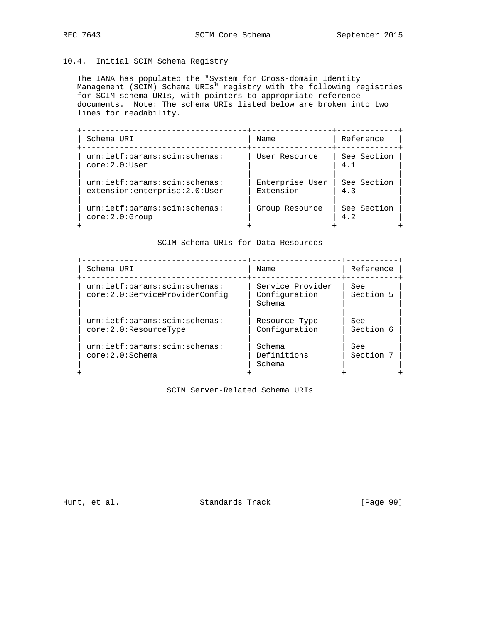## 10.4. Initial SCIM Schema Registry

 The IANA has populated the "System for Cross-domain Identity Management (SCIM) Schema URIs" registry with the following registries for SCIM schema URIs, with pointers to appropriate reference documents. Note: The schema URIs listed below are broken into two lines for readability.

| Schema URI                                                     | Name                         | Reference          |
|----------------------------------------------------------------|------------------------------|--------------------|
| urn:ietf:params:scim:schemas:<br>core:2.0:User                 | User Resource                | See Section<br>4.1 |
| urn:ietf:params:scim:schemas:<br>extension:enterprise:2.0:User | Enterprise User<br>Extension | See Section<br>4.3 |
| urn:ietf:params:scim:schemas:<br>core:2.0:Group                | Group Resource               | See Section<br>4.2 |

SCIM Schema URIs for Data Resources

| Schema URI                                                      | Name                                        | Reference               |
|-----------------------------------------------------------------|---------------------------------------------|-------------------------|
| urn:ietf:params:scim:schemas:<br>core:2.0:ServiceProviderConfiq | Service Provider<br>Configuration<br>Schema | See<br>Section 5        |
| urn:ietf:params:scim:schemas:<br>core:2.0:ResourceType          | Resource Type<br>Configuration              | <b>See</b><br>Section 6 |
| urn:ietf:params:scim:schemas:<br>core:2.0:Schema                | Schema<br>Definitions<br>Schema             | See<br>Section 7        |

SCIM Server-Related Schema URIs

Hunt, et al. Standards Track [Page 99]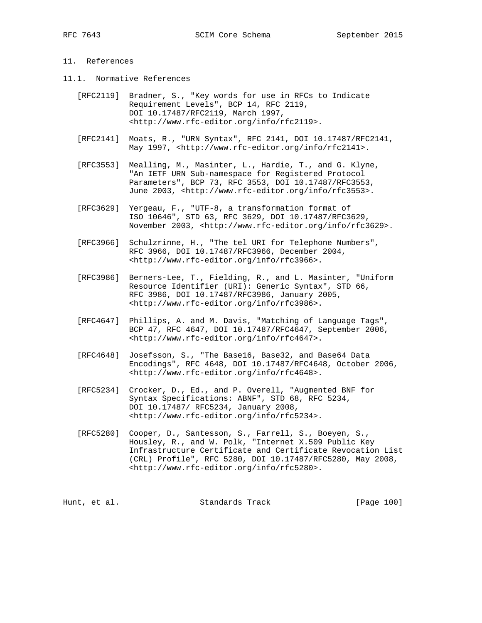### 11. References

- 11.1. Normative References
	- [RFC2119] Bradner, S., "Key words for use in RFCs to Indicate Requirement Levels", BCP 14, RFC 2119, DOI 10.17487/RFC2119, March 1997, <http://www.rfc-editor.org/info/rfc2119>.
	- [RFC2141] Moats, R., "URN Syntax", RFC 2141, DOI 10.17487/RFC2141, May 1997, <http://www.rfc-editor.org/info/rfc2141>.
	- [RFC3553] Mealling, M., Masinter, L., Hardie, T., and G. Klyne, "An IETF URN Sub-namespace for Registered Protocol Parameters", BCP 73, RFC 3553, DOI 10.17487/RFC3553, June 2003, <http://www.rfc-editor.org/info/rfc3553>.
	- [RFC3629] Yergeau, F., "UTF-8, a transformation format of ISO 10646", STD 63, RFC 3629, DOI 10.17487/RFC3629, November 2003, <http://www.rfc-editor.org/info/rfc3629>.
	- [RFC3966] Schulzrinne, H., "The tel URI for Telephone Numbers", RFC 3966, DOI 10.17487/RFC3966, December 2004, <http://www.rfc-editor.org/info/rfc3966>.
	- [RFC3986] Berners-Lee, T., Fielding, R., and L. Masinter, "Uniform Resource Identifier (URI): Generic Syntax", STD 66, RFC 3986, DOI 10.17487/RFC3986, January 2005, <http://www.rfc-editor.org/info/rfc3986>.
	- [RFC4647] Phillips, A. and M. Davis, "Matching of Language Tags", BCP 47, RFC 4647, DOI 10.17487/RFC4647, September 2006, <http://www.rfc-editor.org/info/rfc4647>.
	- [RFC4648] Josefsson, S., "The Base16, Base32, and Base64 Data Encodings", RFC 4648, DOI 10.17487/RFC4648, October 2006, <http://www.rfc-editor.org/info/rfc4648>.
	- [RFC5234] Crocker, D., Ed., and P. Overell, "Augmented BNF for Syntax Specifications: ABNF", STD 68, RFC 5234, DOI 10.17487/ RFC5234, January 2008, <http://www.rfc-editor.org/info/rfc5234>.
	- [RFC5280] Cooper, D., Santesson, S., Farrell, S., Boeyen, S., Housley, R., and W. Polk, "Internet X.509 Public Key Infrastructure Certificate and Certificate Revocation List (CRL) Profile", RFC 5280, DOI 10.17487/RFC5280, May 2008, <http://www.rfc-editor.org/info/rfc5280>.

Hunt, et al. Standards Track [Page 100]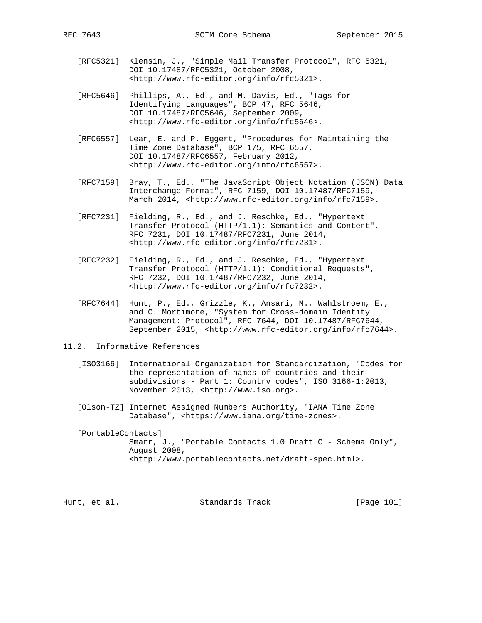- [RFC5321] Klensin, J., "Simple Mail Transfer Protocol", RFC 5321, DOI 10.17487/RFC5321, October 2008, <http://www.rfc-editor.org/info/rfc5321>.
- [RFC5646] Phillips, A., Ed., and M. Davis, Ed., "Tags for Identifying Languages", BCP 47, RFC 5646, DOI 10.17487/RFC5646, September 2009, <http://www.rfc-editor.org/info/rfc5646>.
- [RFC6557] Lear, E. and P. Eggert, "Procedures for Maintaining the Time Zone Database", BCP 175, RFC 6557, DOI 10.17487/RFC6557, February 2012, <http://www.rfc-editor.org/info/rfc6557>.
- [RFC7159] Bray, T., Ed., "The JavaScript Object Notation (JSON) Data Interchange Format", RFC 7159, DOI 10.17487/RFC7159, March 2014, <http://www.rfc-editor.org/info/rfc7159>.
- [RFC7231] Fielding, R., Ed., and J. Reschke, Ed., "Hypertext Transfer Protocol (HTTP/1.1): Semantics and Content", RFC 7231, DOI 10.17487/RFC7231, June 2014, <http://www.rfc-editor.org/info/rfc7231>.
- [RFC7232] Fielding, R., Ed., and J. Reschke, Ed., "Hypertext Transfer Protocol (HTTP/1.1): Conditional Requests", RFC 7232, DOI 10.17487/RFC7232, June 2014, <http://www.rfc-editor.org/info/rfc7232>.
- [RFC7644] Hunt, P., Ed., Grizzle, K., Ansari, M., Wahlstroem, E., and C. Mortimore, "System for Cross-domain Identity Management: Protocol", RFC 7644, DOI 10.17487/RFC7644, September 2015, <http://www.rfc-editor.org/info/rfc7644>.
- 11.2. Informative References
	- [ISO3166] International Organization for Standardization, "Codes for the representation of names of countries and their subdivisions - Part 1: Country codes", ISO 3166-1:2013, November 2013, <http://www.iso.org>.
	- [Olson-TZ] Internet Assigned Numbers Authority, "IANA Time Zone Database", <https://www.iana.org/time-zones>.

 [PortableContacts] Smarr, J., "Portable Contacts 1.0 Draft C - Schema Only", August 2008, <http://www.portablecontacts.net/draft-spec.html>.

| [Page 101]<br>Standards Track<br>Hunt, et al. |  |  |  |  |
|-----------------------------------------------|--|--|--|--|
|-----------------------------------------------|--|--|--|--|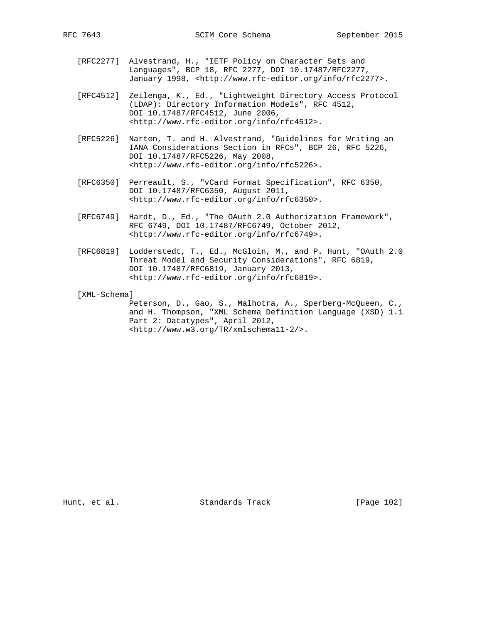- [RFC2277] Alvestrand, H., "IETF Policy on Character Sets and Languages", BCP 18, RFC 2277, DOI 10.17487/RFC2277, January 1998, <http://www.rfc-editor.org/info/rfc2277>.
- [RFC4512] Zeilenga, K., Ed., "Lightweight Directory Access Protocol (LDAP): Directory Information Models", RFC 4512, DOI 10.17487/RFC4512, June 2006, <http://www.rfc-editor.org/info/rfc4512>.
- [RFC5226] Narten, T. and H. Alvestrand, "Guidelines for Writing an IANA Considerations Section in RFCs", BCP 26, RFC 5226, DOI 10.17487/RFC5226, May 2008, <http://www.rfc-editor.org/info/rfc5226>.
- [RFC6350] Perreault, S., "vCard Format Specification", RFC 6350, DOI 10.17487/RFC6350, August 2011, <http://www.rfc-editor.org/info/rfc6350>.
- [RFC6749] Hardt, D., Ed., "The OAuth 2.0 Authorization Framework", RFC 6749, DOI 10.17487/RFC6749, October 2012, <http://www.rfc-editor.org/info/rfc6749>.
- [RFC6819] Lodderstedt, T., Ed., McGloin, M., and P. Hunt, "OAuth 2.0 Threat Model and Security Considerations", RFC 6819, DOI 10.17487/RFC6819, January 2013, <http://www.rfc-editor.org/info/rfc6819>.

[XML-Schema]

 Peterson, D., Gao, S., Malhotra, A., Sperberg-McQueen, C., and H. Thompson, "XML Schema Definition Language (XSD) 1.1 Part 2: Datatypes", April 2012, <http://www.w3.org/TR/xmlschema11-2/>.

Hunt, et al. Standards Track [Page 102]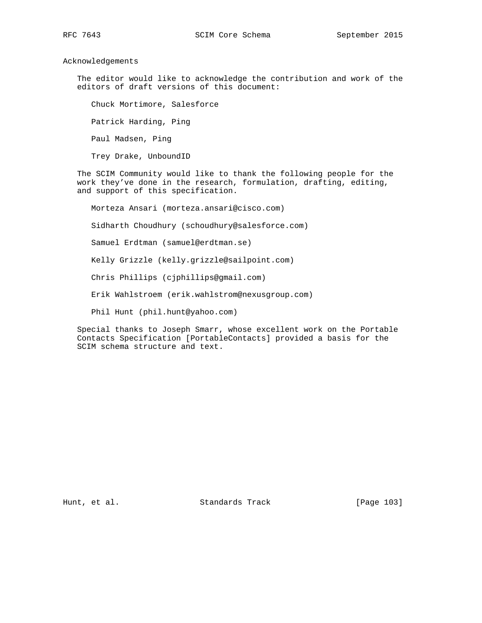Acknowledgements

 The editor would like to acknowledge the contribution and work of the editors of draft versions of this document:

 Chuck Mortimore, Salesforce Patrick Harding, Ping Paul Madsen, Ping Trey Drake, UnboundID

 The SCIM Community would like to thank the following people for the work they've done in the research, formulation, drafting, editing, and support of this specification.

 Morteza Ansari (morteza.ansari@cisco.com) Sidharth Choudhury (schoudhury@salesforce.com) Samuel Erdtman (samuel@erdtman.se) Kelly Grizzle (kelly.grizzle@sailpoint.com) Chris Phillips (cjphillips@gmail.com) Erik Wahlstroem (erik.wahlstrom@nexusgroup.com) Phil Hunt (phil.hunt@yahoo.com)

 Special thanks to Joseph Smarr, whose excellent work on the Portable Contacts Specification [PortableContacts] provided a basis for the SCIM schema structure and text.

Hunt, et al. Standards Track [Page 103]